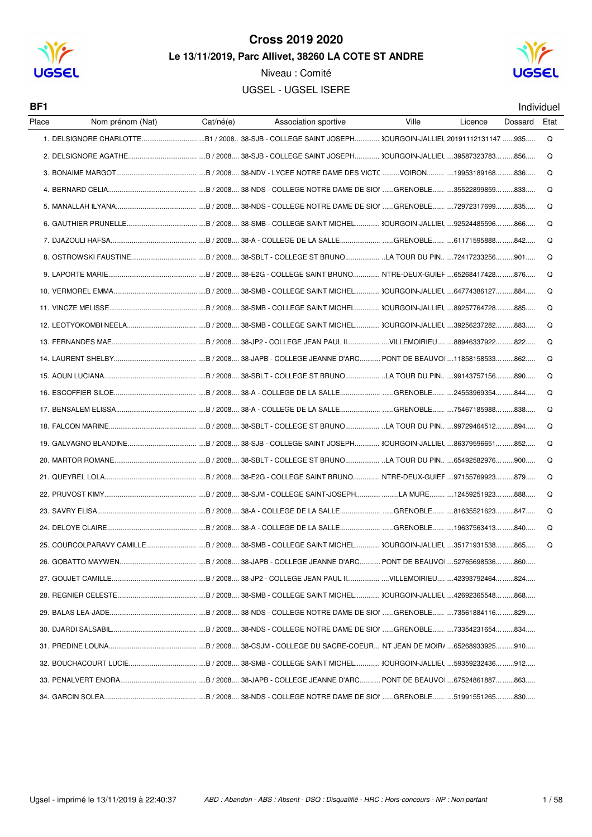

Niveau : Comité **UGSEL - UGSEL ISERE** 



BF1

| Individuel |  |
|------------|--|
|            |  |

| Place | Nom prénom (Nat) | Cat/né(e) | Association sportive | Ville | Licence | Dossard | Etat |
|-------|------------------|-----------|----------------------|-------|---------|---------|------|
|       |                  |           |                      |       |         |         | Q    |
|       |                  |           |                      |       |         |         | Q    |
|       |                  |           |                      |       |         |         | Q    |
|       |                  |           |                      |       |         |         | Q    |
|       |                  |           |                      |       |         |         | Q    |
|       |                  |           |                      |       |         |         | Q    |
|       |                  |           |                      |       |         |         | Q    |
|       |                  |           |                      |       |         |         | Q    |
|       |                  |           |                      |       |         |         | Q    |
|       |                  |           |                      |       |         |         | Q    |
|       |                  |           |                      |       |         |         | Q    |
|       |                  |           |                      |       |         |         | Q    |
|       |                  |           |                      |       |         |         | Q    |
|       |                  |           |                      |       |         |         | Q    |
|       |                  |           |                      |       |         |         | Q    |
|       |                  |           |                      |       |         |         | Q    |
|       |                  |           |                      |       |         |         | Q    |
|       |                  |           |                      |       |         |         | Q    |
|       |                  |           |                      |       |         |         | Q    |
|       |                  |           |                      |       |         |         | Q    |
|       |                  |           |                      |       |         |         | Q    |
|       |                  |           |                      |       |         |         | Q    |
|       |                  |           |                      |       |         |         | Q    |
|       |                  |           |                      |       |         |         | Q    |
|       |                  |           |                      |       |         |         | Q    |
|       |                  |           |                      |       |         |         |      |
|       |                  |           |                      |       |         |         |      |
|       |                  |           |                      |       |         |         |      |
|       |                  |           |                      |       |         |         |      |
|       |                  |           |                      |       |         |         |      |
|       |                  |           |                      |       |         |         |      |
|       |                  |           |                      |       |         |         |      |
|       |                  |           |                      |       |         |         |      |
|       |                  |           |                      |       |         |         |      |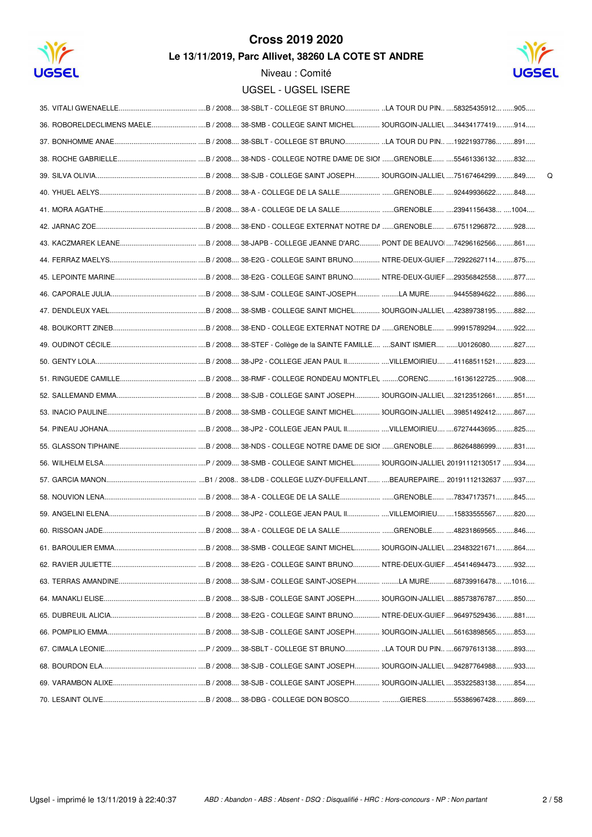



 $\mathsf Q$ 

Niveau : Comité

| UGSEL - UGSEL ISERE |  |
|---------------------|--|
|---------------------|--|

| 70. LESAINT OLIVE…………………………………………………………………………3/2008……38-DBG - COLLEGE DON BOSCO……………………………GIERES……………55386967428…………869…… |
|---------------------------------------------------------------------------------------------------------------------------|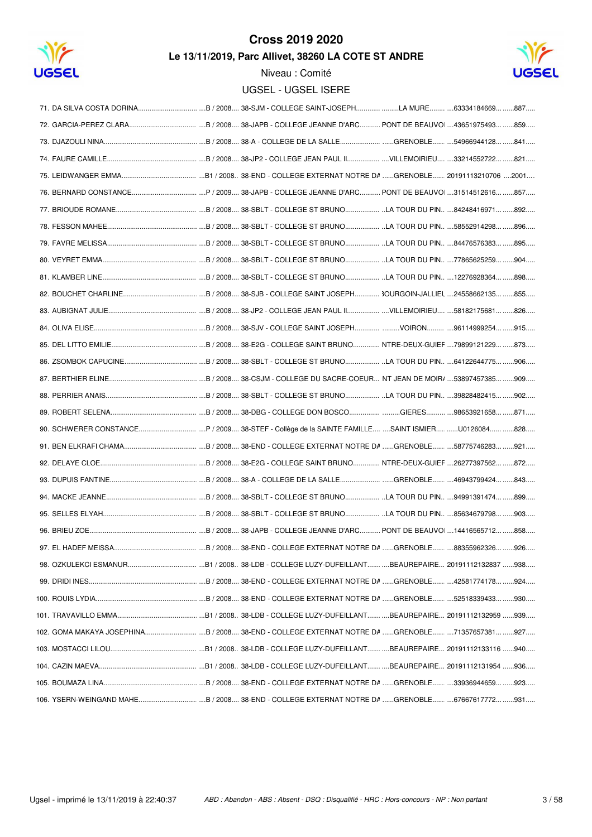

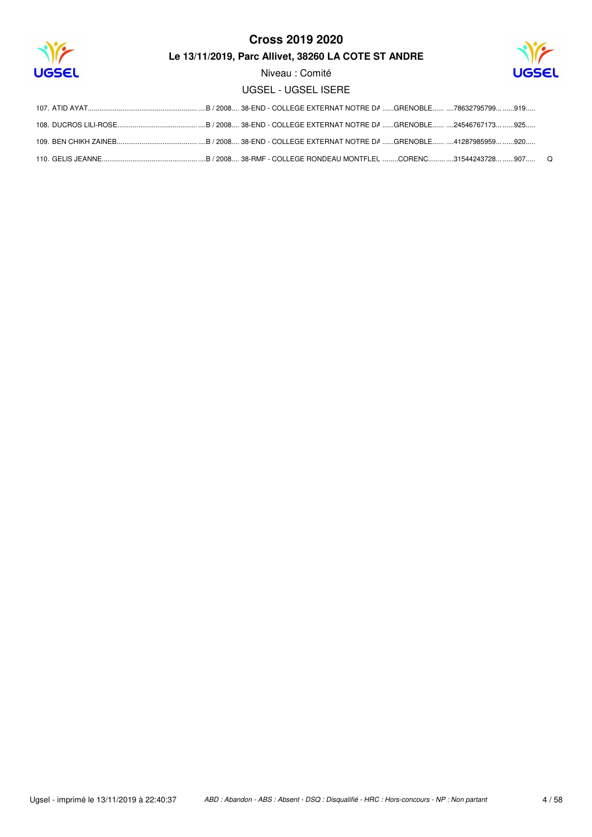

Niveau : Comité

**UGSEL - UGSEL ISERE**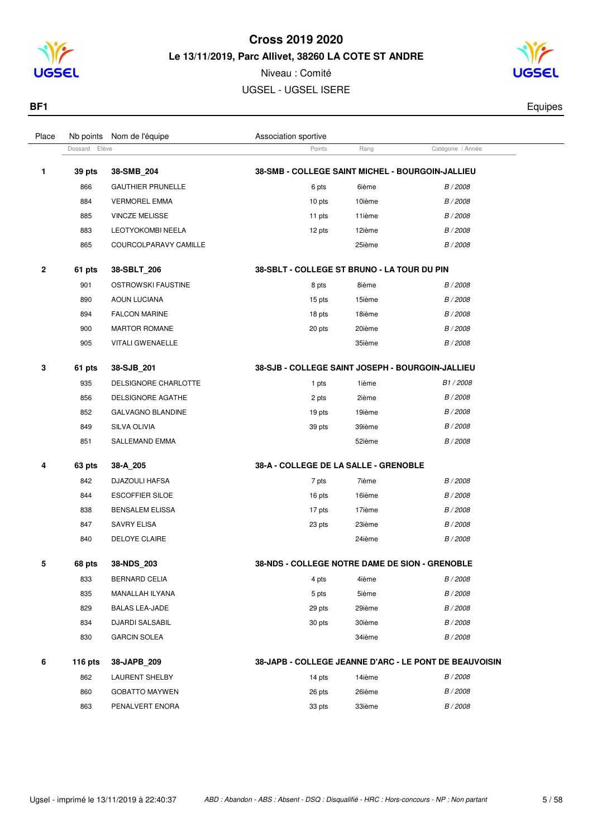

Niveau : Comité UGSEL - UGSEL ISERE

Dossard Elève **Catégorie / Année**<br>
Points Rang Catégorie / Année

Place Nb points Nom de l'équipe  $\blacksquare$  Association sportive



**BF1** Equipes

| 1            | 39 pts    | 38-SMB_204               | <b>38-SMB - COLLEGE SAINT MICHEL - BOURGOIN-JALLIEU</b> |        |                                                        |
|--------------|-----------|--------------------------|---------------------------------------------------------|--------|--------------------------------------------------------|
|              | 866       | <b>GAUTHIER PRUNELLE</b> | 6 pts                                                   | 6ième  | B / 2008                                               |
|              | 884       | <b>VERMOREL EMMA</b>     | 10 pts                                                  | 10ième | B / 2008                                               |
|              | 885       | <b>VINCZE MELISSE</b>    | 11 pts                                                  | 11ième | B / 2008                                               |
|              | 883       | LEOTYOKOMBI NEELA        | 12 pts                                                  | 12ième | B / 2008                                               |
|              | 865       | COURCOLPARAVY CAMILLE    |                                                         | 25ième | B / 2008                                               |
| $\mathbf{2}$ | 61 pts    | 38-SBLT_206              | 38-SBLT - COLLEGE ST BRUNO - LA TOUR DU PIN             |        |                                                        |
|              | 901       | OSTROWSKI FAUSTINE       | 8 pts                                                   | 8ième  | B / 2008                                               |
|              | 890       | <b>AOUN LUCIANA</b>      | 15 pts                                                  | 15ième | B / 2008                                               |
|              | 894       | <b>FALCON MARINE</b>     | 18 pts                                                  | 18ième | B / 2008                                               |
|              | 900       | <b>MARTOR ROMANE</b>     | 20 pts                                                  | 20ième | B / 2008                                               |
|              | 905       | <b>VITALI GWENAELLE</b>  |                                                         | 35ième | B / 2008                                               |
| 3            | 61 pts    | 38-SJB_201               | 38-SJB - COLLEGE SAINT JOSEPH - BOURGOIN-JALLIEU        |        |                                                        |
|              | 935       | DELSIGNORE CHARLOTTE     | 1 pts                                                   | 1ième  | B1/2008                                                |
|              | 856       | DELSIGNORE AGATHE        | 2 pts                                                   | 2ième  | B / 2008                                               |
|              | 852       | <b>GALVAGNO BLANDINE</b> | 19 pts                                                  | 19ième | B / 2008                                               |
|              | 849       | SILVA OLIVIA             | 39 pts                                                  | 39ième | B / 2008                                               |
|              | 851       | SALLEMAND EMMA           |                                                         | 52ième | B / 2008                                               |
| 4            | 63 pts    | 38-A 205                 | 38-A - COLLEGE DE LA SALLE - GRENOBLE                   |        |                                                        |
|              | 842       | DJAZOULI HAFSA           | 7 pts                                                   | 7ième  | B / 2008                                               |
|              | 844       | <b>ESCOFFIER SILOE</b>   | 16 pts                                                  | 16ième | B / 2008                                               |
|              | 838       | <b>BENSALEM ELISSA</b>   | 17 pts                                                  | 17ième | B / 2008                                               |
|              | 847       | <b>SAVRY ELISA</b>       | 23 pts                                                  | 23ième | B / 2008                                               |
|              | 840       | <b>DELOYE CLAIRE</b>     |                                                         | 24ième | B / 2008                                               |
| 5            | 68 pts    | 38-NDS_203               | 38-NDS - COLLEGE NOTRE DAME DE SION - GRENOBLE          |        |                                                        |
|              | 833       | <b>BERNARD CELIA</b>     | 4 pts                                                   | 4ième  | B / 2008                                               |
|              | 835       | MANALLAH ILYANA          | 5 pts                                                   | 5ième  | B / 2008                                               |
|              | 829       | <b>BALAS LEA-JADE</b>    | 29 pts                                                  | 29ième | B / 2008                                               |
|              | 834       | <b>DJARDI SALSABIL</b>   | 30 pts                                                  | 30ième | B / 2008                                               |
|              | 830       | <b>GARCIN SOLEA</b>      |                                                         | 34ième | B / 2008                                               |
| 6            | 116 $pts$ | 38-JAPB 209              |                                                         |        | 38-JAPB - COLLEGE JEANNE D'ARC - LE PONT DE BEAUVOISIN |

| 862 | <b>LAURENT SHELBY</b> | 14 pts | 14ième | B/2008          |
|-----|-----------------------|--------|--------|-----------------|
| 860 | <b>GOBATTO MAYWEN</b> | 26 pts | 26ième | B/2008          |
| 863 | PENALVERT ENORA       | 33 pts | 33ième | <i>B / 2008</i> |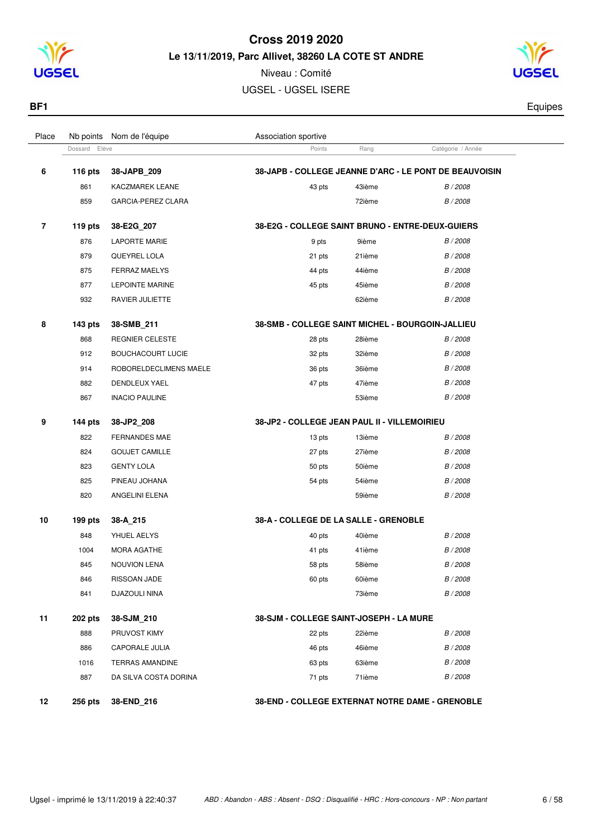



| Place          | Nb points     | Nom de l'équipe          | Association sportive                                    |        |                                                        |  |
|----------------|---------------|--------------------------|---------------------------------------------------------|--------|--------------------------------------------------------|--|
|                | Dossard Elève |                          | Points                                                  | Rang   | Catégorie / Année                                      |  |
| 6              | 116 $pts$     | 38-JAPB_209              |                                                         |        | 38-JAPB - COLLEGE JEANNE D'ARC - LE PONT DE BEAUVOISIN |  |
|                | 861           | <b>KACZMAREK LEANE</b>   | 43 pts                                                  | 43ième | B / 2008                                               |  |
|                | 859           | GARCIA-PEREZ CLARA       |                                                         | 72ième | B / 2008                                               |  |
| $\overline{7}$ | 119 pts       | 38-E2G_207               | 38-E2G - COLLEGE SAINT BRUNO - ENTRE-DEUX-GUIERS        |        |                                                        |  |
|                | 876           | <b>LAPORTE MARIE</b>     | 9 pts                                                   | 9ième  | B / 2008                                               |  |
|                | 879           | QUEYREL LOLA             | 21 pts                                                  | 21ième | B / 2008                                               |  |
|                | 875           | FERRAZ MAELYS            | 44 pts                                                  | 44ième | B / 2008                                               |  |
|                | 877           | <b>LEPOINTE MARINE</b>   | 45 pts                                                  | 45ième | B / 2008                                               |  |
|                | 932           | RAVIER JULIETTE          |                                                         | 62ième | B / 2008                                               |  |
| 8              | 143 pts       | 38-SMB_211               | <b>38-SMB - COLLEGE SAINT MICHEL - BOURGOIN-JALLIEU</b> |        |                                                        |  |
|                | 868           | <b>REGNIER CELESTE</b>   | 28 pts                                                  | 28ième | B / 2008                                               |  |
|                | 912           | <b>BOUCHACOURT LUCIE</b> | 32 pts                                                  | 32ième | B / 2008                                               |  |
|                | 914           | ROBORELDECLIMENS MAELE   |                                                         | 36ième | B / 2008                                               |  |
|                | 882           | DENDLEUX YAEL            | 36 pts<br>47 pts                                        | 47ième | B / 2008                                               |  |
|                | 867           | <b>INACIO PAULINE</b>    |                                                         | 53ième | B / 2008                                               |  |
|                |               |                          |                                                         |        |                                                        |  |
| 9              | $144$ pts     | 38-JP2_208               | 38-JP2 - COLLEGE JEAN PAUL II - VILLEMOIRIEU            |        |                                                        |  |
|                | 822           | <b>FERNANDES MAE</b>     | 13 pts                                                  | 13ième | B / 2008                                               |  |
|                | 824           | <b>GOUJET CAMILLE</b>    | 27 pts                                                  | 27ième | B / 2008                                               |  |
|                | 823           | <b>GENTY LOLA</b>        | 50 pts                                                  | 50ième | B / 2008                                               |  |
|                | 825           | PINEAU JOHANA            | 54 pts                                                  | 54ième | B / 2008                                               |  |
|                | 820           | ANGELINI ELENA           |                                                         | 59ième | B / 2008                                               |  |
| 10             | 199 pts       | 38-A_215                 | 38-A - COLLEGE DE LA SALLE - GRENOBLE                   |        |                                                        |  |
|                | 848           | YHUEL AELYS              | 40 pts                                                  | 40ième | B / 2008                                               |  |
|                | 1004          | MORA AGATHE              | 41 pts                                                  | 41ième | B / 2008                                               |  |
|                | 845           | <b>NOUVION LENA</b>      | 58 pts                                                  | 58ième | B / 2008                                               |  |
|                | 846           | RISSOAN JADE             | 60 pts                                                  | 60ième | B / 2008                                               |  |
|                | 841           | DJAZOULI NINA            |                                                         | 73ième | B / 2008                                               |  |
| 11             | 202 pts       | 38-SJM 210               | 38-SJM - COLLEGE SAINT-JOSEPH - LA MURE                 |        |                                                        |  |
|                | 888           | PRUVOST KIMY             | 22 pts                                                  | 22ième | B / 2008                                               |  |
|                | 886           | CAPORALE JULIA           | 46 pts                                                  | 46ième | B / 2008                                               |  |
|                | 1016          | <b>TERRAS AMANDINE</b>   | 63 pts                                                  | 63ième | B / 2008                                               |  |
|                | 887           | DA SILVA COSTA DORINA    | 71 pts                                                  | 71ième | B / 2008                                               |  |
| 12             | 256 pts       | 38-END_216               | 38-END - COLLEGE EXTERNAT NOTRE DAME - GRENOBLE         |        |                                                        |  |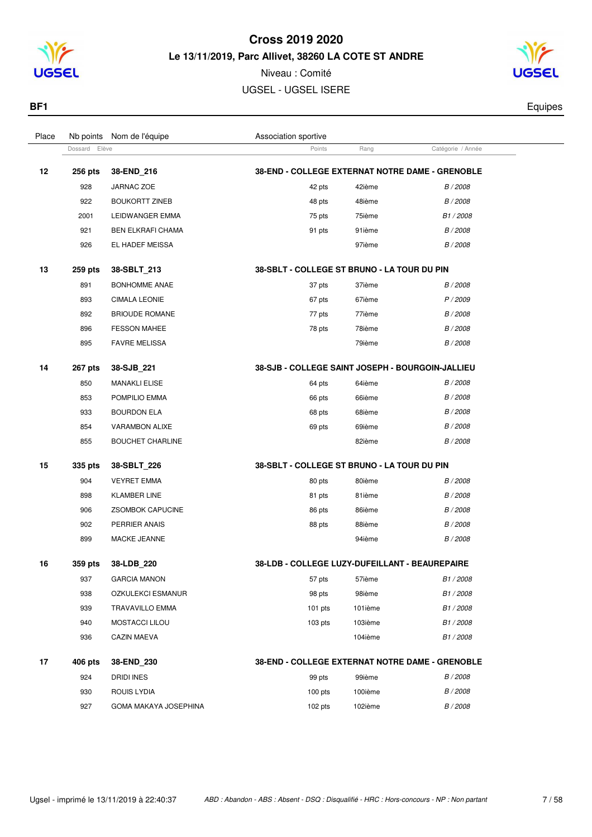

Niveau : Comité UGSEL - UGSEL ISERE



**BF1** Equipes

| Place |                | Nb points Nom de l'équipe | Association sportive                             |         |                      |  |
|-------|----------------|---------------------------|--------------------------------------------------|---------|----------------------|--|
|       | Dossard Elève  |                           | Points                                           | Rang    | Catégorie / Année    |  |
| 12    | 256 pts        | 38-END_216                | 38-END - COLLEGE EXTERNAT NOTRE DAME - GRENOBLE  |         |                      |  |
|       | 928            | JARNAC ZOE                | 42 pts                                           | 42ième  | B / 2008             |  |
|       | 922            | <b>BOUKORTT ZINEB</b>     | 48 pts                                           | 48ième  | B / 2008             |  |
|       | 2001           | LEIDWANGER EMMA           | 75 pts                                           | 75ième  | B <sub>1</sub> /2008 |  |
|       | 921            | <b>BEN ELKRAFI CHAMA</b>  | 91 pts                                           | 91ième  | B / 2008             |  |
|       | 926            | EL HADEF MEISSA           |                                                  | 97ième  | B / 2008             |  |
| 13    | 259 pts        | 38-SBLT_213               | 38-SBLT - COLLEGE ST BRUNO - LA TOUR DU PIN      |         |                      |  |
|       | 891            | <b>BONHOMME ANAE</b>      | 37 pts                                           | 37ième  | B / 2008             |  |
|       | 893            | <b>CIMALA LEONIE</b>      | 67 pts                                           | 67ième  | P / 2009             |  |
|       | 892            | <b>BRIOUDE ROMANE</b>     | 77 pts                                           | 77ième  | B / 2008             |  |
|       | 896            | <b>FESSON MAHEE</b>       | 78 pts                                           | 78ième  | B / 2008             |  |
|       | 895            | <b>FAVRE MELISSA</b>      |                                                  | 79ième  | B / 2008             |  |
| 14    | <b>267 pts</b> | 38-SJB_221                | 38-SJB - COLLEGE SAINT JOSEPH - BOURGOIN-JALLIEU |         |                      |  |
|       | 850            | <b>MANAKLI ELISE</b>      | 64 pts                                           | 64ième  | B / 2008             |  |
|       | 853            | POMPILIO EMMA             | 66 pts                                           | 66ième  | B / 2008             |  |
|       | 933            | <b>BOURDON ELA</b>        | 68 pts                                           | 68ième  | B / 2008             |  |
|       | 854            | <b>VARAMBON ALIXE</b>     | 69 pts                                           | 69ième  | B / 2008             |  |
|       | 855            | <b>BOUCHET CHARLINE</b>   |                                                  | 82ième  | B / 2008             |  |
| 15    | 335 pts        | 38-SBLT_226               | 38-SBLT - COLLEGE ST BRUNO - LA TOUR DU PIN      |         |                      |  |
|       | 904            | <b>VEYRET EMMA</b>        | 80 pts                                           | 80ième  | B / 2008             |  |
|       | 898            | <b>KLAMBER LINE</b>       | 81 pts                                           | 81ième  | B / 2008             |  |
|       | 906            | <b>ZSOMBOK CAPUCINE</b>   | 86 pts                                           | 86ième  | B / 2008             |  |
|       | 902            | PERRIER ANAIS             | 88 pts                                           | 88ième  | B / 2008             |  |
|       | 899            | MACKE JEANNE              |                                                  | 94ième  | B / 2008             |  |
| 16    | 359 pts        | 38-LDB 220                | 38-LDB - COLLEGE LUZY-DUFEILLANT - BEAUREPAIRE   |         |                      |  |
|       | 937            | <b>GARCIA MANON</b>       | 57 pts                                           | 57ième  | B1/2008              |  |
|       | 938            | OZKULEKCI ESMANUR         | 98 pts                                           | 98ième  | B1/2008              |  |
|       | 939            | <b>TRAVAVILLO EMMA</b>    | $101$ pts                                        | 101ième | B1/2008              |  |
|       | 940            | MOSTACCI LILOU            | $103$ pts                                        | 103ième | B1/2008              |  |
|       | 936            | <b>CAZIN MAEVA</b>        |                                                  | 104ième | B1/2008              |  |
| 17    | 406 pts        | 38-END_230                | 38-END - COLLEGE EXTERNAT NOTRE DAME - GRENOBLE  |         |                      |  |
|       | 924            | <b>DRIDI INES</b>         | 99 pts                                           | 99ième  | B / 2008             |  |
|       | 930            | <b>ROUIS LYDIA</b>        | $100$ pts                                        | 100ième | B / 2008             |  |
|       | 927            | GOMA MAKAYA JOSEPHINA     | $102$ pts                                        | 102ième | B / 2008             |  |
|       |                |                           |                                                  |         |                      |  |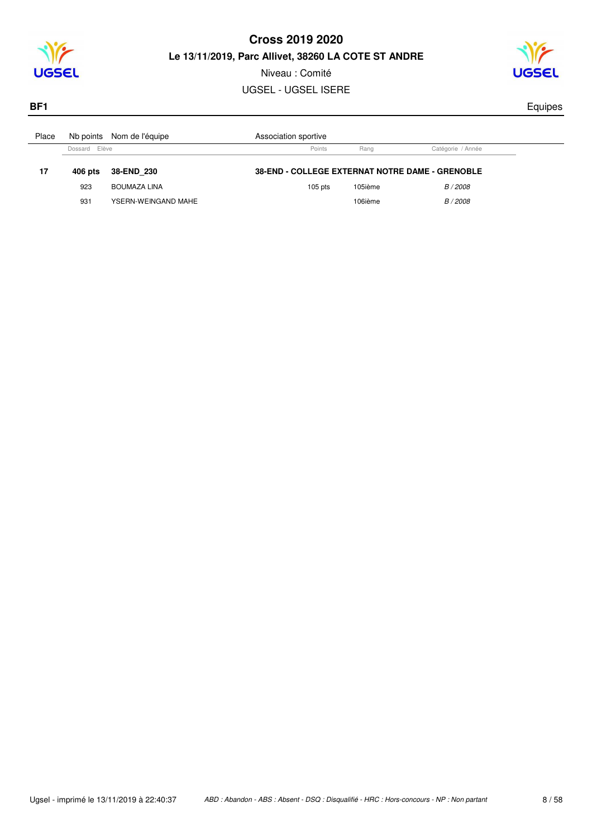

Niveau : Comité UGSEL - UGSEL ISERE



**BF1** Equipes

| Place |               | Nb points Nom de l'équipe | Association sportive                                   |         |                   |
|-------|---------------|---------------------------|--------------------------------------------------------|---------|-------------------|
|       | Dossard Elève |                           | Points                                                 | Rang    | Catégorie / Année |
| 17    | 406 pts       | 38-END 230                | <b>38-END - COLLEGE EXTERNAT NOTRE DAME - GRENOBLE</b> |         |                   |
|       | 923           | BOUMAZA LINA              | $105$ pts                                              | 105ième | B / 2008          |
|       | 931           | YSERN-WEINGAND MAHE       |                                                        | 106ième | B / 2008          |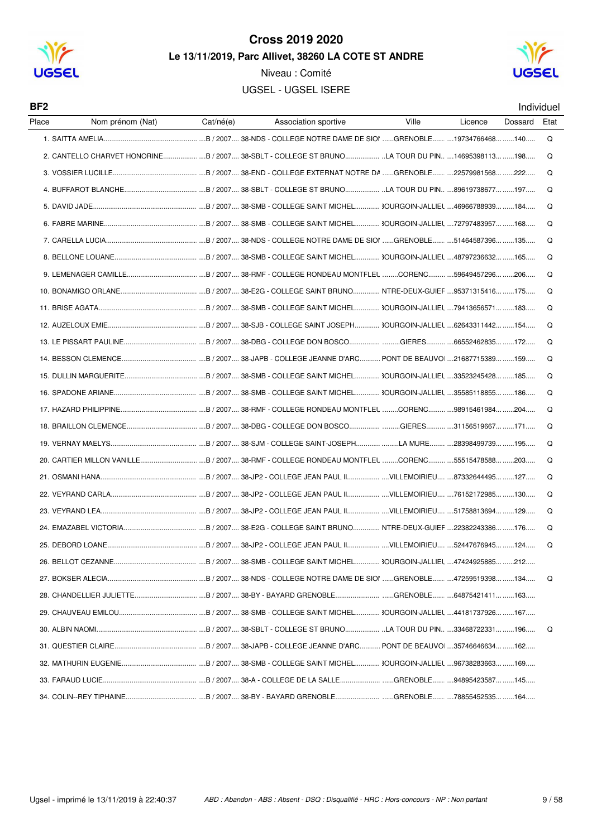

Niveau : Comité **UGSEL - UGSEL ISERE** 



| BF <sub>2</sub> |                                                                                                 |           |                      |       |         |         | Individuel |
|-----------------|-------------------------------------------------------------------------------------------------|-----------|----------------------|-------|---------|---------|------------|
| Place           | Nom prénom (Nat)                                                                                | Cat/né(e) | Association sportive | Ville | Licence | Dossard | Etat       |
|                 |                                                                                                 |           |                      |       |         |         | Q          |
|                 | 2. CANTELLO CHARVET HONORINE B / 2007 38-SBLT - COLLEGE ST BRUNO LA TOUR DU PIN 14695398113 198 |           |                      |       |         |         | Q          |
|                 |                                                                                                 |           |                      |       |         |         | O          |
|                 |                                                                                                 |           |                      |       |         |         | Q          |
|                 |                                                                                                 |           |                      |       |         |         | Q          |
|                 |                                                                                                 |           |                      |       |         |         | O          |
|                 |                                                                                                 |           |                      |       |         |         | Q          |
|                 |                                                                                                 |           |                      |       |         |         | Q          |
|                 |                                                                                                 |           |                      |       |         |         | Q          |
|                 |                                                                                                 |           |                      |       |         |         | Q          |
|                 |                                                                                                 |           |                      |       |         |         | Q          |
|                 |                                                                                                 |           |                      |       |         |         | Q          |
|                 |                                                                                                 |           |                      |       |         |         | Q          |
|                 |                                                                                                 |           |                      |       |         |         | Q          |
|                 |                                                                                                 |           |                      |       |         |         | O          |
|                 |                                                                                                 |           |                      |       |         |         | Q          |
|                 |                                                                                                 |           |                      |       |         |         | Q          |
|                 |                                                                                                 |           |                      |       |         |         | O          |
|                 |                                                                                                 |           |                      |       |         |         | Q          |
|                 |                                                                                                 |           |                      |       |         |         | Q          |
|                 |                                                                                                 |           |                      |       |         |         | Q          |
|                 |                                                                                                 |           |                      |       |         |         | Q          |
|                 |                                                                                                 |           |                      |       |         |         | Q          |
|                 |                                                                                                 |           |                      |       |         |         | Q          |
|                 |                                                                                                 |           |                      |       |         |         | Q          |
|                 |                                                                                                 |           |                      |       |         |         |            |
|                 |                                                                                                 |           |                      |       |         |         | Q          |
|                 |                                                                                                 |           |                      |       |         |         |            |
|                 |                                                                                                 |           |                      |       |         |         |            |
|                 |                                                                                                 |           |                      |       |         |         | Q          |
|                 |                                                                                                 |           |                      |       |         |         |            |
|                 |                                                                                                 |           |                      |       |         |         |            |
|                 |                                                                                                 |           |                      |       |         |         |            |
|                 |                                                                                                 |           |                      |       |         |         |            |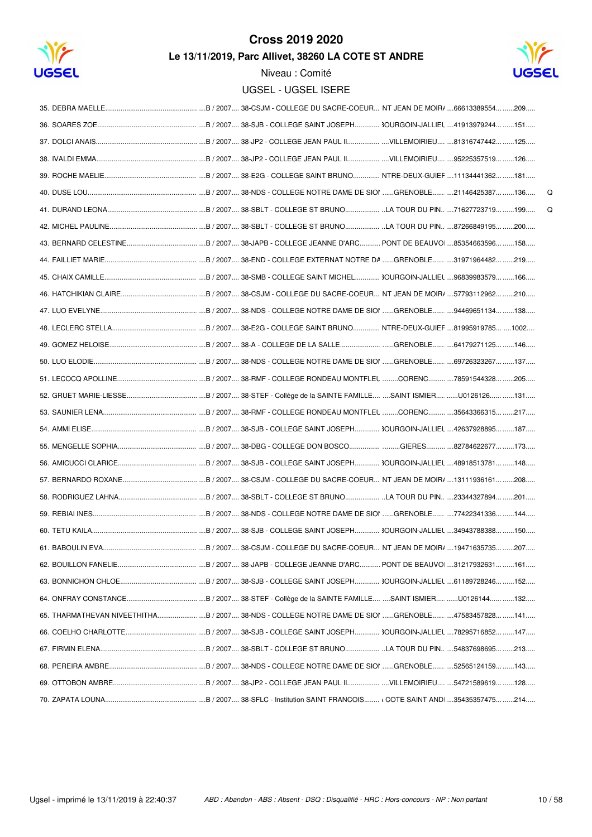

## **Cross 2019 2020**

Le 13/11/2019, Parc Allivet, 38260 LA COTE ST ANDRE



|  | $\Omega$ |
|--|----------|
|  | Q        |
|  |          |
|  |          |
|  |          |
|  |          |
|  |          |
|  |          |
|  |          |
|  |          |
|  |          |
|  |          |
|  |          |
|  |          |
|  |          |
|  |          |
|  |          |
|  |          |
|  |          |
|  |          |
|  |          |
|  |          |
|  |          |
|  |          |
|  |          |
|  |          |
|  |          |
|  |          |
|  |          |
|  |          |
|  |          |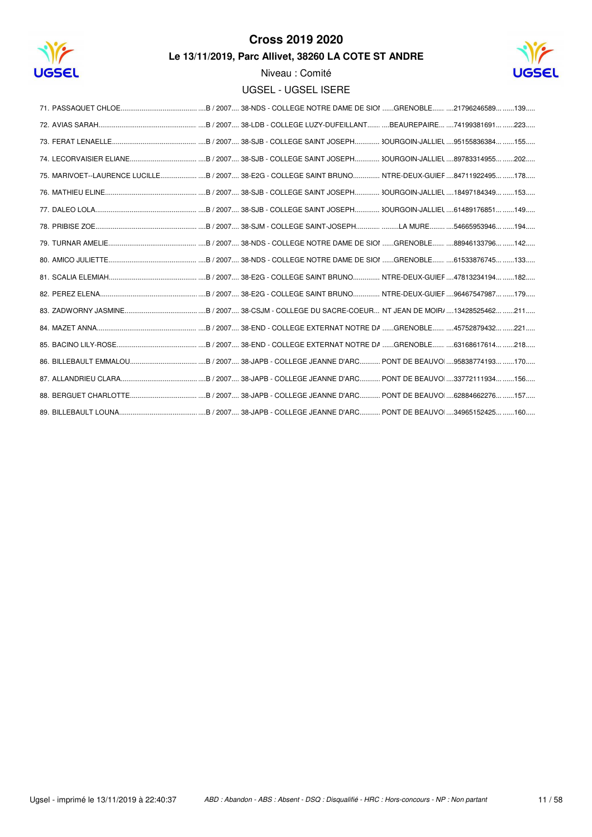

# **Cross 2019 2020**

Le 13/11/2019, Parc Allivet, 38260 LA COTE ST ANDRE



| 75. MARIVOET--LAURENCE LUCILLEB / 2007 38-E2G - COLLEGE SAINT BRUNO NTRE-DEUX-GUIEF 84711922495 178 |
|-----------------------------------------------------------------------------------------------------|
|                                                                                                     |
|                                                                                                     |
|                                                                                                     |
|                                                                                                     |
|                                                                                                     |
|                                                                                                     |
|                                                                                                     |
|                                                                                                     |
|                                                                                                     |
|                                                                                                     |
|                                                                                                     |
|                                                                                                     |
|                                                                                                     |
|                                                                                                     |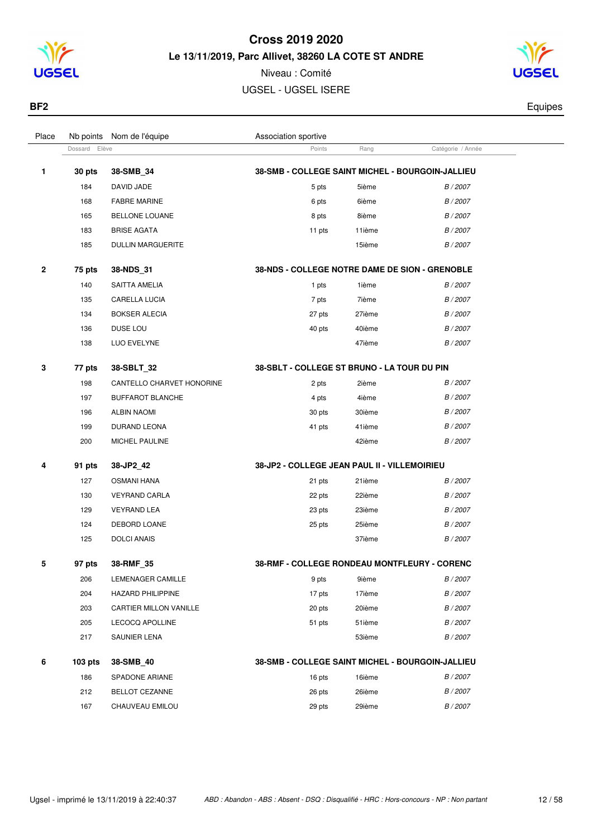

Niveau : Comité UGSEL - UGSEL ISERE

Dossard Elève **Catégorie / Année** Points Rang Catégorie / Année

Place Nb points Nom de l'équipe  $\blacksquare$  Association sportive



**BF2** Equipes

| 1 | 30 pts     | 38-SMB_34                 | 38-SMB - COLLEGE SAINT MICHEL - BOURGOIN-JALLIEU |        |          |
|---|------------|---------------------------|--------------------------------------------------|--------|----------|
|   | 184        | DAVID JADE                | 5 pts                                            | 5ième  | B / 2007 |
|   | 168        | <b>FABRE MARINE</b>       | 6 pts                                            | 6ième  | B / 2007 |
|   | 165        | <b>BELLONE LOUANE</b>     | 8 pts                                            | 8ième  | B / 2007 |
|   | 183        | <b>BRISE AGATA</b>        | 11 pts                                           | 11ième | B / 2007 |
|   | 185        | <b>DULLIN MARGUERITE</b>  |                                                  | 15ième | B / 2007 |
| 2 | 75 pts     | 38-NDS_31                 | 38-NDS - COLLEGE NOTRE DAME DE SION - GRENOBLE   |        |          |
|   | 140        | SAITTA AMELIA             | 1 pts                                            | 1ième  | B/2007   |
|   | 135        | <b>CARELLA LUCIA</b>      | 7 pts                                            | 7ième  | B / 2007 |
|   | 134        | <b>BOKSER ALECIA</b>      | 27 pts                                           | 27ième | B / 2007 |
|   | 136        | DUSE LOU                  | 40 pts                                           | 40ième | B / 2007 |
|   | 138        | LUO EVELYNE               |                                                  | 47ième | B / 2007 |
| 3 | 77 pts     | 38-SBLT_32                | 38-SBLT - COLLEGE ST BRUNO - LA TOUR DU PIN      |        |          |
|   | 198        | CANTELLO CHARVET HONORINE | 2 pts                                            | 2ième  | B / 2007 |
|   | 197        | <b>BUFFAROT BLANCHE</b>   | 4 pts                                            | 4ième  | B / 2007 |
|   | 196        | <b>ALBIN NAOMI</b>        | 30 pts                                           | 30ième | B / 2007 |
|   | 199        | DURAND LEONA              | 41 pts                                           | 41ième | B / 2007 |
|   | 200        | MICHEL PAULINE            |                                                  | 42ième | B / 2007 |
| 4 | 91 pts     | 38-JP2_42                 | 38-JP2 - COLLEGE JEAN PAUL II - VILLEMOIRIEU     |        |          |
|   | 127        | <b>OSMANI HANA</b>        | 21 pts                                           | 21ième | B/2007   |
|   | 130        | <b>VEYRAND CARLA</b>      | 22 pts                                           | 22ième | B / 2007 |
|   | 129        | <b>VEYRAND LEA</b>        | 23 pts                                           | 23ième | B / 2007 |
|   | 124        | DEBORD LOANE              | 25 pts                                           | 25ième | B / 2007 |
|   | 125        | <b>DOLCI ANAIS</b>        |                                                  | 37ième | B / 2007 |
| 5 | 97 pts     | 38-RMF_35                 | 38-RMF - COLLEGE RONDEAU MONTFLEURY - CORENC     |        |          |
|   | 206        | LEMENAGER CAMILLE         | 9 pts                                            | 9ième  | B / 2007 |
|   | 204        | HAZARD PHILIPPINE         | 17 pts                                           | 17ième | B / 2007 |
|   | 203        | CARTIER MILLON VANILLE    | 20 pts                                           | 20ième | B / 2007 |
|   | 205        | <b>LECOCQ APOLLINE</b>    | 51 pts                                           | 51ième | B / 2007 |
|   | 217        | SAUNIER LENA              |                                                  | 53ième | B / 2007 |
| 6 | $103$ pts. | 38-SMB 40                 | 38-SMB - COLLEGE SAINT MICHEL - BOURGOIN-JALLIEU |        |          |

|     | -------               |        |        |        |
|-----|-----------------------|--------|--------|--------|
| 186 | SPADONE ARIANE        | 16 pts | 16ième | B/2007 |
| 212 | <b>BELLOT CEZANNE</b> | 26 pts | 26ième | B/2007 |
| 167 | CHAUVEAU EMILOU       | 29 pts | 29ième | B/2007 |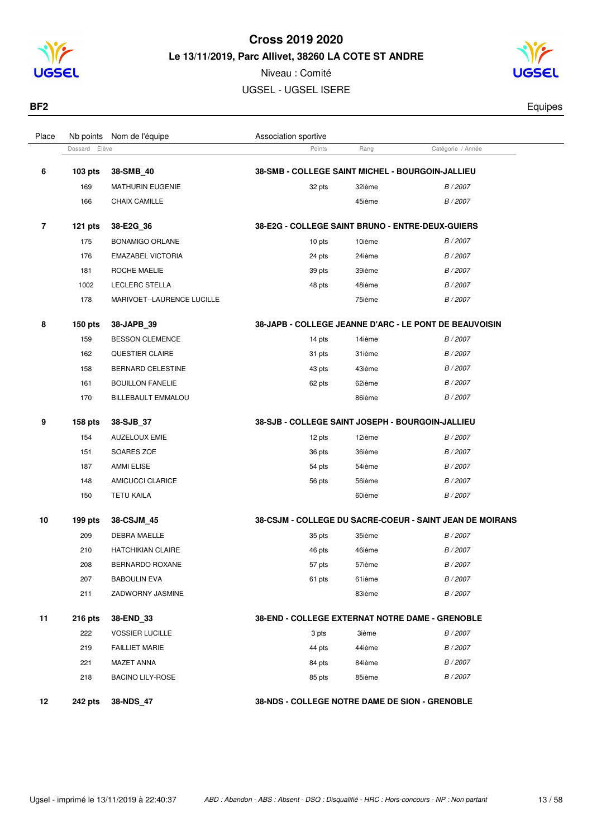

Niveau : Comité UGSEL - UGSEL ISERE



| BF2   |                           |                      |      |                   | Equipes |
|-------|---------------------------|----------------------|------|-------------------|---------|
|       |                           |                      |      |                   |         |
| Place | Nb points Nom de l'équipe | Association sportive |      |                   |         |
|       | Dossard Elève             | Points               | Rang | Catégorie / Année |         |

|    | Dossard<br>Elève |                            | Points                                                  | Rang   | Catégorie / Année                                               |
|----|------------------|----------------------------|---------------------------------------------------------|--------|-----------------------------------------------------------------|
| 6  | 103 pts          | 38-SMB_40                  | 38-SMB - COLLEGE SAINT MICHEL - BOURGOIN-JALLIEU        |        |                                                                 |
|    | 169              | <b>MATHURIN EUGENIE</b>    | 32 pts                                                  | 32ième | B/2007                                                          |
|    | 166              | CHAIX CAMILLE              |                                                         | 45ième | B/2007                                                          |
| 7  | $121$ pts        | 38-E2G_36                  | <b>38-E2G - COLLEGE SAINT BRUNO - ENTRE-DEUX-GUIERS</b> |        |                                                                 |
|    | 175              | <b>BONAMIGO ORLANE</b>     | 10 pts                                                  | 10ième | B / 2007                                                        |
|    | 176              | <b>EMAZABEL VICTORIA</b>   | 24 pts                                                  | 24ième | B/2007                                                          |
|    | 181              | ROCHE MAELIE               | 39 pts                                                  | 39ième | B / 2007                                                        |
|    | 1002             | LECLERC STELLA             | 48 pts                                                  | 48ième | B / 2007                                                        |
|    | 178              | MARIVOET--LAURENCE LUCILLE |                                                         | 75ième | B / 2007                                                        |
| 8  | $150$ pts        | 38-JAPB_39                 |                                                         |        | 38-JAPB - COLLEGE JEANNE D'ARC - LE PONT DE BEAUVOISIN          |
|    | 159              | <b>BESSON CLEMENCE</b>     | 14 pts                                                  | 14ième | B / 2007                                                        |
|    | 162              | <b>QUESTIER CLAIRE</b>     | 31 pts                                                  | 31ième | B / 2007                                                        |
|    | 158              | <b>BERNARD CELESTINE</b>   | 43 pts                                                  | 43ième | B / 2007                                                        |
|    | 161              | <b>BOUILLON FANELIE</b>    | 62 pts                                                  | 62ième | B / 2007                                                        |
|    | 170              | <b>BILLEBAULT EMMALOU</b>  |                                                         | 86ième | B/2007                                                          |
| 9  | 158 pts          | 38-SJB_37                  | 38-SJB - COLLEGE SAINT JOSEPH - BOURGOIN-JALLIEU        |        |                                                                 |
|    | 154              | <b>AUZELOUX EMIE</b>       | 12 pts                                                  | 12ième | B/2007                                                          |
|    | 151              | SOARES ZOE                 | 36 pts                                                  | 36ième | B / 2007                                                        |
|    | 187              | <b>AMMI ELISE</b>          | 54 pts                                                  | 54ième | B / 2007                                                        |
|    | 148              | AMICUCCI CLARICE           | 56 pts                                                  | 56ième | B / 2007                                                        |
|    | 150              | <b>TETU KAILA</b>          |                                                         | 60ième | B / 2007                                                        |
| 10 | $199$ pts        | 38-CSJM_45                 |                                                         |        | <b>38-CSJM - COLLEGE DU SACRE-COEUR - SAINT JEAN DE MOIRANS</b> |
|    | 209              | <b>DEBRA MAELLE</b>        | 35 pts                                                  | 35ième | B / 2007                                                        |
|    | 210              | <b>HATCHIKIAN CLAIRE</b>   | 46 pts                                                  | 46ième | B / 2007                                                        |
|    | 208              | BERNARDO ROXANE            | 57 pts                                                  | 57ième | B / 2007                                                        |
|    | 207              | <b>BABOULIN EVA</b>        | 61 pts                                                  | 61ième | B / 2007                                                        |
|    | 211              | ZADWORNY JASMINE           |                                                         | 83ième | B / 2007                                                        |
| 11 | 216 pts          | 38-END_33                  | 38-END - COLLEGE EXTERNAT NOTRE DAME - GRENOBLE         |        |                                                                 |
|    | 222              | <b>VOSSIER LUCILLE</b>     | 3 pts                                                   | 3ième  | B / 2007                                                        |
|    | 219              | <b>FAILLIET MARIE</b>      | 44 pts                                                  | 44ième | B / 2007                                                        |
|    | 221              | <b>MAZET ANNA</b>          | 84 pts                                                  | 84ième | B / 2007                                                        |
|    | 218              | <b>BACINO LILY-ROSE</b>    | 85 pts                                                  | 85ième | B / 2007                                                        |
| 12 | 242 pts          | 38-NDS_47                  | 38-NDS - COLLEGE NOTRE DAME DE SION - GRENOBLE          |        |                                                                 |
|    |                  |                            |                                                         |        |                                                                 |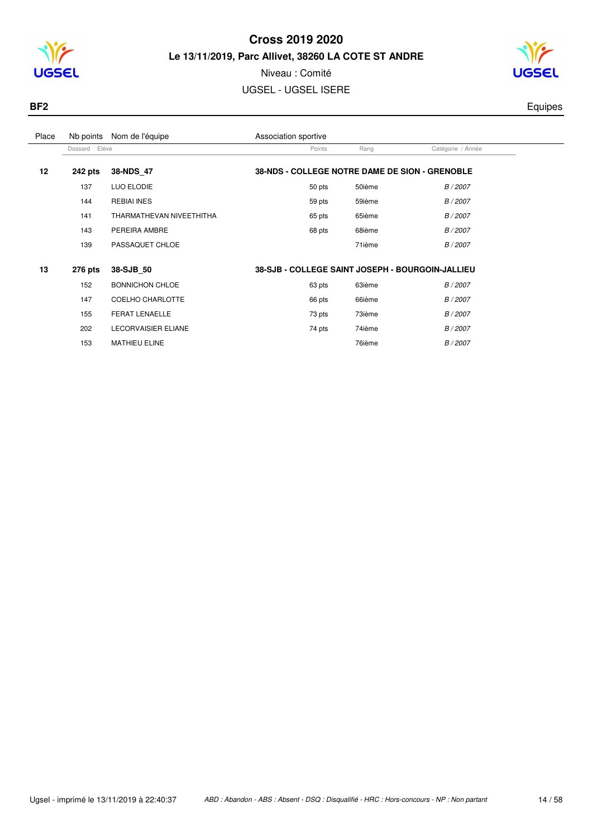



# Niveau : Comité

UGSEL - UGSEL ISERE



| Place | Nb points     | Nom de l'équipe            | Association sportive                             |        |                   |  |
|-------|---------------|----------------------------|--------------------------------------------------|--------|-------------------|--|
|       | Dossard Elève |                            | Points                                           | Rang   | Catégorie / Année |  |
| 12    | 242 pts       | 38-NDS 47                  | 38-NDS - COLLEGE NOTRE DAME DE SION - GRENOBLE   |        |                   |  |
|       | 137           | LUO ELODIE                 | 50 pts                                           | 50ième | B / 2007          |  |
|       | 144           | <b>REBIAI INES</b>         | 59 pts                                           | 59ième | B / 2007          |  |
|       | 141           | THARMATHEVAN NIVEETHITHA   | 65 pts                                           | 65ième | B / 2007          |  |
|       | 143           | PEREIRA AMBRE              | 68 pts                                           | 68ième | B / 2007          |  |
|       | 139           | PASSAQUET CHLOE            |                                                  | 71ième | B / 2007          |  |
|       |               |                            |                                                  |        |                   |  |
| 13    | 276 pts       | 38-SJB 50                  | 38-SJB - COLLEGE SAINT JOSEPH - BOURGOIN-JALLIEU |        |                   |  |
|       | 152           | <b>BONNICHON CHLOE</b>     | 63 pts                                           | 63ième | B / 2007          |  |
|       | 147           | COELHO CHARLOTTE           | 66 pts                                           | 66ième | B / 2007          |  |
|       | 155           | FERAT LENAELLE             | 73 pts                                           | 73ième | B / 2007          |  |
|       | 202           | <b>LECORVAISIER ELIANE</b> | 74 pts                                           | 74ième | B / 2007          |  |
|       | 153           | <b>MATHIEU ELINE</b>       |                                                  | 76ième | B / 2007          |  |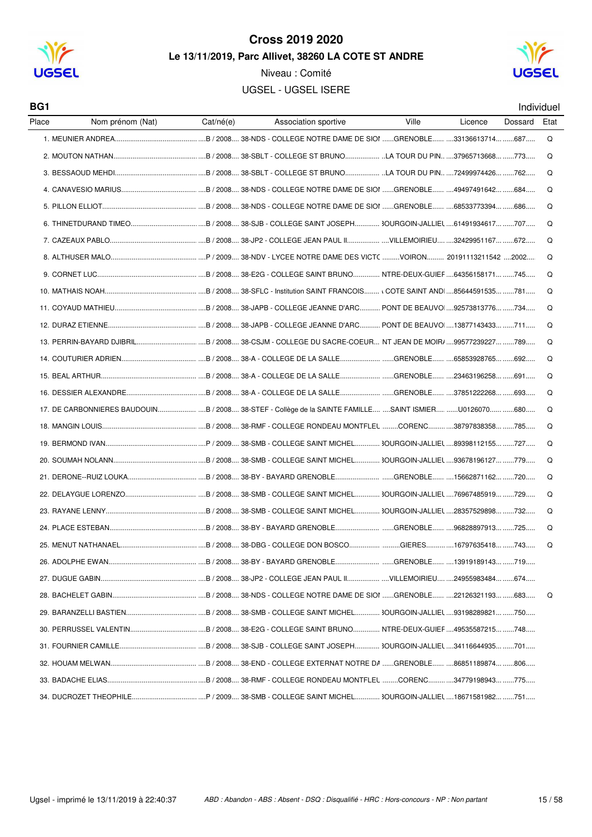

Niveau : Comité **UGSEL - UGSEL ISERE** 



BG1

Individuel

| Place | Nom prénom (Nat) | Cat/né(e) | Association sportive                                                                                  | Ville | Licence | Dossard | Eta |
|-------|------------------|-----------|-------------------------------------------------------------------------------------------------------|-------|---------|---------|-----|
|       |                  |           |                                                                                                       |       |         |         | Q   |
|       |                  |           |                                                                                                       |       |         |         | Q   |
|       |                  |           |                                                                                                       |       |         |         | Q   |
|       |                  |           |                                                                                                       |       |         |         | Q   |
|       |                  |           |                                                                                                       |       |         |         | Q   |
|       |                  |           |                                                                                                       |       |         |         | Q   |
|       |                  |           |                                                                                                       |       |         |         | Q   |
|       |                  |           |                                                                                                       |       |         |         | Q   |
|       |                  |           |                                                                                                       |       |         |         | Q   |
|       |                  |           |                                                                                                       |       |         |         | Q   |
|       |                  |           |                                                                                                       |       |         |         | Q   |
|       |                  |           |                                                                                                       |       |         |         | Q   |
|       |                  |           |                                                                                                       |       |         |         | Q   |
|       |                  |           |                                                                                                       |       |         |         | Q   |
|       |                  |           |                                                                                                       |       |         |         | Q   |
|       |                  |           |                                                                                                       |       |         |         | Q   |
|       |                  |           | 17. DE CARBONNIERES BAUDOUINB / 2008 38-STEF - Collège de la SAINTE FAMILLE SAINT ISMIER U0126070 680 |       |         |         | Q   |
|       |                  |           |                                                                                                       |       |         |         | Q   |
|       |                  |           |                                                                                                       |       |         |         | Q   |
|       |                  |           |                                                                                                       |       |         |         | Q   |
|       |                  |           |                                                                                                       |       |         |         | Q   |
|       |                  |           |                                                                                                       |       |         |         | Q   |
|       |                  |           |                                                                                                       |       |         |         | Q   |
|       |                  |           |                                                                                                       |       |         |         | Q   |
|       |                  |           |                                                                                                       |       |         |         | Q   |
|       |                  |           |                                                                                                       |       |         |         |     |
|       |                  |           |                                                                                                       |       |         |         |     |
|       |                  |           |                                                                                                       |       |         |         | Q   |
|       |                  |           |                                                                                                       |       |         |         |     |
|       |                  |           |                                                                                                       |       |         |         |     |
|       |                  |           |                                                                                                       |       |         |         |     |
|       |                  |           |                                                                                                       |       |         |         |     |
|       |                  |           |                                                                                                       |       |         |         |     |
|       |                  |           |                                                                                                       |       |         |         |     |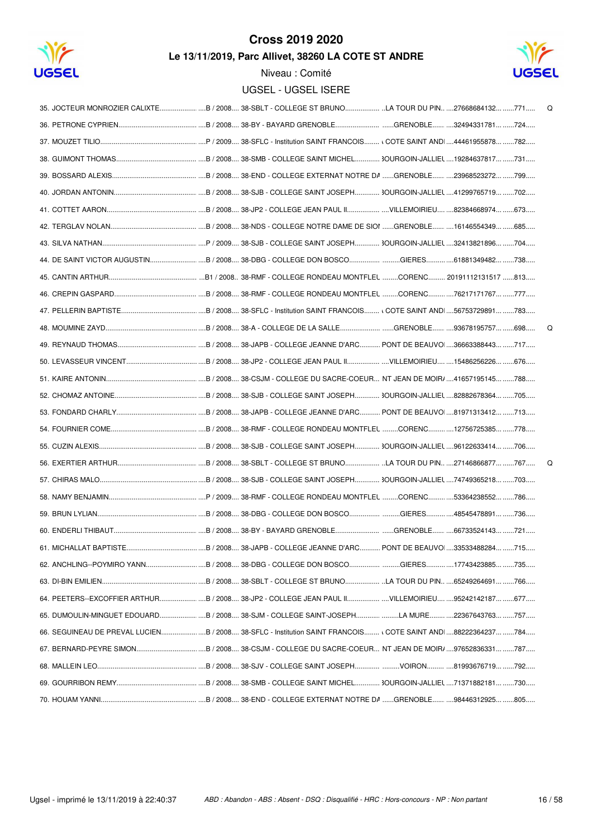



| 35. JOCTEUR MONROZIER CALIXTE B / 2008 38-SBLT - COLLEGE ST BRUNO LA TOUR DU PIN 27668684132 771            | Q |
|-------------------------------------------------------------------------------------------------------------|---|
|                                                                                                             |   |
|                                                                                                             |   |
|                                                                                                             |   |
|                                                                                                             |   |
|                                                                                                             |   |
|                                                                                                             |   |
|                                                                                                             |   |
|                                                                                                             |   |
| 44. DE SAINT VICTOR AUGUSTINB / 2008 38-DBG - COLLEGE DON BOSCOGIERES61881349482 738                        |   |
|                                                                                                             |   |
|                                                                                                             |   |
|                                                                                                             |   |
|                                                                                                             | Q |
|                                                                                                             |   |
|                                                                                                             |   |
|                                                                                                             |   |
|                                                                                                             |   |
|                                                                                                             |   |
|                                                                                                             |   |
|                                                                                                             |   |
|                                                                                                             | Q |
|                                                                                                             |   |
|                                                                                                             |   |
|                                                                                                             |   |
|                                                                                                             |   |
|                                                                                                             |   |
|                                                                                                             |   |
|                                                                                                             |   |
|                                                                                                             |   |
|                                                                                                             |   |
| 66. SEGUINEAU DE PREVAL LUCIENB / 2008 38-SFLC - Institution SAINT FRANCOIS (COTE SAINT AND 88222364237 784 |   |
|                                                                                                             |   |
|                                                                                                             |   |
|                                                                                                             |   |
|                                                                                                             |   |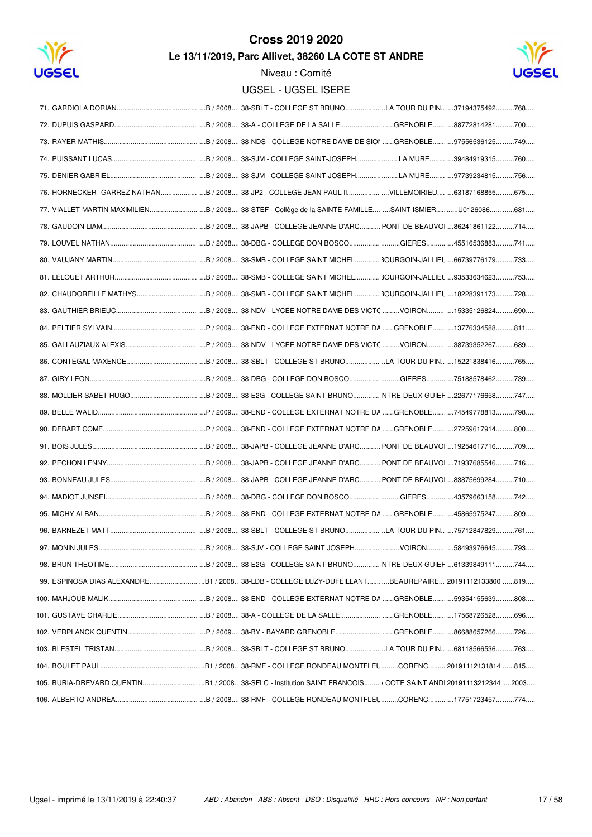



| 76. HORNECKER--GARREZ NATHAN B / 2008 38-JP2 - COLLEGE JEAN PAUL II VILLEMOIRIEU 63187168855 675      |  |  |
|-------------------------------------------------------------------------------------------------------|--|--|
|                                                                                                       |  |  |
|                                                                                                       |  |  |
|                                                                                                       |  |  |
|                                                                                                       |  |  |
|                                                                                                       |  |  |
|                                                                                                       |  |  |
|                                                                                                       |  |  |
|                                                                                                       |  |  |
|                                                                                                       |  |  |
|                                                                                                       |  |  |
|                                                                                                       |  |  |
|                                                                                                       |  |  |
|                                                                                                       |  |  |
|                                                                                                       |  |  |
|                                                                                                       |  |  |
|                                                                                                       |  |  |
|                                                                                                       |  |  |
|                                                                                                       |  |  |
|                                                                                                       |  |  |
|                                                                                                       |  |  |
|                                                                                                       |  |  |
|                                                                                                       |  |  |
| 99. ESPINOSA DIAS ALEXANDRE B1 / 2008 38-LDB - COLLEGE LUZY-DUFEILLANT BEAUREPAIRE 20191112133800 819 |  |  |
|                                                                                                       |  |  |
|                                                                                                       |  |  |
|                                                                                                       |  |  |
|                                                                                                       |  |  |
|                                                                                                       |  |  |
|                                                                                                       |  |  |
|                                                                                                       |  |  |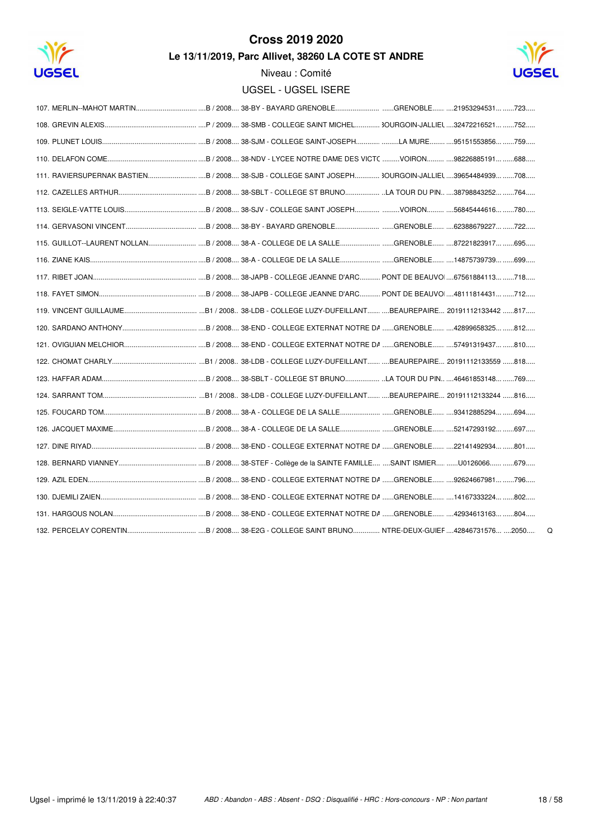



Niveau : Comité **UGSEL - UGSEL ISERE** 

 $\mathsf Q$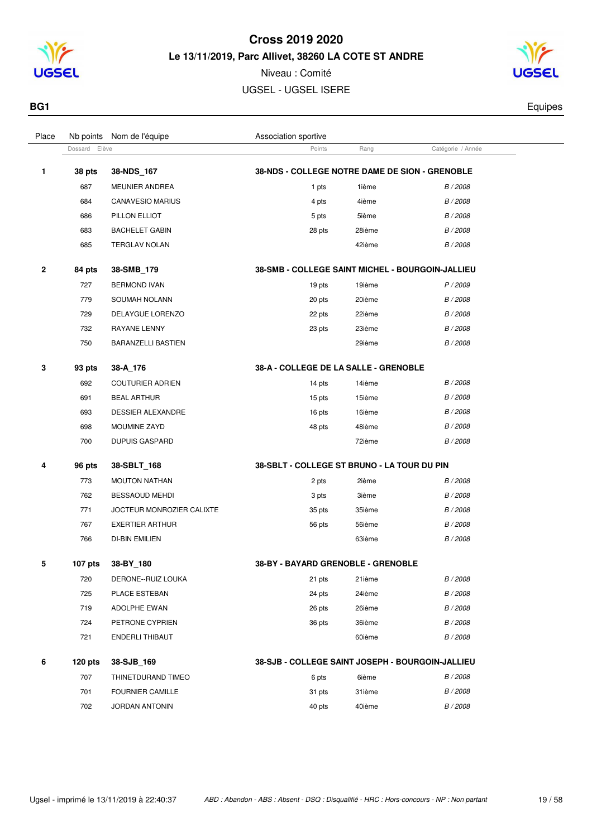

Niveau : Comité UGSEL - UGSEL ISERE

Dossard Elève **Points** Rang Catégorie / Année

Place Nb points Nom de l'équipe  $\blacksquare$  Association sportive



**BG1** Equipes

| 1 | 38 pts  | 38-NDS_167                | 38-NDS - COLLEGE NOTRE DAME DE SION - GRENOBLE   |        |          |
|---|---------|---------------------------|--------------------------------------------------|--------|----------|
|   | 687     | <b>MEUNIER ANDREA</b>     | 1 pts                                            | 1ième  | B / 2008 |
|   | 684     | <b>CANAVESIO MARIUS</b>   | 4 pts                                            | 4ième  | B / 2008 |
|   | 686     | PILLON ELLIOT             | 5 pts                                            | 5ième  | B / 2008 |
|   | 683     | <b>BACHELET GABIN</b>     | 28 pts                                           | 28ième | B / 2008 |
|   | 685     | <b>TERGLAV NOLAN</b>      |                                                  | 42ième | B / 2008 |
| 2 | 84 pts  | 38-SMB 179                | 38-SMB - COLLEGE SAINT MICHEL - BOURGOIN-JALLIEU |        |          |
|   | 727     | <b>BERMOND IVAN</b>       | 19 pts                                           | 19ième | P / 2009 |
|   | 779     | SOUMAH NOLANN             | 20 pts                                           | 20ième | B / 2008 |
|   | 729     | DELAYGUE LORENZO          | 22 pts                                           | 22ième | B / 2008 |
|   | 732     | RAYANE LENNY              | 23 pts                                           | 23ième | B / 2008 |
|   | 750     | <b>BARANZELLI BASTIEN</b> |                                                  | 29ième | B / 2008 |
| 3 | 93 pts  | 38-A 176                  | 38-A - COLLEGE DE LA SALLE - GRENOBLE            |        |          |
|   | 692     | <b>COUTURIER ADRIEN</b>   | 14 pts                                           | 14ième | B / 2008 |
|   | 691     | <b>BEAL ARTHUR</b>        | 15 pts                                           | 15ième | B / 2008 |
|   | 693     | <b>DESSIER ALEXANDRE</b>  | 16 pts                                           | 16ième | B / 2008 |
|   | 698     | MOUMINE ZAYD              | 48 pts                                           | 48ième | B / 2008 |
|   | 700     | <b>DUPUIS GASPARD</b>     |                                                  | 72ième | B / 2008 |
| 4 | 96 pts  | 38-SBLT 168               | 38-SBLT - COLLEGE ST BRUNO - LA TOUR DU PIN      |        |          |
|   | 773     | <b>MOUTON NATHAN</b>      | 2 pts                                            | 2ième  | B / 2008 |
|   | 762     | <b>BESSAOUD MEHDI</b>     | 3 pts                                            | 3ième  | B / 2008 |
|   | 771     | JOCTEUR MONROZIER CALIXTE | 35 pts                                           | 35ième | B / 2008 |
|   | 767     | <b>EXERTIER ARTHUR</b>    | 56 pts                                           | 56ième | B / 2008 |
|   | 766     | <b>DI-BIN EMILIEN</b>     |                                                  | 63ième | B / 2008 |
| 5 | 107 pts | 38-BY_180                 | 38-BY - BAYARD GRENOBLE - GRENOBLE               |        |          |

| 720 | DERONE--RUIZ LOUKA   | 21 pts | 21ième | B/2008 |
|-----|----------------------|--------|--------|--------|
| 725 | <b>PLACE ESTEBAN</b> | 24 pts | 24ième | B/2008 |
| 719 | ADOLPHE EWAN         | 26 pts | 26ième | B/2008 |
| 724 | PETRONE CYPRIEN      | 36 pts | 36ième | B/2008 |
| 721 | ENDERLI THIBAUT      |        | 60ième | B/2008 |

#### **120 pts 38-SJB\_169 38-SJB - COLLEGE SAINT JOSEPH - BOURGOIN-JALLIEU** 707 THINETDURAND TIMEO 6 pts 6ième B / 2008 701 FOURNIER CAMILLE **1999 Subset CAMILLE** 31 pts 31ième B / 2008 JORDAN ANTONIN 40 pts 40ième B / 2008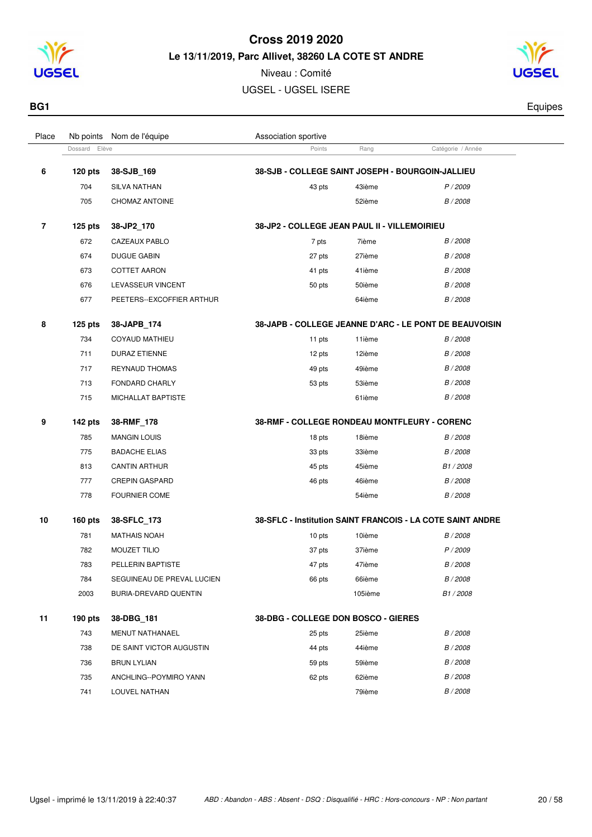

Niveau : Comité UGSEL - UGSEL ISERE



**BG1** Equipes

| Place | Nb points        | Nom de l'équipe            | Association sportive                             |         |                                                            |  |
|-------|------------------|----------------------------|--------------------------------------------------|---------|------------------------------------------------------------|--|
|       | Dossard<br>Elève |                            | Points                                           | Rang    | Catégorie / Année                                          |  |
| 6     | $120$ pts        | 38-SJB_169                 | 38-SJB - COLLEGE SAINT JOSEPH - BOURGOIN-JALLIEU |         |                                                            |  |
|       | 704              | SILVA NATHAN               | 43 pts                                           | 43ième  | P / 2009                                                   |  |
|       | 705              | CHOMAZ ANTOINE             |                                                  | 52ième  | B / 2008                                                   |  |
| 7     | $125$ pts        | 38-JP2_170                 | 38-JP2 - COLLEGE JEAN PAUL II - VILLEMOIRIEU     |         |                                                            |  |
|       | 672              | CAZEAUX PABLO              | 7 pts                                            | 7ième   | B / 2008                                                   |  |
|       | 674              | <b>DUGUE GABIN</b>         | 27 pts                                           | 27ième  | B / 2008                                                   |  |
|       | 673              | <b>COTTET AARON</b>        | 41 pts                                           | 41ième  | B / 2008                                                   |  |
|       | 676              | LEVASSEUR VINCENT          | 50 pts                                           | 50ième  | B / 2008                                                   |  |
|       | 677              | PEETERS--EXCOFFIER ARTHUR  |                                                  | 64ième  | B / 2008                                                   |  |
| 8     | $125$ pts        | 38-JAPB_174                |                                                  |         | 38-JAPB - COLLEGE JEANNE D'ARC - LE PONT DE BEAUVOISIN     |  |
|       | 734              | <b>COYAUD MATHIEU</b>      | 11 pts                                           | 11ième  | B / 2008                                                   |  |
|       | 711              | <b>DURAZ ETIENNE</b>       | 12 pts                                           | 12ième  | B / 2008                                                   |  |
|       | 717              | <b>REYNAUD THOMAS</b>      | 49 pts                                           | 49ième  | B / 2008                                                   |  |
|       | 713              | FONDARD CHARLY             | 53 pts                                           | 53ième  | B / 2008                                                   |  |
|       | 715              | MICHALLAT BAPTISTE         |                                                  | 61ième  | B / 2008                                                   |  |
| 9     | 142 pts          | 38-RMF_178                 | 38-RMF - COLLEGE RONDEAU MONTFLEURY - CORENC     |         |                                                            |  |
|       | 785              | <b>MANGIN LOUIS</b>        | 18 pts                                           | 18ième  | B / 2008                                                   |  |
|       | 775              | <b>BADACHE ELIAS</b>       | 33 pts                                           | 33ième  | B / 2008                                                   |  |
|       | 813              | <b>CANTIN ARTHUR</b>       | 45 pts                                           | 45ième  | B <sub>1</sub> /2008                                       |  |
|       | 777              | <b>CREPIN GASPARD</b>      | 46 pts                                           | 46ième  | B / 2008                                                   |  |
|       | 778              | <b>FOURNIER COME</b>       |                                                  | 54ième  | B / 2008                                                   |  |
| 10    | $160$ pts        | 38-SFLC_173                |                                                  |         | 38-SFLC - Institution SAINT FRANCOIS - LA COTE SAINT ANDRE |  |
|       | 781              | <b>MATHAIS NOAH</b>        | 10 pts                                           | 10ième  | B / 2008                                                   |  |
|       | 782              | MOUZET TILIO               | 37 pts                                           | 37ième  | P/2009                                                     |  |
|       | 783              | PELLERIN BAPTISTE          | 47 pts                                           | 47ième  | B / 2008                                                   |  |
|       | 784              | SEGUINEAU DE PREVAL LUCIEN | 66 pts                                           | 66ième  | B / 2008                                                   |  |
|       | 2003             | BURIA-DREVARD QUENTIN      |                                                  | 105ième | B1/2008                                                    |  |
| 11    | $190$ pts        | 38-DBG_181                 | 38-DBG - COLLEGE DON BOSCO - GIERES              |         |                                                            |  |
|       | 743              | MENUT NATHANAEL            | 25 pts                                           | 25ième  | B / 2008                                                   |  |
|       | 738              | DE SAINT VICTOR AUGUSTIN   | 44 pts                                           | 44ième  | B / 2008                                                   |  |
|       | 736              | <b>BRUN LYLIAN</b>         | 59 pts                                           | 59ième  | B / 2008                                                   |  |
|       | 735              | ANCHLING--POYMIRO YANN     | 62 pts                                           | 62ième  | B / 2008                                                   |  |
|       | 741              | LOUVEL NATHAN              |                                                  | 79ième  | B / 2008                                                   |  |
|       |                  |                            |                                                  |         |                                                            |  |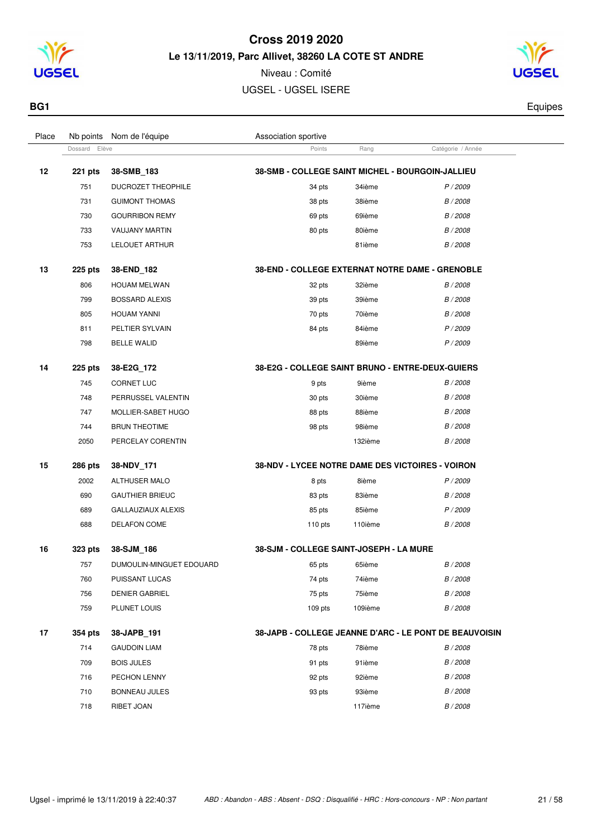

Niveau : Comité UGSEL - UGSEL ISERE



**BG1** Equipes

| Place | Nb points        | Nom de l'équipe           | Association sportive                             |         |                                                        |  |
|-------|------------------|---------------------------|--------------------------------------------------|---------|--------------------------------------------------------|--|
|       | Elève<br>Dossard |                           | Points                                           | Rang    | Catégorie / Année                                      |  |
| 12    | 221 pts          | 38-SMB_183                | 38-SMB - COLLEGE SAINT MICHEL - BOURGOIN-JALLIEU |         |                                                        |  |
|       | 751              | DUCROZET THEOPHILE        | 34 pts                                           | 34ième  | P/2009                                                 |  |
|       | 731              | <b>GUIMONT THOMAS</b>     | 38 pts                                           | 38ième  | B / 2008                                               |  |
|       | 730              | <b>GOURRIBON REMY</b>     | 69 pts                                           | 69ième  | B / 2008                                               |  |
|       | 733              | VAUJANY MARTIN            | 80 pts                                           | 80ième  | B / 2008                                               |  |
|       | 753              | <b>LELOUET ARTHUR</b>     |                                                  | 81ième  | B / 2008                                               |  |
| 13    | <b>225 pts</b>   | 38-END 182                | 38-END - COLLEGE EXTERNAT NOTRE DAME - GRENOBLE  |         |                                                        |  |
|       | 806              | <b>HOUAM MELWAN</b>       | 32 pts                                           | 32ième  | B / 2008                                               |  |
|       | 799              | <b>BOSSARD ALEXIS</b>     | 39 pts                                           | 39ième  | B / 2008                                               |  |
|       | 805              | <b>HOUAM YANNI</b>        | 70 pts                                           | 70ième  | B / 2008                                               |  |
|       | 811              | PELTIER SYLVAIN           | 84 pts                                           | 84ième  | P / 2009                                               |  |
|       | 798              | <b>BELLE WALID</b>        |                                                  | 89ième  | P / 2009                                               |  |
| 14    | 225 pts          | 38-E2G_172                | 38-E2G - COLLEGE SAINT BRUNO - ENTRE-DEUX-GUIERS |         |                                                        |  |
|       | 745              | <b>CORNET LUC</b>         | 9 pts                                            | 9ième   | B / 2008                                               |  |
|       | 748              | PERRUSSEL VALENTIN        | 30 pts                                           | 30ième  | B / 2008                                               |  |
|       | 747              | MOLLIER-SABET HUGO        | 88 pts                                           | 88ième  | B / 2008                                               |  |
|       | 744              | <b>BRUN THEOTIME</b>      | 98 pts                                           | 98ième  | B / 2008                                               |  |
|       | 2050             | PERCELAY CORENTIN         |                                                  | 132ième | B / 2008                                               |  |
| 15    | 286 pts          | 38-NDV_171                | 38-NDV - LYCEE NOTRE DAME DES VICTOIRES - VOIRON |         |                                                        |  |
|       | 2002             | <b>ALTHUSER MALO</b>      | 8 pts                                            | 8ième   | P / 2009                                               |  |
|       | 690              | <b>GAUTHIER BRIEUC</b>    | 83 pts                                           | 83ième  | B / 2008                                               |  |
|       | 689              | <b>GALLAUZIAUX ALEXIS</b> | 85 pts                                           | 85ième  | P / 2009                                               |  |
|       | 688              | <b>DELAFON COME</b>       | $110$ pts                                        | 110ième | B / 2008                                               |  |
| 16    | 323 pts          | 38-SJM_186                | <b>38-SJM - COLLEGE SAINT-JOSEPH - LA MURE</b>   |         |                                                        |  |
|       | 757              | DUMOULIN-MINGUET EDOUARD  | 65 pts                                           | 65ième  | B / 2008                                               |  |
|       | 760              | PUISSANT LUCAS            | 74 pts                                           | 74ième  | B / 2008                                               |  |
|       | 756              | <b>DENIER GABRIEL</b>     | 75 pts                                           | 75ième  | B / 2008                                               |  |
|       | 759              | PLUNET LOUIS              | 109 pts                                          | 109ième | B / 2008                                               |  |
| 17    | 354 pts          | 38-JAPB_191               |                                                  |         | 38-JAPB - COLLEGE JEANNE D'ARC - LE PONT DE BEAUVOISIN |  |
|       | 714              | <b>GAUDOIN LIAM</b>       | 78 pts                                           | 78ième  | B / 2008                                               |  |
|       | 709              | <b>BOIS JULES</b>         | 91 pts                                           | 91ième  | B / 2008                                               |  |
|       | 716              | PECHON LENNY              | 92 pts                                           | 92ième  | B / 2008                                               |  |
|       | 710              | <b>BONNEAU JULES</b>      | 93 pts                                           | 93ième  | B / 2008                                               |  |
|       | 718              | RIBET JOAN                |                                                  | 117ième | B / 2008                                               |  |
|       |                  |                           |                                                  |         |                                                        |  |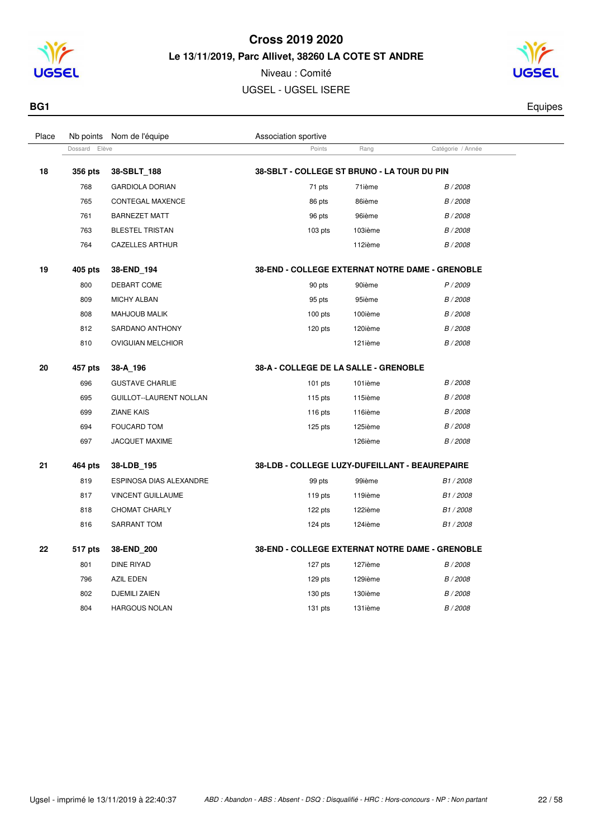

Niveau : Comité UGSEL - UGSEL ISERE



**BG1** Equipes

| Place | Nb points        | Nom de l'équipe          | Association sportive                            |         |                      |  |
|-------|------------------|--------------------------|-------------------------------------------------|---------|----------------------|--|
|       | Elève<br>Dossard |                          | Points                                          | Rang    | Catégorie / Année    |  |
| 18    | 356 pts          | 38-SBLT 188              | 38-SBLT - COLLEGE ST BRUNO - LA TOUR DU PIN     |         |                      |  |
|       | 768              | <b>GARDIOLA DORIAN</b>   | 71 pts                                          | 71ième  | B / 2008             |  |
|       | 765              | CONTEGAL MAXENCE         | 86 pts                                          | 86ième  | B / 2008             |  |
|       | 761              | <b>BARNEZET MATT</b>     | 96 pts                                          | 96ième  | B / 2008             |  |
|       | 763              | <b>BLESTEL TRISTAN</b>   | $103$ pts                                       | 103ième | B / 2008             |  |
|       | 764              | <b>CAZELLES ARTHUR</b>   |                                                 | 112ième | B / 2008             |  |
| 19    | 405 pts          | 38-END_194               | 38-END - COLLEGE EXTERNAT NOTRE DAME - GRENOBLE |         |                      |  |
|       | 800              | DEBART COME              | 90 pts                                          | 90ième  | P / 2009             |  |
|       | 809              | <b>MICHY ALBAN</b>       | 95 pts                                          | 95ième  | B / 2008             |  |
|       | 808              | <b>MAHJOUB MALIK</b>     | $100$ pts                                       | 100ième | B / 2008             |  |
|       | 812              | SARDANO ANTHONY          | 120 pts                                         | 120ième | B / 2008             |  |
|       | 810              | <b>OVIGUIAN MELCHIOR</b> |                                                 | 121ième | B / 2008             |  |
| 20    | 457 pts          | 38-A_196                 | 38-A - COLLEGE DE LA SALLE - GRENOBLE           |         |                      |  |
|       | 696              | <b>GUSTAVE CHARLIE</b>   | $101$ pts                                       | 101ième | B / 2008             |  |
|       | 695              | GUILLOT--LAURENT NOLLAN  | $115$ pts                                       | 115ième | B / 2008             |  |
|       | 699              | <b>ZIANE KAIS</b>        | 116 pts                                         | 116ième | B / 2008             |  |
|       | 694              | <b>FOUCARD TOM</b>       | 125 pts                                         | 125ième | B / 2008             |  |
|       | 697              | <b>JACQUET MAXIME</b>    |                                                 | 126ième | B / 2008             |  |
| 21    | 464 pts          | 38-LDB 195               | 38-LDB - COLLEGE LUZY-DUFEILLANT - BEAUREPAIRE  |         |                      |  |
|       | 819              | ESPINOSA DIAS ALEXANDRE  | 99 pts                                          | 99ième  | B1/2008              |  |
|       | 817              | VINCENT GUILLAUME        | 119 pts                                         | 119ième | B1/2008              |  |
|       | 818              | <b>CHOMAT CHARLY</b>     | 122 pts                                         | 122ième | B1/2008              |  |
|       | 816              | SARRANT TOM              | 124 pts                                         | 124ième | B <sub>1</sub> /2008 |  |
| 22    | 517 pts          | 38-END_200               | 38-END - COLLEGE EXTERNAT NOTRE DAME - GRENOBLE |         |                      |  |
|       | 801              | <b>DINE RIYAD</b>        | 127 pts                                         | 127ième | B / 2008             |  |
|       | 796              | AZIL EDEN                | 129 pts                                         | 129ième | B / 2008             |  |
|       | 802              | <b>DJEMILI ZAIEN</b>     | 130 pts                                         | 130ième | B / 2008             |  |
|       | 804              | <b>HARGOUS NOLAN</b>     | 131 pts                                         | 131ième | B / 2008             |  |
|       |                  |                          |                                                 |         |                      |  |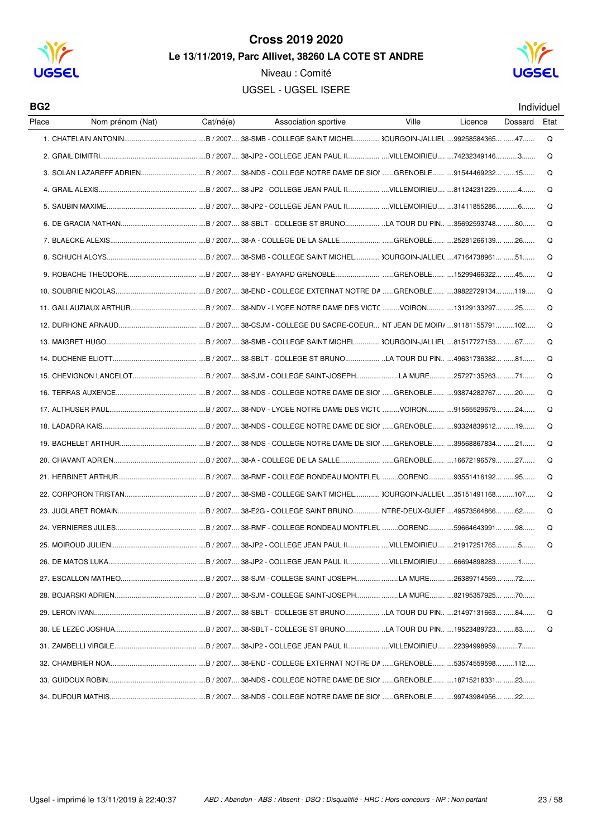

Niveau : Comité





Individuel

| BG <sub>2</sub> |                     |           |                                           |              |             | Individue |      |
|-----------------|---------------------|-----------|-------------------------------------------|--------------|-------------|-----------|------|
| Place           | Nom prénom (Nat)    | Cat/né(e) | Association sportive                      | Ville        | Licence     | Dossard   | Etat |
|                 |                     |           |                                           |              |             |           | Q    |
|                 |                     |           |                                           |              |             |           | Q    |
|                 |                     |           |                                           |              |             |           | Q    |
|                 |                     |           |                                           |              |             |           | Q    |
|                 |                     |           |                                           |              |             |           | Q    |
|                 |                     |           |                                           |              |             |           | Q    |
|                 |                     |           |                                           |              |             |           | Q    |
|                 |                     |           |                                           |              |             |           | Q    |
|                 |                     |           |                                           |              |             |           | Q    |
|                 |                     |           |                                           |              |             |           | Q    |
|                 |                     |           |                                           |              |             |           | Q    |
|                 |                     |           |                                           |              |             |           | Q    |
|                 |                     |           |                                           |              |             |           | Q    |
|                 |                     |           |                                           |              |             |           | Q    |
|                 |                     |           |                                           |              |             |           | Q    |
|                 |                     |           |                                           |              |             |           | Q    |
|                 |                     |           |                                           |              |             |           | Q    |
|                 |                     |           |                                           |              |             |           | Q    |
|                 |                     |           |                                           |              |             |           | Q    |
|                 |                     |           |                                           |              |             |           | Q    |
|                 |                     |           |                                           |              |             |           | Q    |
|                 |                     |           |                                           |              |             |           | Q    |
|                 |                     |           |                                           |              |             |           | Q    |
|                 |                     |           |                                           |              |             |           | Q    |
|                 | 25. MOIROUD JULIEN. |           | .B / 2007 38-JP2 - COLLEGE JEAN PAUL II . | VILLEMOIRIEU | 21917251765 | 5         | ∩    |
|                 |                     |           |                                           |              |             |           |      |
|                 |                     |           |                                           |              |             |           |      |
|                 |                     |           |                                           |              |             |           |      |
|                 |                     |           |                                           |              |             |           | Q    |
|                 |                     |           |                                           |              |             |           | Q    |
|                 |                     |           |                                           |              |             |           |      |
|                 |                     |           |                                           |              |             |           |      |
|                 |                     |           |                                           |              |             |           |      |
|                 |                     |           |                                           |              |             |           |      |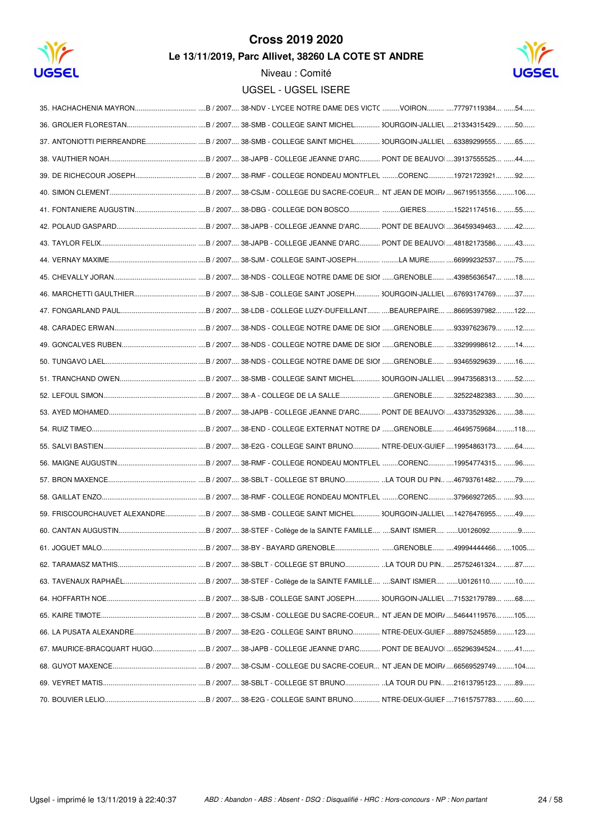

## **Cross 2019 2020**

Le 13/11/2019, Parc Allivet, 38260 LA COTE ST ANDRE



|                  | 59. FRISCOURCHAUVET ALEXANDRE B / 2007 38-SMB - COLLEGE SAINT MICHEL 3OURGOIN-JALLIEL 14276476955 49 |
|------------------|------------------------------------------------------------------------------------------------------|
|                  |                                                                                                      |
| 61. JOGUET MALO. |                                                                                                      |
|                  |                                                                                                      |
|                  |                                                                                                      |
|                  |                                                                                                      |
|                  |                                                                                                      |
|                  |                                                                                                      |
|                  |                                                                                                      |
|                  |                                                                                                      |
|                  |                                                                                                      |
|                  |                                                                                                      |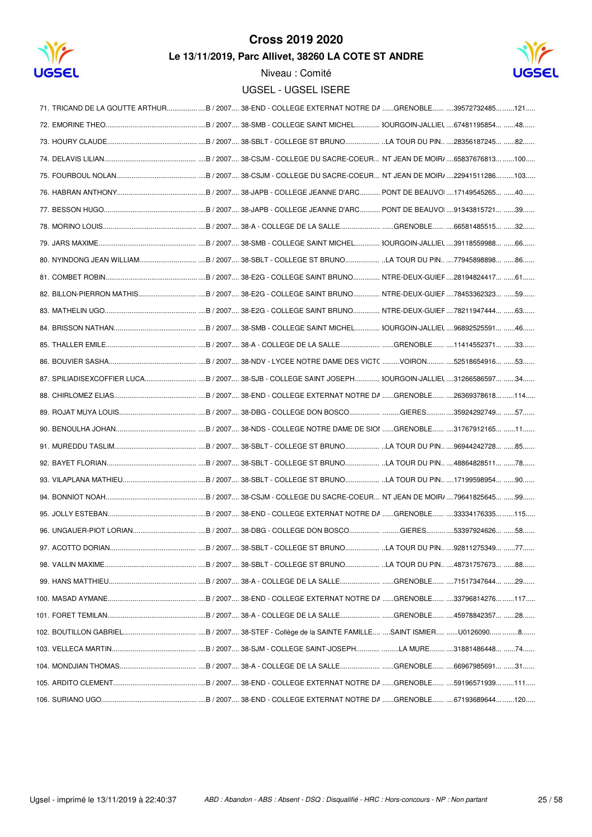

## **Cross 2019 2020**

Le 13/11/2019, Parc Allivet, 38260 LA COTE ST ANDRE



|                   | 71. TRICAND DE LA GOUTTE ARTHURB / 2007 38-END - COLLEGE EXTERNAT NOTRE DA GRENOBLE 39572732485 121 |
|-------------------|-----------------------------------------------------------------------------------------------------|
|                   |                                                                                                     |
|                   |                                                                                                     |
|                   |                                                                                                     |
|                   |                                                                                                     |
|                   |                                                                                                     |
|                   |                                                                                                     |
|                   |                                                                                                     |
|                   |                                                                                                     |
|                   |                                                                                                     |
|                   |                                                                                                     |
|                   |                                                                                                     |
|                   |                                                                                                     |
|                   |                                                                                                     |
|                   |                                                                                                     |
|                   |                                                                                                     |
|                   |                                                                                                     |
|                   |                                                                                                     |
|                   |                                                                                                     |
|                   |                                                                                                     |
|                   |                                                                                                     |
|                   |                                                                                                     |
|                   |                                                                                                     |
|                   |                                                                                                     |
|                   |                                                                                                     |
|                   |                                                                                                     |
| 97. ACOTTO DORIAN |                                                                                                     |
|                   |                                                                                                     |
|                   |                                                                                                     |
|                   |                                                                                                     |
|                   |                                                                                                     |
|                   |                                                                                                     |
|                   |                                                                                                     |
|                   |                                                                                                     |
|                   |                                                                                                     |
|                   |                                                                                                     |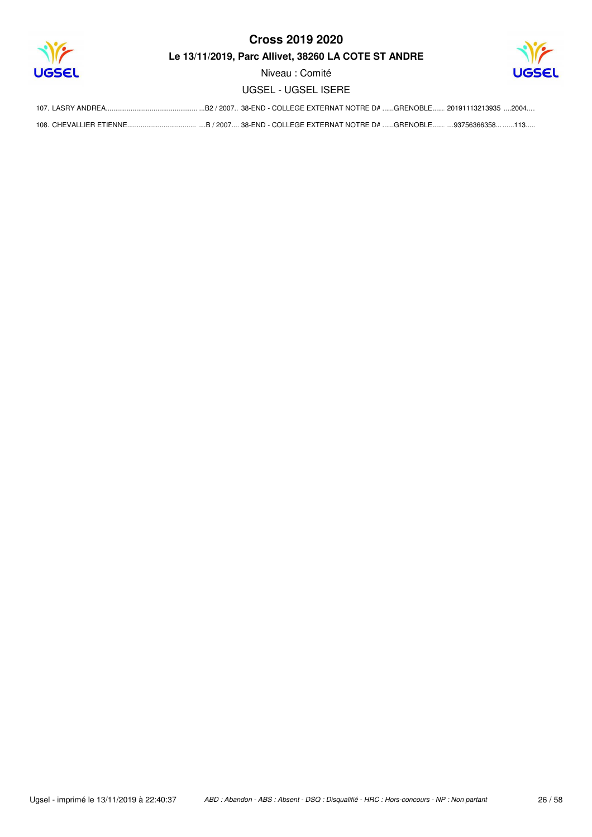

Niveau : Comité **UGSEL - UGSEL ISERE** 

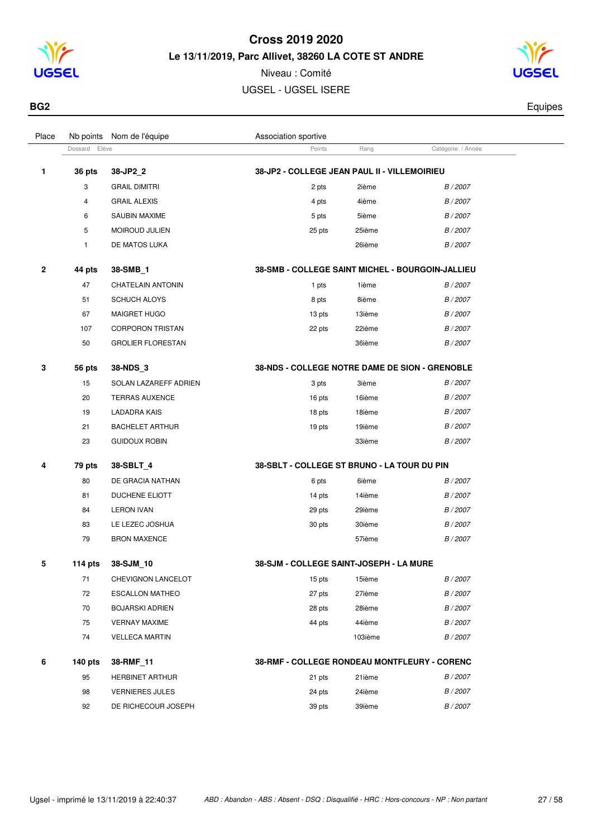

Niveau : Comité UGSEL - UGSEL ISERE

Dossard Elève **Points** Rang Catégorie / Année

Place Nb points Nom de l'équipe  $\blacksquare$  Association sportive



**BG2** Equipes

| 1 | 36 pts       | 38-JP2 2                 | 38-JP2 - COLLEGE JEAN PAUL II - VILLEMOIRIEU     |        |          |
|---|--------------|--------------------------|--------------------------------------------------|--------|----------|
|   | 3            | <b>GRAIL DIMITRI</b>     | 2 pts                                            | 2ième  | B/2007   |
|   | 4            | <b>GRAIL ALEXIS</b>      | 4 pts                                            | 4ième  | B/2007   |
|   | 6            | <b>SAUBIN MAXIME</b>     | 5 pts                                            | 5ième  | B / 2007 |
|   | 5            | MOIROUD JULIEN           | 25 pts                                           | 25ième | B / 2007 |
|   | $\mathbf{1}$ | DE MATOS LUKA            |                                                  | 26ième | B/2007   |
| 2 | 44 pts       | 38-SMB 1                 | 38-SMB - COLLEGE SAINT MICHEL - BOURGOIN-JALLIEU |        |          |
|   | 47           | <b>CHATELAIN ANTONIN</b> | 1 pts                                            | 1ième  | B / 2007 |
|   | 51           | <b>SCHUCH ALOYS</b>      | 8 pts                                            | 8ième  | B / 2007 |
|   | 67           | MAIGRET HUGO             | 13 pts                                           | 13ième | B/2007   |
|   | 107          | <b>CORPORON TRISTAN</b>  | 22 pts                                           | 22ième | B / 2007 |
|   | 50           | <b>GROLIER FLORESTAN</b> |                                                  | 36ième | B/2007   |
| 3 | 56 pts       | 38-NDS 3                 | 38-NDS - COLLEGE NOTRE DAME DE SION - GRENOBLE   |        |          |
|   |              | SOLAN LAZAREFF ADRIEN    | 3 pts                                            | 3ième  | B / 2007 |
|   | 15           |                          |                                                  |        |          |
|   | 20           | <b>TERRAS AUXENCE</b>    | 16 pts                                           | 16ième | B / 2007 |
|   | 19           | <b>LADADRA KAIS</b>      | 18 pts                                           | 18ième | B / 2007 |
|   | 21           | <b>BACHELET ARTHUR</b>   | 19 pts                                           | 19ième | B/2007   |
|   | 23           | <b>GUIDOUX ROBIN</b>     |                                                  | 33ième | B / 2007 |
|   | 79 pts       | 38-SBLT 4                | 38-SBLT - COLLEGE ST BRUNO - LA TOUR DU PIN      |        |          |
|   | 80           | DE GRACIA NATHAN         | 6 pts                                            | 6ième  | B/2007   |
|   | 81           | <b>DUCHENE ELIOTT</b>    | 14 pts                                           | 14ième | B / 2007 |
|   | 84           | <b>LERON IVAN</b>        | 29 pts                                           | 29ième | B / 2007 |
| 4 | 83           | LE LEZEC JOSHUA          | 30 pts                                           | 30ième | B / 2007 |

 **114 pts 38-SJM\_10 38-SJM - COLLEGE SAINT-JOSEPH - LA MURE** 71 CHEVIGNON LANCELOT 15 pts 15ième B / 2007 ESCALLON MATHEO 27 pts 27ième B / 2007 BOJARSKI ADRIEN 28 pts 28ième B / 2007 VERNAY MAXIME 44 pts 44ième B / 2007 VELLECA MARTIN 103ième B / 2007

#### **140 pts 38-RMF\_11 38-RMF - COLLEGE RONDEAU MONTFLEURY - CORENC** 95 HERBINET ARTHUR 21 pts 21 pts 21ième B / 2007 98 VERNIERES JULES 24 pts 24ième B/2007 92 DE RICHECOUR JOSEPH 39 pts 39 pts 39ième B / 2007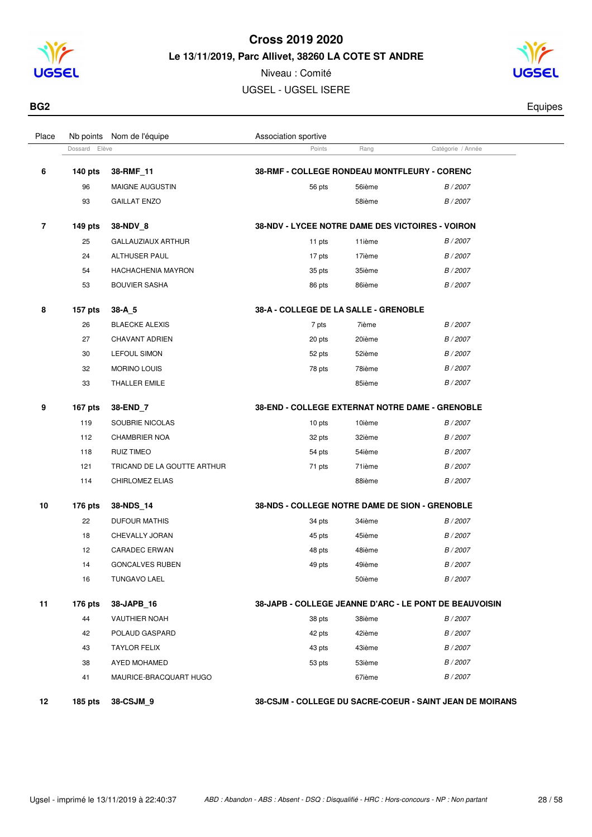

Niveau : Comité UGSEL - UGSEL ISERE

Dossard Elève **Points** Rang Catégorie / Année

Place Nb points Nom de l'équipe  $\blacksquare$  Association sportive



**BG2** Equipes

| 6  | <b>140 pts</b> | 38-RMF_11                   | 38-RMF - COLLEGE RONDEAU MONTFLEURY - CORENC           |        |          |
|----|----------------|-----------------------------|--------------------------------------------------------|--------|----------|
|    | 96             | MAIGNE AUGUSTIN             | 56 pts                                                 | 56ième | B/2007   |
|    | 93             | <b>GAILLAT ENZO</b>         |                                                        | 58ième | B / 2007 |
| 7  | 149 pts        | 38-NDV_8                    | 38-NDV - LYCEE NOTRE DAME DES VICTOIRES - VOIRON       |        |          |
|    | 25             | <b>GALLAUZIAUX ARTHUR</b>   | 11 pts                                                 | 11ième | B / 2007 |
|    | 24             | <b>ALTHUSER PAUL</b>        | 17 pts                                                 | 17ième | B/2007   |
|    | 54             | HACHACHENIA MAYRON          | 35 pts                                                 | 35ième | B / 2007 |
|    | 53             | <b>BOUVIER SASHA</b>        | 86 pts                                                 | 86ième | B / 2007 |
| 8  | 157 pts        | 38-A 5                      | 38-A - COLLEGE DE LA SALLE - GRENOBLE                  |        |          |
|    | 26             | <b>BLAECKE ALEXIS</b>       | 7 pts                                                  | 7ième  | B / 2007 |
|    | 27             | CHAVANT ADRIEN              | 20 pts                                                 | 20ième | B / 2007 |
|    | 30             | <b>LEFOUL SIMON</b>         | 52 pts                                                 | 52ième | B / 2007 |
|    | 32             | <b>MORINO LOUIS</b>         | 78 pts                                                 | 78ième | B / 2007 |
|    | 33             | THALLER EMILE               |                                                        | 85ième | B / 2007 |
| 9  | 167 pts        | 38-END 7                    | 38-END - COLLEGE EXTERNAT NOTRE DAME - GRENOBLE        |        |          |
|    | 119            | SOUBRIE NICOLAS             | 10 pts                                                 | 10ième | B / 2007 |
|    | 112            | <b>CHAMBRIER NOA</b>        | 32 pts                                                 | 32ième | B / 2007 |
|    | 118            | <b>RUIZ TIMEO</b>           | 54 pts                                                 | 54ième | B / 2007 |
|    | 121            | TRICAND DE LA GOUTTE ARTHUR | 71 pts                                                 | 71ième | B / 2007 |
|    | 114            | CHIRLOMEZ ELIAS             |                                                        | 88ième | B / 2007 |
| 10 | 176 pts        | 38-NDS 14                   | 38-NDS - COLLEGE NOTRE DAME DE SION - GRENOBLE         |        |          |
|    | 22             | <b>DUFOUR MATHIS</b>        | 34 pts                                                 | 34ième | B / 2007 |
|    | 18             | CHEVALLY JORAN              | 45 pts                                                 | 45ième | B / 2007 |
|    | 12             | <b>CARADEC ERWAN</b>        | 48 pts                                                 | 48ième | B / 2007 |
|    | 14             | <b>GONCALVES RUBEN</b>      | 49 pts                                                 | 49ième | B / 2007 |
|    | 16             | <b>TUNGAVO LAEL</b>         |                                                        | 50ième | B / 2007 |
| 11 | 176 pts        | 38-JAPB_16                  | 38-JAPB - COLLEGE JEANNE D'ARC - LE PONT DE BEAUVOISIN |        |          |

| 11 | 176 pts | 38-JAPB 16             | 38-JAPB - COLLEGE JEANNE D'ARC - LE PONT DE BEAUVOISIN |        |        |
|----|---------|------------------------|--------------------------------------------------------|--------|--------|
|    | 44      | <b>VAUTHIER NOAH</b>   | 38 pts                                                 | 38ième | B/2007 |
|    | 42      | POLAUD GASPARD         | 42 pts                                                 | 42ième | B/2007 |
|    | 43      | <b>TAYLOR FELIX</b>    | 43 pts                                                 | 43ième | B/2007 |
|    | 38      | AYED MOHAMED           | 53 pts                                                 | 53ième | B/2007 |
|    | 41      | MAURICE-BRACQUART HUGO |                                                        | 67ième | B/2007 |
|    |         |                        |                                                        |        |        |

**185 pts 38-CSJM\_9 38-CSJM - COLLEGE DU SACRE-COEUR - SAINT JEAN DE MOIRANS**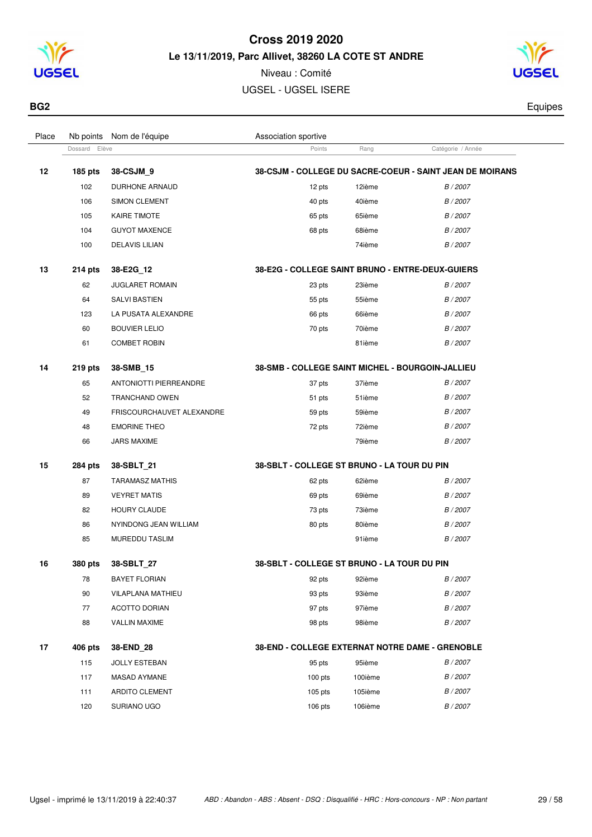

Niveau : Comité UGSEL - UGSEL ISERE



**BG2** Equipes

| navu |               | <b>TWO POINTS INDITED COUPLE</b> | <b>ASSUCIATION SPUTTIVE</b> |        |                                                          |  |
|------|---------------|----------------------------------|-----------------------------|--------|----------------------------------------------------------|--|
|      | Dossard Elève |                                  | Points                      | Rang   | Catégorie / Année                                        |  |
| 12   | $185$ pts     | 38-CSJM 9                        |                             |        | 38-CSJM - COLLEGE DU SACRE-COEUR - SAINT JEAN DE MOIRANS |  |
|      | 102           | <b>DURHONE ARNAUD</b>            | 12 pts                      | 12ième | B/2007                                                   |  |
|      | 106           | <b>SIMON CLEMENT</b>             | 40 pts                      | 40ième | B/2007                                                   |  |
|      | 105           | <b>KAIRE TIMOTE</b>              | 65 pts                      | 65ième | B/2007                                                   |  |
|      | 104           | <b>GUYOT MAXENCE</b>             | 68 pts                      | 68ième | B/2007                                                   |  |
|      | 100           | <b>DELAVIS LILIAN</b>            |                             | 74ième | B/2007                                                   |  |
|      |               |                                  |                             |        |                                                          |  |

| 13 | $214$ pts | 38-E2G 12              | 38-E2G - COLLEGE SAINT BRUNO - ENTRE-DEUX-GUIER |        |          |
|----|-----------|------------------------|-------------------------------------------------|--------|----------|
|    | 62        | <b>JUGLARET ROMAIN</b> | 23 pts                                          | 23ième | B / 2007 |
|    | 64        | <b>SALVI BASTIEN</b>   | 55 pts                                          | 55ième | B/2007   |
|    | 123       | LA PUSATA ALEXANDRE    | 66 pts                                          | 66ième | B/2007   |
|    | 60        | <b>BOUVIER LELIO</b>   | 70 pts                                          | 70ième | B/2007   |
|    | 61        | <b>COMBET ROBIN</b>    |                                                 | 81ième | B/2007   |
|    |           |                        |                                                 |        |          |

Place Nb points Nom de l'équipe  $\blacksquare$  Association sportive

| 14 | $219$ pts | 38-SMB 15                 | 38-SMB - COLLEGE SAINT MICHEL - BOURGOIN-JALLIEU |        |                 |
|----|-----------|---------------------------|--------------------------------------------------|--------|-----------------|
|    | 65        | ANTONIOTTI PIERREANDRE    | 37 pts                                           | 37ième | B/2007          |
|    | 52        | TRANCHAND OWEN            | 51 pts                                           | 51ième | B/2007          |
|    | 49        | FRISCOURCHAUVET ALEXANDRE | 59 pts                                           | 59ième | B/2007          |
|    | 48        | <b>EMORINE THEO</b>       | 72 pts                                           | 72ième | B/2007          |
|    | 66        | <b>JARS MAXIME</b>        |                                                  | 79ième | <i>B</i> / 2007 |

| 15 | <b>284 pts</b> | 38-SBLT 21            | 38-SBLT - COLLEGE ST BRUNO - LA TOUR DU PIN |        |        |
|----|----------------|-----------------------|---------------------------------------------|--------|--------|
|    | 87             | TARAMASZ MATHIS       | 62 pts                                      | 62ième | B/2007 |
|    | 89             | <b>VEYRET MATIS</b>   | 69 pts                                      | 69ième | B/2007 |
|    | 82             | <b>HOURY CLAUDE</b>   | 73 pts                                      | 73ième | B/2007 |
|    | 86             | NYINDONG JEAN WILLIAM | 80 pts                                      | 80ième | B/2007 |
|    | 85             | <b>MUREDDU TASLIM</b> |                                             | 91ième | B/2007 |

| 16 | 380 pts | 38-SBLT 27               | 38-SBLT - COLLEGE ST BRUNO - LA TOUR DU PIN            |
|----|---------|--------------------------|--------------------------------------------------------|
|    | 78      | <b>BAYET FLORIAN</b>     | B/2007<br>92 pts<br>92ième                             |
|    | 90      | <b>VILAPLANA MATHIEU</b> | 93ième<br>B / 2007<br>93 pts                           |
|    | 77      | <b>ACOTTO DORIAN</b>     | 97ième<br>97 pts<br>B / 2007                           |
|    | 88      | <b>VALLIN MAXIME</b>     | 98 pts<br>98ième<br>B / 2007                           |
|    |         |                          |                                                        |
| 17 | 406 pts | 38-END 28                | <b>38-END - COLLEGE EXTERNAT NOTRE DAME - GRENOBLE</b> |
|    | 115     | <b>JOLLY ESTEBAN</b>     | 95ième<br>B / 2007<br>95 pts                           |
|    | 117     | MASAD AYMANE             | 100ième<br>B / 2007<br>$100$ pts                       |
|    | 111     | <b>ARDITO CLEMENT</b>    | 105ième<br>B / 2007<br>$105$ pts                       |
|    | 120     | SURIANO UGO              | 106ième<br>$106$ pts<br>B / 2007                       |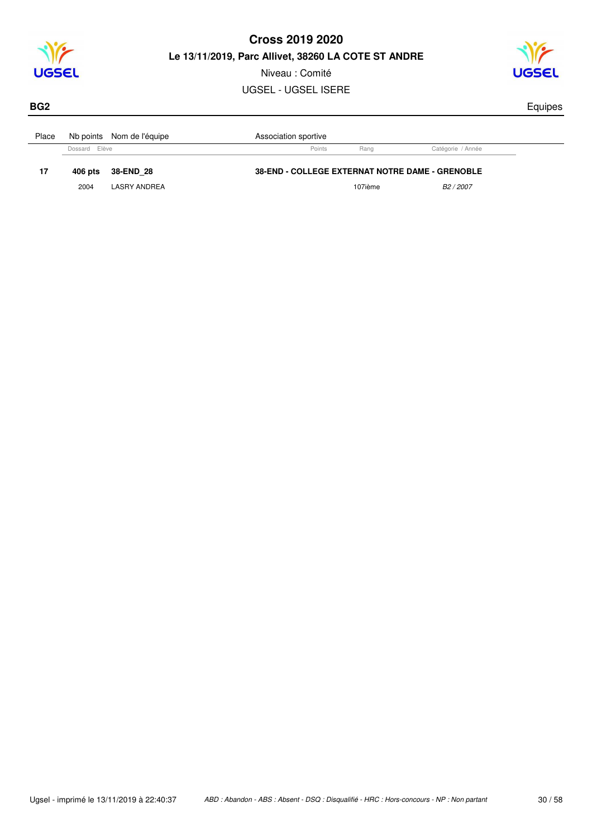

Niveau : Comité

UGSEL - UGSEL ISERE



#### **BG2** Equipes

 $\overline{a}$ 

| Place |               | Nb points Nom de l'équipe | Association sportive                                   |         |                       |
|-------|---------------|---------------------------|--------------------------------------------------------|---------|-----------------------|
|       | Dossard Elève |                           | Points                                                 | Rang    | Catégorie / Année     |
| 17    | 406 pts       | 38-END 28                 | <b>38-END - COLLEGE EXTERNAT NOTRE DAME - GRENOBLE</b> |         |                       |
|       |               |                           |                                                        | 107ième | B <sub>2</sub> / 2007 |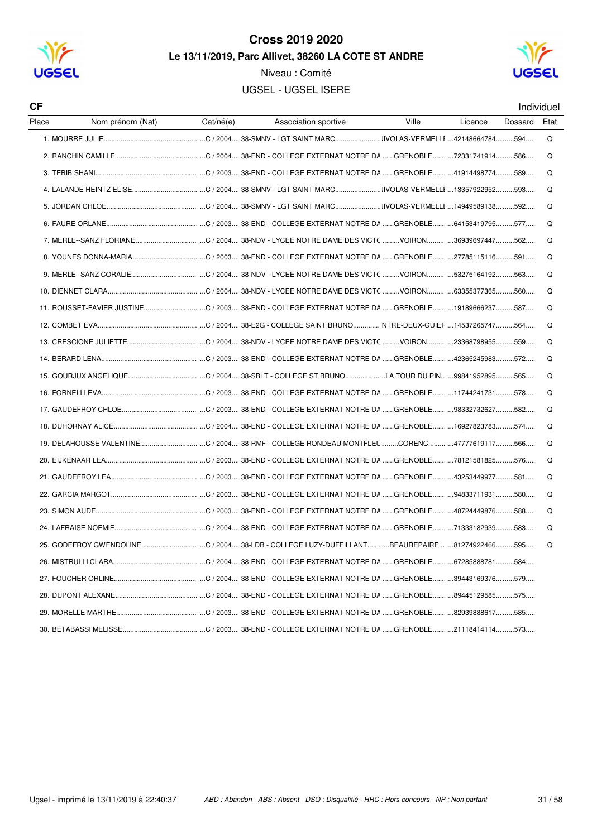

Niveau : Comité

**UGSEL - UGSEL ISERE** 



| СF    |                                                                                                |           |                      |       |         |         | Individuel |
|-------|------------------------------------------------------------------------------------------------|-----------|----------------------|-------|---------|---------|------------|
| Place | Nom prénom (Nat)                                                                               | Cat/né(e) | Association sportive | Ville | Licence | Dossard | Etat       |
|       |                                                                                                |           |                      |       |         |         | Q          |
|       |                                                                                                |           |                      |       |         |         | Q          |
|       |                                                                                                |           |                      |       |         |         | Q          |
|       |                                                                                                |           |                      |       |         |         | Q          |
|       |                                                                                                |           |                      |       |         |         | Q          |
|       |                                                                                                |           |                      |       |         |         | Q          |
|       |                                                                                                |           |                      |       |         |         | Q          |
|       |                                                                                                |           |                      |       |         |         | Q          |
|       |                                                                                                |           |                      |       |         |         | Q          |
|       |                                                                                                |           |                      |       |         |         | Q          |
|       | 11. ROUSSET-FAVIER JUSTINEC / 2003 38-END - COLLEGE EXTERNAT NOTRE DA GRENOBLE 19189666237 587 |           |                      |       |         |         | Q          |
|       |                                                                                                |           |                      |       |         |         | Q          |
|       |                                                                                                |           |                      |       |         |         | Q          |
|       |                                                                                                |           |                      |       |         |         | Q          |
|       |                                                                                                |           |                      |       |         |         | Q          |
|       |                                                                                                |           |                      |       |         |         | Q          |
|       |                                                                                                |           |                      |       |         |         | Q          |
|       |                                                                                                |           |                      |       |         |         | Q          |
|       |                                                                                                |           |                      |       |         |         | Q          |
|       |                                                                                                |           |                      |       |         |         | Q          |
|       |                                                                                                |           |                      |       |         |         | Q          |
|       |                                                                                                |           |                      |       |         |         | Q          |
|       |                                                                                                |           |                      |       |         |         | Q          |
|       |                                                                                                |           |                      |       |         |         | Q          |
|       |                                                                                                |           |                      |       |         |         |            |
|       |                                                                                                |           |                      |       |         |         |            |
|       |                                                                                                |           |                      |       |         |         |            |
|       |                                                                                                |           |                      |       |         |         |            |
|       |                                                                                                |           |                      |       |         |         |            |
|       |                                                                                                |           |                      |       |         |         |            |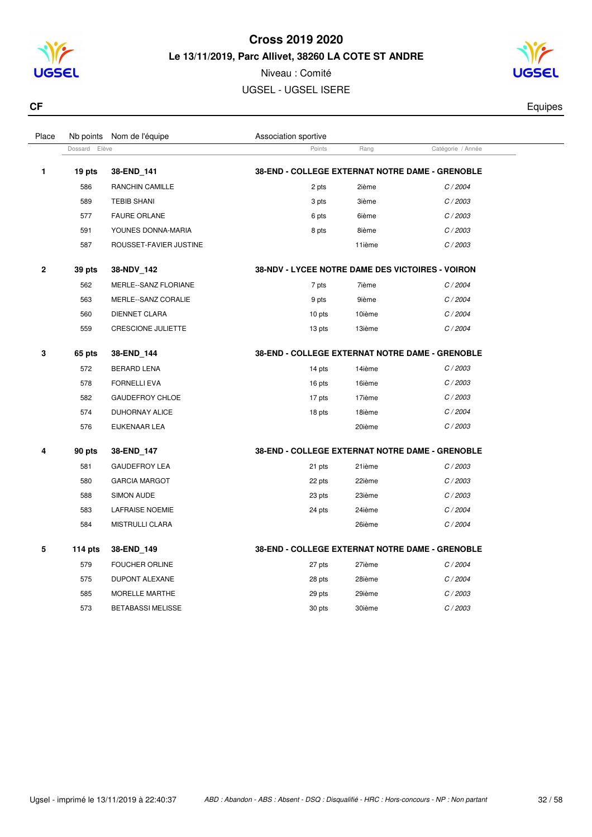

Niveau : Comité UGSEL - UGSEL ISERE



**CF** Equipes **CF** Equipes **CF** 

| Place       | Nb points        | Nom de l'équipe          | Association sportive                                   |        |                   |  |
|-------------|------------------|--------------------------|--------------------------------------------------------|--------|-------------------|--|
|             | Elève<br>Dossard |                          | Points                                                 | Rang   | Catégorie / Année |  |
| 1           | 19 pts           | 38-END 141               | 38-END - COLLEGE EXTERNAT NOTRE DAME - GRENOBLE        |        |                   |  |
|             | 586              | RANCHIN CAMILLE          | 2 pts                                                  | 2ième  | C/2004            |  |
|             | 589              | <b>TEBIB SHANI</b>       | 3 pts                                                  | 3ième  | C/2003            |  |
|             | 577              | <b>FAURE ORLANE</b>      | 6 pts                                                  | 6ième  | C/2003            |  |
|             | 591              | YOUNES DONNA-MARIA       | 8 pts                                                  | 8ième  | C/2003            |  |
|             | 587              | ROUSSET-FAVIER JUSTINE   |                                                        | 11ième | C/2003            |  |
| $\mathbf 2$ | 39 pts           | 38-NDV_142               | 38-NDV - LYCEE NOTRE DAME DES VICTOIRES - VOIRON       |        |                   |  |
|             | 562              | MERLE--SANZ FLORIANE     | 7 pts                                                  | 7ième  | C/2004            |  |
|             | 563              | MERLE--SANZ CORALIE      | 9 pts                                                  | 9ième  | C/2004            |  |
|             | 560              | <b>DIENNET CLARA</b>     | 10 pts                                                 | 10ième | C/2004            |  |
|             | 559              | CRESCIONE JULIETTE       | 13 pts                                                 | 13ième | C/2004            |  |
| 3           | 65 pts           | 38-END 144               | <b>38-END - COLLEGE EXTERNAT NOTRE DAME - GRENOBLE</b> |        |                   |  |
|             | 572              | <b>BERARD LENA</b>       | 14 pts                                                 | 14ième | C/2003            |  |
|             | 578              | <b>FORNELLI EVA</b>      | 16 pts                                                 | 16ième | C/2003            |  |
|             | 582              | <b>GAUDEFROY CHLOE</b>   | 17 pts                                                 | 17ième | C/2003            |  |
|             | 574              | DUHORNAY ALICE           | 18 pts                                                 | 18ième | C/2004            |  |
|             | 576              | EIJKENAAR LEA            |                                                        | 20ième | C/2003            |  |
| 4           | 90 pts           | 38-END_147               | 38-END - COLLEGE EXTERNAT NOTRE DAME - GRENOBLE        |        |                   |  |
|             | 581              | <b>GAUDEFROY LEA</b>     | 21 pts                                                 | 21ième | C/2003            |  |
|             | 580              | <b>GARCIA MARGOT</b>     | 22 pts                                                 | 22ième | C/2003            |  |
|             | 588              | <b>SIMON AUDE</b>        | 23 pts                                                 | 23ième | C/2003            |  |
|             | 583              | <b>LAFRAISE NOEMIE</b>   | 24 pts                                                 | 24ième | C/2004            |  |
|             | 584              | <b>MISTRULLI CLARA</b>   |                                                        | 26ième | C/2004            |  |
| 5           | 114 $pts$        | 38-END_149               | 38-END - COLLEGE EXTERNAT NOTRE DAME - GRENOBLE        |        |                   |  |
|             | 579              | <b>FOUCHER ORLINE</b>    | 27 pts                                                 | 27ième | C/2004            |  |
|             | 575              | DUPONT ALEXANE           | 28 pts                                                 | 28ième | C/2004            |  |
|             | 585              | MORELLE MARTHE           | 29 pts                                                 | 29ième | C/2003            |  |
|             | 573              | <b>BETABASSI MELISSE</b> | 30 pts                                                 | 30ième | C/2003            |  |
|             |                  |                          |                                                        |        |                   |  |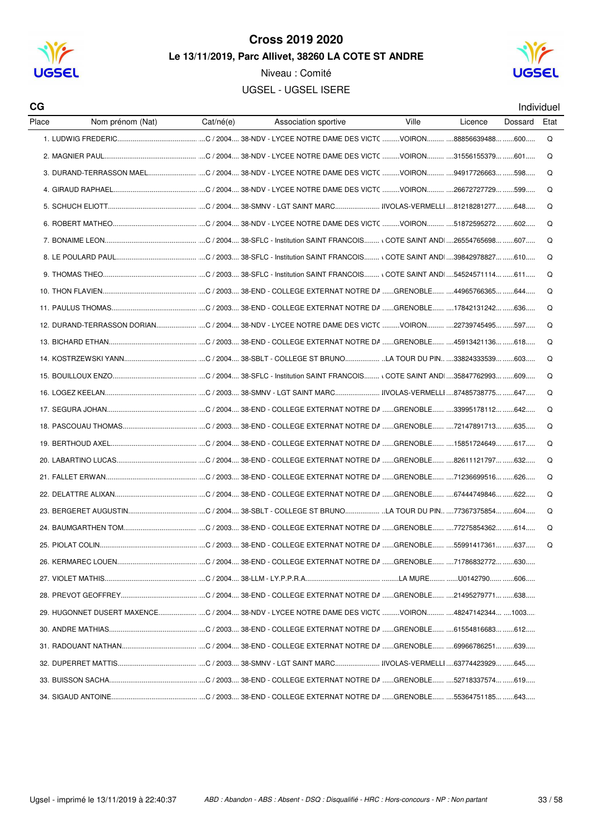

Niveau : Comité



**UGSEL - UGSEL ISERE** 

Individuel

| CG    |                  |           |                                                                                                  |       |         | Individue |     |
|-------|------------------|-----------|--------------------------------------------------------------------------------------------------|-------|---------|-----------|-----|
| Place | Nom prénom (Nat) | Cat/né(e) | Association sportive                                                                             | Ville | Licence | Dossard   | Eta |
|       |                  |           |                                                                                                  |       |         |           | Q   |
|       |                  |           |                                                                                                  |       |         |           | Q   |
|       |                  |           |                                                                                                  |       |         |           | Q   |
|       |                  |           |                                                                                                  |       |         |           | Q   |
|       |                  |           |                                                                                                  |       |         |           | Q   |
|       |                  |           |                                                                                                  |       |         |           | Q   |
|       |                  |           |                                                                                                  |       |         |           | Q   |
|       |                  |           |                                                                                                  |       |         |           | Q   |
|       |                  |           |                                                                                                  |       |         |           | Q   |
|       |                  |           |                                                                                                  |       |         |           | Q   |
|       |                  |           |                                                                                                  |       |         |           | Q   |
|       |                  |           | 12. DURAND-TERRASSON DORIAN C / 2004 38-NDV - LYCEE NOTRE DAME DES VICT(  VOIRON 22739745495 597 |       |         |           | Q   |
|       |                  |           |                                                                                                  |       |         |           | Q   |
|       |                  |           |                                                                                                  |       |         |           | Q   |
|       |                  |           |                                                                                                  |       |         |           | Q   |
|       |                  |           |                                                                                                  |       |         |           | Q   |
|       |                  |           |                                                                                                  |       |         |           | Q   |
|       |                  |           |                                                                                                  |       |         |           | Q   |
|       |                  |           |                                                                                                  |       |         |           | Q   |
|       |                  |           |                                                                                                  |       |         |           | Q   |
|       |                  |           |                                                                                                  |       |         |           | Q   |
|       |                  |           |                                                                                                  |       |         |           | Q   |
|       |                  |           |                                                                                                  |       |         |           | Q   |
|       |                  |           |                                                                                                  |       |         |           | Q   |
|       |                  |           |                                                                                                  |       |         |           | Q   |
|       |                  |           |                                                                                                  |       |         |           |     |
|       |                  |           |                                                                                                  |       |         |           |     |
|       |                  |           |                                                                                                  |       |         |           |     |
|       |                  |           | 29. HUGONNET DUSERT MAXENCEC / 2004 38-NDV - LYCEE NOTRE DAME DES VICT( VOIRON 48247142344 1003  |       |         |           |     |
|       |                  |           |                                                                                                  |       |         |           |     |
|       |                  |           |                                                                                                  |       |         |           |     |
|       |                  |           |                                                                                                  |       |         |           |     |
|       |                  |           |                                                                                                  |       |         |           |     |
|       |                  |           |                                                                                                  |       |         |           |     |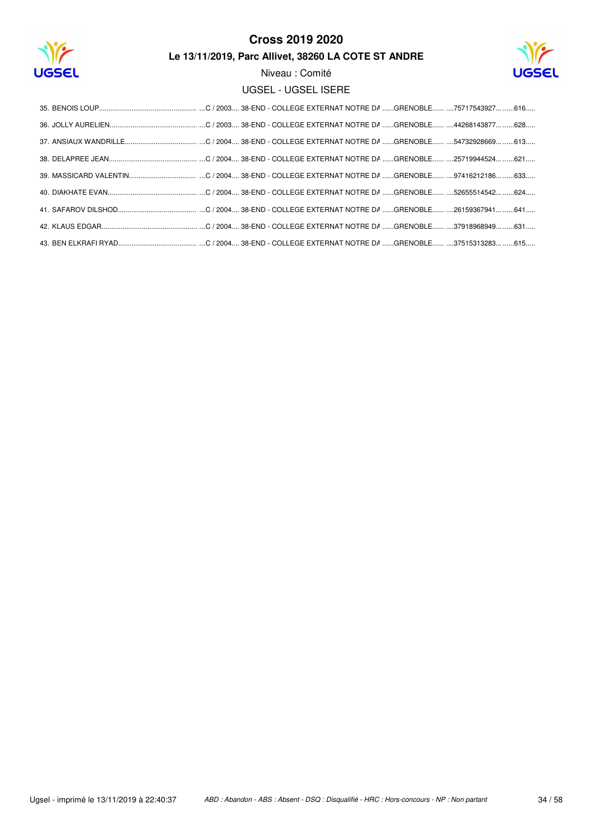

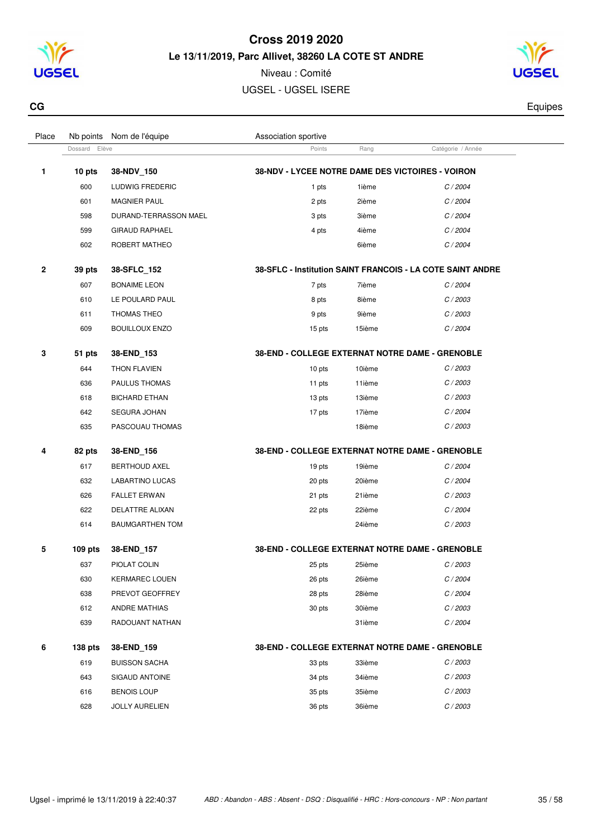



| CG | Equipes |
|----|---------|
|    |         |

| Place        | Nb points     | Nom de l'équipe        | Association sportive                             |        |                                                            |  |
|--------------|---------------|------------------------|--------------------------------------------------|--------|------------------------------------------------------------|--|
|              | Dossard Elève |                        | Points                                           | Rang   | Catégorie / Année                                          |  |
| 1            | 10 pts        | 38-NDV_150             | 38-NDV - LYCEE NOTRE DAME DES VICTOIRES - VOIRON |        |                                                            |  |
|              | 600           | LUDWIG FREDERIC        | 1 pts                                            | 1ième  | C/2004                                                     |  |
|              | 601           | <b>MAGNIER PAUL</b>    | 2 pts                                            | 2ième  | C/2004                                                     |  |
|              | 598           | DURAND-TERRASSON MAEL  | 3 pts                                            | 3ième  | C/2004                                                     |  |
|              | 599           | <b>GIRAUD RAPHAEL</b>  | 4 pts                                            | 4ième  | C/2004                                                     |  |
|              | 602           | ROBERT MATHEO          |                                                  | 6ième  | C/2004                                                     |  |
| $\mathbf{2}$ | 39 pts        | 38-SFLC_152            |                                                  |        | 38-SFLC - Institution SAINT FRANCOIS - LA COTE SAINT ANDRE |  |
|              | 607           | <b>BONAIME LEON</b>    | 7 pts                                            | 7ième  | C/2004                                                     |  |
|              | 610           | LE POULARD PAUL        | 8 pts                                            | 8ième  | C/2003                                                     |  |
|              | 611           | THOMAS THEO            | 9 pts                                            | 9ième  | C/2003                                                     |  |
|              | 609           | <b>BOUILLOUX ENZO</b>  | 15 pts                                           | 15ième | C/2004                                                     |  |
| 3            | 51 pts        | 38-END_153             | 38-END - COLLEGE EXTERNAT NOTRE DAME - GRENOBLE  |        |                                                            |  |
|              | 644           | THON FLAVIEN           | 10 pts                                           | 10ième | C/2003                                                     |  |
|              | 636           | PAULUS THOMAS          | 11 pts                                           | 11ième | C/2003                                                     |  |
|              | 618           | <b>BICHARD ETHAN</b>   | 13 pts                                           | 13ième | C/2003                                                     |  |
|              | 642           | SEGURA JOHAN           | 17 pts                                           | 17ième | C/2004                                                     |  |
|              | 635           | PASCOUAU THOMAS        |                                                  | 18ième | C/2003                                                     |  |
| 4            | 82 pts        | 38-END_156             | 38-END - COLLEGE EXTERNAT NOTRE DAME - GRENOBLE  |        |                                                            |  |
|              | 617           | <b>BERTHOUD AXEL</b>   | 19 pts                                           | 19ième | C/2004                                                     |  |
|              | 632           | LABARTINO LUCAS        | 20 pts                                           | 20ième | C/2004                                                     |  |
|              | 626           | <b>FALLET ERWAN</b>    | 21 pts                                           | 21ième | C/2003                                                     |  |
|              | 622           | DELATTRE ALIXAN        | 22 pts                                           | 22ième | C/2004                                                     |  |
|              | 614           | <b>BAUMGARTHEN TOM</b> |                                                  | 24ième | C/2003                                                     |  |
| 5            | $109$ pts     | 38-END_157             | 38-END - COLLEGE EXTERNAT NOTRE DAME - GRENOBLE  |        |                                                            |  |
|              | 637           | PIOLAT COLIN           | 25 pts                                           | 25ième | C/2003                                                     |  |
|              | 630           | <b>KERMAREC LOUEN</b>  | 26 pts                                           | 26ième | C / 2004                                                   |  |
|              | 638           | PREVOT GEOFFREY        | 28 pts                                           | 28ième | C/2004                                                     |  |
|              | 612           | ANDRE MATHIAS          | 30 pts                                           | 30ième | C/2003                                                     |  |
|              | 639           | RADOUANT NATHAN        |                                                  | 31ième | C/2004                                                     |  |
| 6            | 138 pts       | 38-END_159             | 38-END - COLLEGE EXTERNAT NOTRE DAME - GRENOBLE  |        |                                                            |  |
|              | 619           | <b>BUISSON SACHA</b>   | 33 pts                                           | 33ième | C/2003                                                     |  |
|              | 643           | SIGAUD ANTOINE         | 34 pts                                           | 34ième | C/2003                                                     |  |
|              | 616           | <b>BENOIS LOUP</b>     | 35 pts                                           | 35ième | C/2003                                                     |  |
|              | 628           | <b>JOLLY AURELIEN</b>  | 36 pts                                           | 36ième | C/2003                                                     |  |
|              |               |                        |                                                  |        |                                                            |  |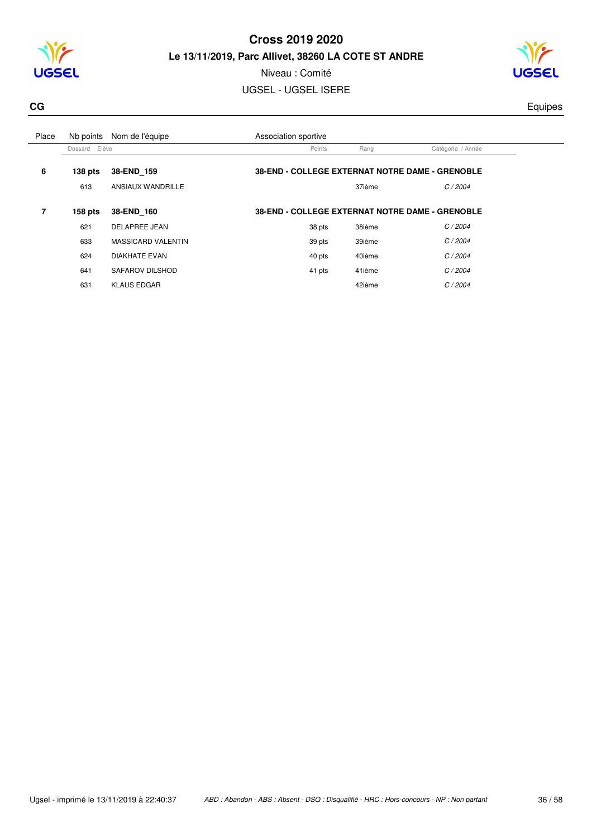



Niveau : Comité UGSEL - UGSEL ISERE

**CG** Equipes **CG** Equipes **CG** 

| Place | Nb points     | Nom de l'équipe           | Association sportive                                   |        |                   |  |
|-------|---------------|---------------------------|--------------------------------------------------------|--------|-------------------|--|
|       | Dossard Elève |                           | Points                                                 | Rang   | Catégorie / Année |  |
| 6     | $138$ pts     | 38-END 159                | <b>38-END - COLLEGE EXTERNAT NOTRE DAME - GRENOBLE</b> |        |                   |  |
|       | 613           | ANSIAUX WANDRILLE         |                                                        | 37ième | C/2004            |  |
|       |               |                           |                                                        |        |                   |  |
| 7     | $158$ pts     | 38-END 160                | <b>38-END - COLLEGE EXTERNAT NOTRE DAME - GRENOBLE</b> |        |                   |  |
|       | 621           | <b>DELAPREE JEAN</b>      | 38 pts                                                 | 38ième | C/2004            |  |
|       | 633           | <b>MASSICARD VALENTIN</b> | 39 pts                                                 | 39ième | C/2004            |  |
|       | 624           | <b>DIAKHATE EVAN</b>      | 40 pts                                                 | 40ième | C/2004            |  |
|       | 641           | SAFAROV DILSHOD           | 41 pts                                                 | 41ième | C/2004            |  |
|       | 631           | <b>KLAUS EDGAR</b>        |                                                        | 42ième | C/2004            |  |
|       |               |                           |                                                        |        |                   |  |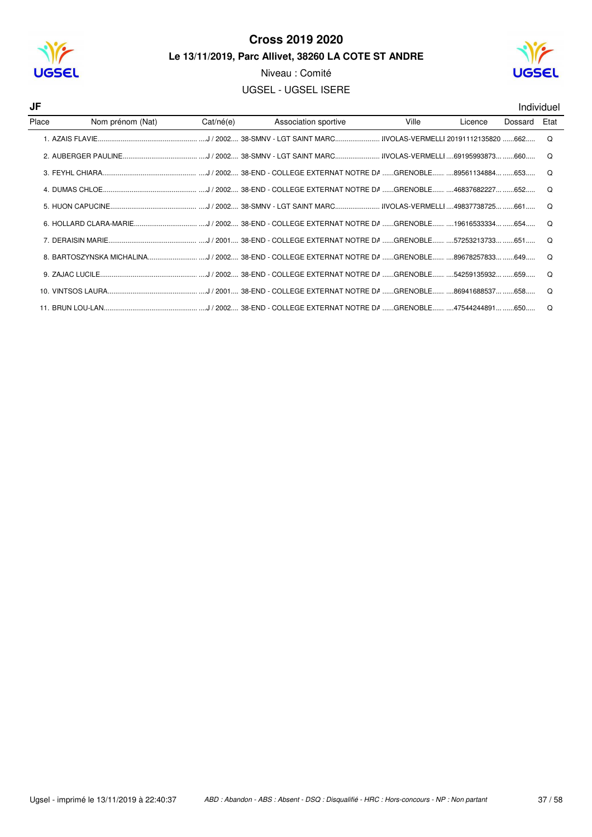



Niveau : Comité

**UGSEL - UGSEL ISERE** 

Individuel

| JF    |                  |           |                      |       |         |         | Individue |
|-------|------------------|-----------|----------------------|-------|---------|---------|-----------|
| Place | Nom prénom (Nat) | Cat/né(e) | Association sportive | Ville | Licence | Dossard | Etat      |
|       |                  |           |                      |       |         |         | $\Omega$  |
|       |                  |           |                      |       |         |         | ∩         |
|       |                  |           |                      |       |         |         |           |
|       |                  |           |                      |       |         |         | റ         |
|       |                  |           |                      |       |         |         |           |
|       |                  |           |                      |       |         |         | റ         |
|       |                  |           |                      |       |         |         |           |
|       |                  |           |                      |       |         |         | $\Omega$  |
|       |                  |           |                      |       |         |         | $\Omega$  |
|       |                  |           |                      |       |         |         | $\Omega$  |
|       |                  |           |                      |       |         |         | റ         |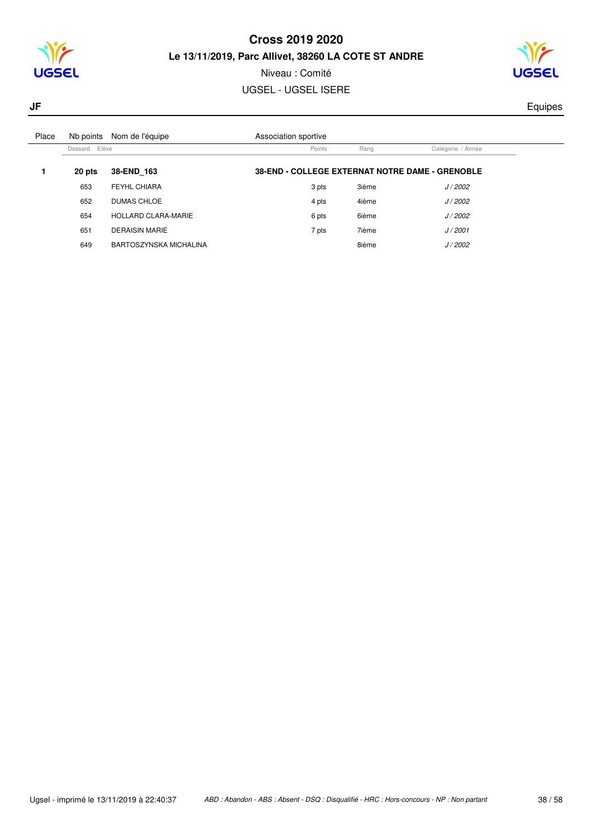



## Niveau : Comité

## UGSEL - UGSEL ISERE

**JF** Equipes

| Place | Nb points     | Nom de l'équipe            | Association sportive                                   |       |                   |  |
|-------|---------------|----------------------------|--------------------------------------------------------|-------|-------------------|--|
|       | Dossard Elève |                            | Points                                                 | Rang  | Catégorie / Année |  |
|       | 20 pts        | 38-END 163                 | <b>38-END - COLLEGE EXTERNAT NOTRE DAME - GRENOBLE</b> |       |                   |  |
|       | 653           | FEYHL CHIARA               | 3 pts                                                  | 3ième | J/2002            |  |
|       | 652           | <b>DUMAS CHLOE</b>         | 4 pts                                                  | 4ième | J/2002            |  |
|       | 654           | <b>HOLLARD CLARA-MARIE</b> | 6 pts                                                  | 6ième | J/2002            |  |
|       | 651           | <b>DERAISIN MARIE</b>      | 7 pts                                                  | 7ième | J/2001            |  |
|       | 649           | BARTOSZYNSKA MICHALINA     |                                                        | 8ième | J/2002            |  |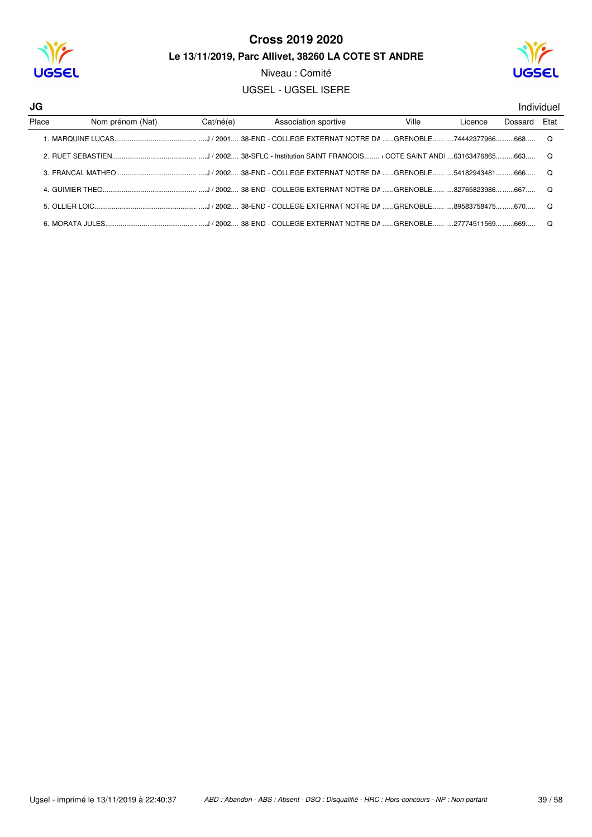

Niveau : Comité

**UGSEL - UGSEL ISERE** 



| JG    |                  |           |                                                                                                                   |       |         |         | Individuel |
|-------|------------------|-----------|-------------------------------------------------------------------------------------------------------------------|-------|---------|---------|------------|
| Place | Nom prénom (Nat) | Cat/né(e) | Association sportive                                                                                              | Ville | Licence | Dossard | Etat       |
|       |                  |           | 1. MAROUINE LUCAS…………………………………………J / 2001…. 38-END - COLLEGE EXTERNAT NOTRE DA ……GRENOBLE………74442377966………668………O |       |         |         |            |
|       |                  |           |                                                                                                                   |       |         |         |            |
|       |                  |           |                                                                                                                   |       |         |         |            |
|       |                  |           |                                                                                                                   |       |         |         |            |
|       |                  |           |                                                                                                                   |       |         |         |            |
|       |                  |           |                                                                                                                   |       |         |         | . റ        |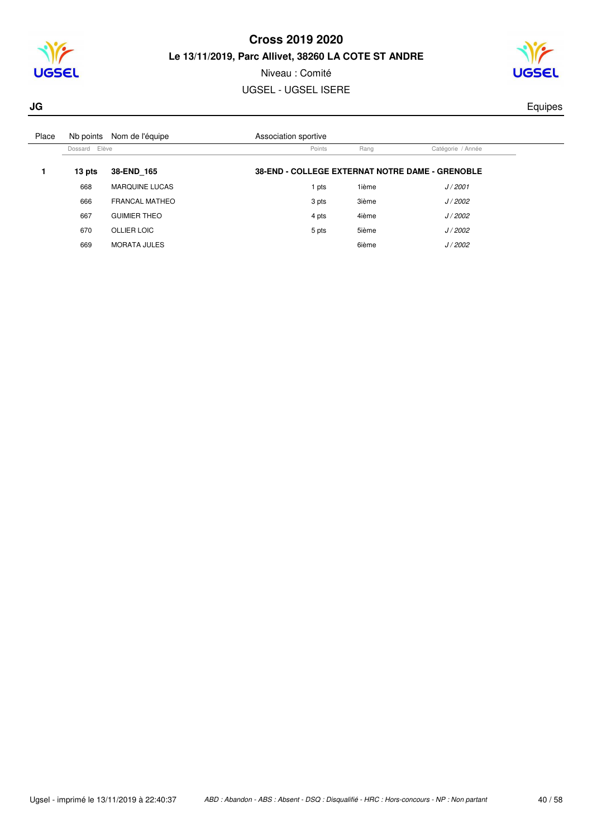



# Niveau : Comité

## UGSEL - UGSEL ISERE

**JG** Equipes

| Place |               | Nb points Nom de l'équipe | Association sportive                                   |       |                   |  |
|-------|---------------|---------------------------|--------------------------------------------------------|-------|-------------------|--|
|       | Dossard Elève |                           | Points                                                 | Rang  | Catégorie / Année |  |
|       | 13 pts        | 38-END 165                | <b>38-END - COLLEGE EXTERNAT NOTRE DAME - GRENOBLE</b> |       |                   |  |
|       | 668           | <b>MARQUINE LUCAS</b>     | pts                                                    | 1ième | J/2001            |  |
|       | 666           | FRANCAL MATHEO            | 3 pts                                                  | 3ième | J/2002            |  |
|       | 667           | <b>GUIMIER THEO</b>       | 4 pts                                                  | 4ième | J/2002            |  |
|       | 670           | <b>OLLIER LOIC</b>        | 5 pts                                                  | 5ième | J/2002            |  |
|       | 669           | <b>MORATA JULES</b>       |                                                        | 6ième | J/2002            |  |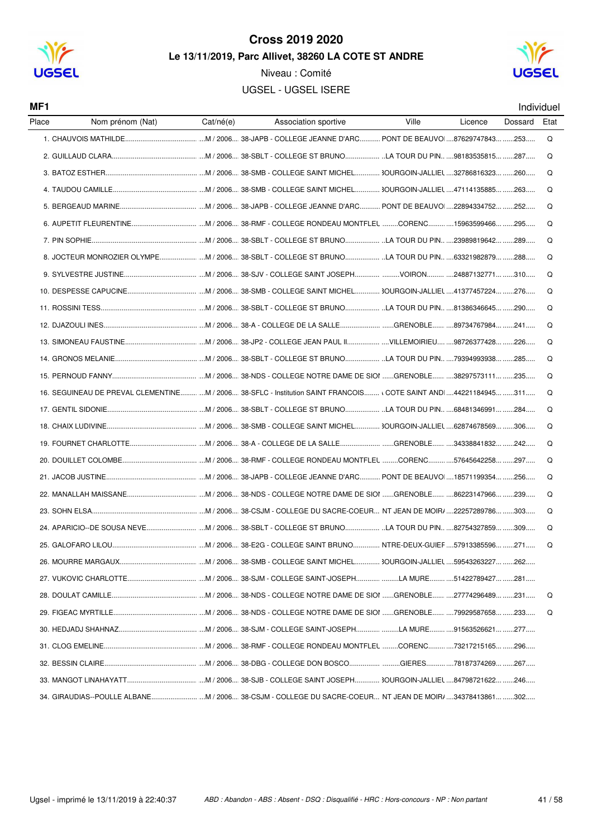

Niveau : Comité **UGSEL - UGSEL ISERE** 



MF1

| Individuel |
|------------|
|            |

| Place | Nom prénom (Nat)                                                                                                  | Cat/né(e) | Association sportive | Ville | Licence | Dossard | Etat |
|-------|-------------------------------------------------------------------------------------------------------------------|-----------|----------------------|-------|---------|---------|------|
|       |                                                                                                                   |           |                      |       |         |         | Q    |
|       |                                                                                                                   |           |                      |       |         |         | Q    |
|       |                                                                                                                   |           |                      |       |         |         | O    |
|       |                                                                                                                   |           |                      |       |         |         | Q    |
|       |                                                                                                                   |           |                      |       |         |         | Q    |
|       |                                                                                                                   |           |                      |       |         |         | O    |
|       |                                                                                                                   |           |                      |       |         |         | O    |
|       | 8. JOCTEUR MONROZIER OLYMPE M / 2006 38-SBLT - COLLEGE ST BRUNO LA TOUR DU PIN 63321982879 288                    |           |                      |       |         |         | Q    |
|       |                                                                                                                   |           |                      |       |         |         | O    |
|       |                                                                                                                   |           |                      |       |         |         | Q    |
|       |                                                                                                                   |           |                      |       |         |         | Q    |
|       |                                                                                                                   |           |                      |       |         |         | O    |
|       |                                                                                                                   |           |                      |       |         |         | Q    |
|       |                                                                                                                   |           |                      |       |         |         | O    |
|       |                                                                                                                   |           |                      |       |         |         | Q    |
|       | 16. SEGUINEAU DE PREVAL CLEMENTINE M / 2006 38-SFLC - Institution SAINT FRANCOIS \ COTE SAINT AND 44221184945 311 |           |                      |       |         |         | Q    |
|       |                                                                                                                   |           |                      |       |         |         | Q    |
|       |                                                                                                                   |           |                      |       |         |         | O    |
|       |                                                                                                                   |           |                      |       |         |         | Q    |
|       |                                                                                                                   |           |                      |       |         |         | Q    |
|       |                                                                                                                   |           |                      |       |         |         | O    |
|       |                                                                                                                   |           |                      |       |         |         | Q    |
|       |                                                                                                                   |           |                      |       |         |         | Q    |
|       |                                                                                                                   |           |                      |       |         |         | Q    |
|       |                                                                                                                   |           |                      |       |         |         | Q    |
|       |                                                                                                                   |           |                      |       |         |         |      |
|       |                                                                                                                   |           |                      |       |         |         |      |
|       |                                                                                                                   |           |                      |       |         |         | Q    |
|       |                                                                                                                   |           |                      |       |         |         | Q    |
|       |                                                                                                                   |           |                      |       |         |         |      |
|       |                                                                                                                   |           |                      |       |         |         |      |
|       |                                                                                                                   |           |                      |       |         |         |      |
|       |                                                                                                                   |           |                      |       |         |         |      |
|       |                                                                                                                   |           |                      |       |         |         |      |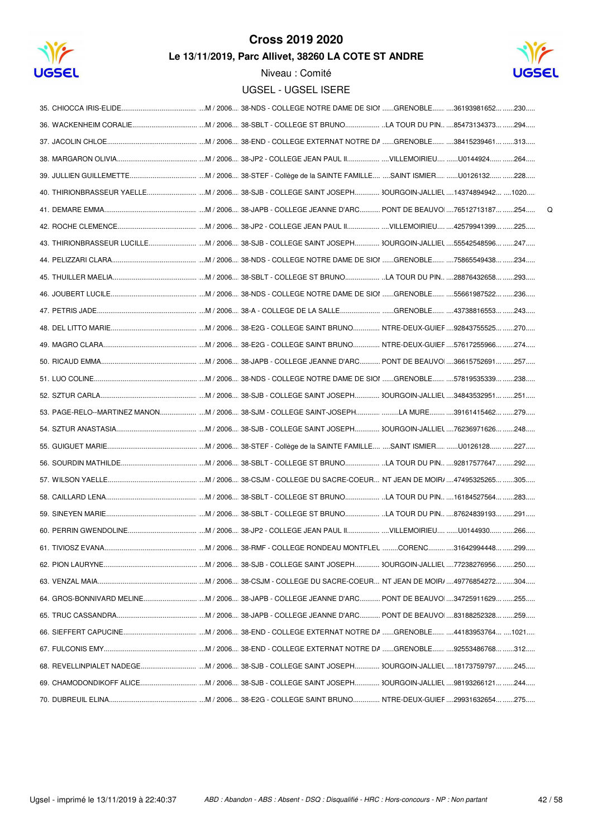

# **Cross 2019 2020**





 $\mathsf Q$ 

| 40. THIRIONBRASSEUR YAELLE M / 2006 38-SJB - COLLEGE SAINT JOSEPH 3OURGOIN-JALLIEL 14374894942 1020 |
|-----------------------------------------------------------------------------------------------------|
|                                                                                                     |
|                                                                                                     |
|                                                                                                     |
|                                                                                                     |
|                                                                                                     |
|                                                                                                     |
|                                                                                                     |
|                                                                                                     |
|                                                                                                     |
|                                                                                                     |
|                                                                                                     |
|                                                                                                     |
| 53. PAGE-RELO--MARTINEZ MANON M / 2006 38-SJM - COLLEGE SAINT-JOSEPHLA MURE 39161415462 279         |
|                                                                                                     |
|                                                                                                     |
|                                                                                                     |
|                                                                                                     |
|                                                                                                     |
|                                                                                                     |
|                                                                                                     |
|                                                                                                     |
|                                                                                                     |
|                                                                                                     |
|                                                                                                     |
|                                                                                                     |
|                                                                                                     |
|                                                                                                     |
|                                                                                                     |
|                                                                                                     |
|                                                                                                     |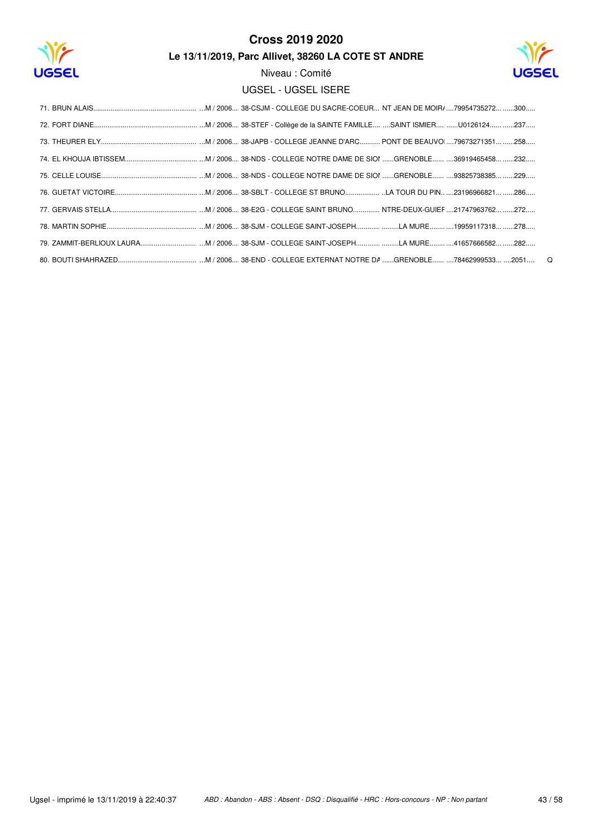

## **Cross 2019 2020**

Le 13/11/2019, Parc Allivet, 38260 LA COTE ST ANDRE

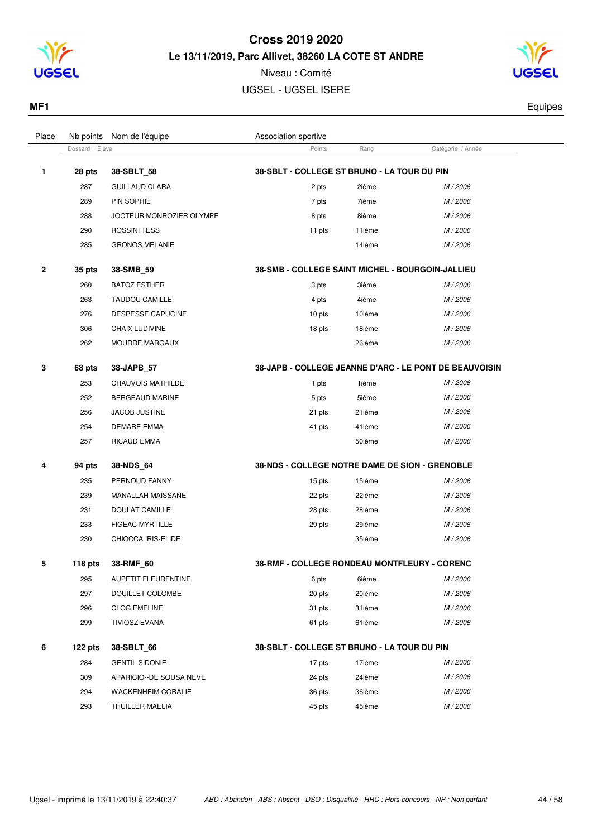

Niveau : Comité UGSEL - UGSEL ISERE



| MF1   |                           |                      |      |                   | Equipes |
|-------|---------------------------|----------------------|------|-------------------|---------|
| Place | Nb points Nom de l'équipe | Association sportive |      |                   |         |
|       | Dossard Elève             | Points               | Rang | Catégorie / Année |         |
|       |                           |                      |      |                   |         |

| 1 | 28 pts    | 38-SBLT_58                | 38-SBLT - COLLEGE ST BRUNO - LA TOUR DU PIN      |        |                                                        |
|---|-----------|---------------------------|--------------------------------------------------|--------|--------------------------------------------------------|
|   | 287       | <b>GUILLAUD CLARA</b>     | 2 pts                                            | 2ième  | M / 2006                                               |
|   | 289       | PIN SOPHIE                | 7 pts                                            | 7ième  | M / 2006                                               |
|   | 288       | JOCTEUR MONROZIER OLYMPE  | 8 pts                                            | 8ième  | M / 2006                                               |
|   | 290       | <b>ROSSINI TESS</b>       | 11 pts                                           | 11ième | M / 2006                                               |
|   | 285       | <b>GRONOS MELANIE</b>     |                                                  | 14ième | M / 2006                                               |
| 2 | 35 pts    | 38-SMB_59                 | 38-SMB - COLLEGE SAINT MICHEL - BOURGOIN-JALLIEU |        |                                                        |
|   | 260       | <b>BATOZ ESTHER</b>       | 3 pts                                            | 3ième  | M / 2006                                               |
|   | 263       | <b>TAUDOU CAMILLE</b>     | 4 pts                                            | 4ième  | M / 2006                                               |
|   | 276       | DESPESSE CAPUCINE         | 10 pts                                           | 10ième | M / 2006                                               |
|   | 306       | CHAIX LUDIVINE            | 18 pts                                           | 18ième | M / 2006                                               |
|   | 262       | MOURRE MARGAUX            |                                                  | 26ième | M / 2006                                               |
| 3 | 68 pts    | 38-JAPB_57                |                                                  |        | 38-JAPB - COLLEGE JEANNE D'ARC - LE PONT DE BEAUVOISIN |
|   | 253       | <b>CHAUVOIS MATHILDE</b>  | 1 pts                                            | 1ième  | M / 2006                                               |
|   | 252       | <b>BERGEAUD MARINE</b>    | 5 pts                                            | 5ième  | M / 2006                                               |
|   | 256       | <b>JACOB JUSTINE</b>      | 21 pts                                           | 21ième | M / 2006                                               |
|   | 254       | <b>DEMARE EMMA</b>        | 41 pts                                           | 41ième | M / 2006                                               |
|   | 257       | RICAUD EMMA               |                                                  | 50ième | M / 2006                                               |
| 4 | 94 pts    | 38-NDS_64                 | 38-NDS - COLLEGE NOTRE DAME DE SION - GRENOBLE   |        |                                                        |
|   | 235       | PERNOUD FANNY             | 15 pts                                           | 15ième | M / 2006                                               |
|   | 239       | MANALLAH MAISSANE         | 22 pts                                           | 22ième | M / 2006                                               |
|   | 231       | DOULAT CAMILLE            | 28 pts                                           | 28ième | M / 2006                                               |
|   | 233       | <b>FIGEAC MYRTILLE</b>    | 29 pts                                           | 29ième | M / 2006                                               |
|   | 230       | CHIOCCA IRIS-ELIDE        |                                                  | 35ième | M / 2006                                               |
| 5 | 118 $pts$ | 38-RMF_60                 | 38-RMF - COLLEGE RONDEAU MONTFLEURY - CORENC     |        |                                                        |
|   | 295       | AUPETIT FLEURENTINE       | 6 pts                                            | 6ième  | M / 2006                                               |
|   | 297       | DOUILLET COLOMBE          | 20 pts                                           | 20ième | M / 2006                                               |
|   | 296       | <b>CLOG EMELINE</b>       | 31 pts                                           | 31ième | M / 2006                                               |
|   | 299       | <b>TIVIOSZ EVANA</b>      | 61 pts                                           | 61ième | M / 2006                                               |
| 6 | 122 pts   | 38-SBLT_66                | 38-SBLT - COLLEGE ST BRUNO - LA TOUR DU PIN      |        |                                                        |
|   | 284       | <b>GENTIL SIDONIE</b>     | 17 pts                                           | 17ième | M / 2006                                               |
|   | 309       | APARICIO--DE SOUSA NEVE   | 24 pts                                           | 24ième | M / 2006                                               |
|   | 294       | <b>WACKENHEIM CORALIE</b> | 36 pts                                           | 36ième | M / 2006                                               |
|   | 293       | THUILLER MAELIA           | 45 pts                                           | 45ième | M / 2006                                               |
|   |           |                           |                                                  |        |                                                        |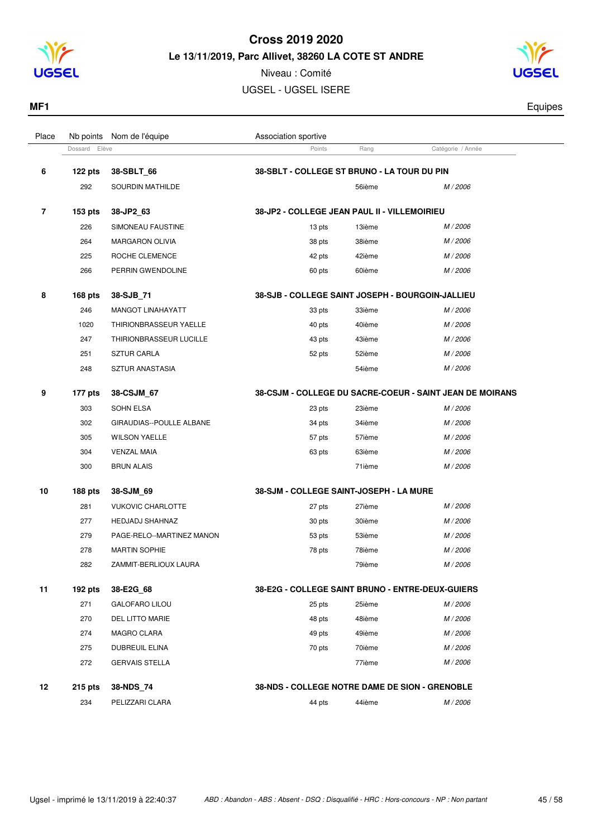

Niveau : Comité UGSEL - UGSEL ISERE

Place Nb points Nom de l'équipe  $\blacksquare$  Association sportive



**MF1** Equipes

|   | Dossard Elève  |                           | Points                                           | Rang   | Catégorie / Année                                        |
|---|----------------|---------------------------|--------------------------------------------------|--------|----------------------------------------------------------|
| 6 | 122 pts        | 38-SBLT_66                | 38-SBLT - COLLEGE ST BRUNO - LA TOUR DU PIN      |        |                                                          |
|   | 292            | SOURDIN MATHILDE          |                                                  | 56ième | M / 2006                                                 |
|   | $153$ pts      | 38-JP2_63                 | 38-JP2 - COLLEGE JEAN PAUL II - VILLEMOIRIEU     |        |                                                          |
|   | 226            | SIMONEAU FAUSTINE         | 13 pts                                           | 13ième | M / 2006                                                 |
|   | 264            | <b>MARGARON OLIVIA</b>    | 38 pts                                           | 38ième | M / 2006                                                 |
|   | 225            | ROCHE CLEMENCE            | 42 pts                                           | 42ième | M / 2006                                                 |
|   | 266            | PERRIN GWENDOLINE         | 60 pts                                           | 60ième | M / 2006                                                 |
|   | <b>168 pts</b> | 38-SJB_71                 | 38-SJB - COLLEGE SAINT JOSEPH - BOURGOIN-JALLIEU |        |                                                          |
|   | 246            | <b>MANGOT LINAHAYATT</b>  | 33 pts                                           | 33ième | M / 2006                                                 |
|   | 1020           | THIRIONBRASSEUR YAELLE    | 40 pts                                           | 40ième | M / 2006                                                 |
|   | 247            | THIRIONBRASSEUR LUCILLE   | 43 pts                                           | 43ième | M / 2006                                                 |
|   | 251            | <b>SZTUR CARLA</b>        | 52 pts                                           | 52ième | M / 2006                                                 |
|   | 248            | SZTUR ANASTASIA           |                                                  | 54ième | M / 2006                                                 |
|   | 177 pts        | 38-CSJM 67                |                                                  |        | 38-CSJM - COLLEGE DU SACRE-COEUR - SAINT JEAN DE MOIRANS |
|   | 303            | <b>SOHN ELSA</b>          | 23 pts                                           | 23ième | M / 2006                                                 |
|   | 302            | GIRAUDIAS--POULLE ALBANE  | 34 pts                                           | 34ième | M / 2006                                                 |
|   | 305            | <b>WILSON YAELLE</b>      | 57 pts                                           | 57ième | M / 2006                                                 |
|   | 304            | <b>VENZAL MAIA</b>        | 63 pts                                           | 63ième | M / 2006                                                 |
|   | 300            | <b>BRUN ALAIS</b>         |                                                  | 71ième | M / 2006                                                 |
|   | 188 pts        | 38-SJM_69                 | <b>38-SJM - COLLEGE SAINT-JOSEPH - LA MURE</b>   |        |                                                          |
|   | 281            | <b>VUKOVIC CHARLOTTE</b>  | 27 pts                                           | 27ième | M / 2006                                                 |
|   | 277            | <b>HEDJADJ SHAHNAZ</b>    | 30 pts                                           | 30ième | M / 2006                                                 |
|   | 279            | PAGE-RELO--MARTINEZ MANON | 53 pts                                           | 53ième | M / 2006                                                 |
|   | 278            | <b>MARTIN SOPHIE</b>      | 78 pts                                           | 78ième | M / 2006                                                 |
|   | 282            | ZAMMIT-BERLIOUX LAURA     |                                                  | 79ième | M / 2006                                                 |
|   | 192 pts        | 38-E2G_68                 | 38-E2G - COLLEGE SAINT BRUNO - ENTRE-DEUX-GUIERS |        |                                                          |
|   | 271            | <b>GALOFARO LILOU</b>     | 25 pts                                           | 25ième | M / 2006                                                 |
|   | 270            | DEL LITTO MARIE           | 48 pts                                           | 48ième | M / 2006                                                 |
|   | 274            | MAGRO CLARA               | 49 pts                                           | 49ième | M / 2006                                                 |
|   | 275            | DUBREUIL ELINA            | 70 pts                                           | 70ième | M / 2006                                                 |
|   | 272            | <b>GERVAIS STELLA</b>     |                                                  | 77ième | M / 2006                                                 |
|   | $215$ pts      | 38-NDS_74                 | 38-NDS - COLLEGE NOTRE DAME DE SION - GRENOBLE   |        |                                                          |
|   | 234            | PELIZZARI CLARA           | 44 pts                                           | 44ième | M / 2006                                                 |
|   |                |                           |                                                  |        |                                                          |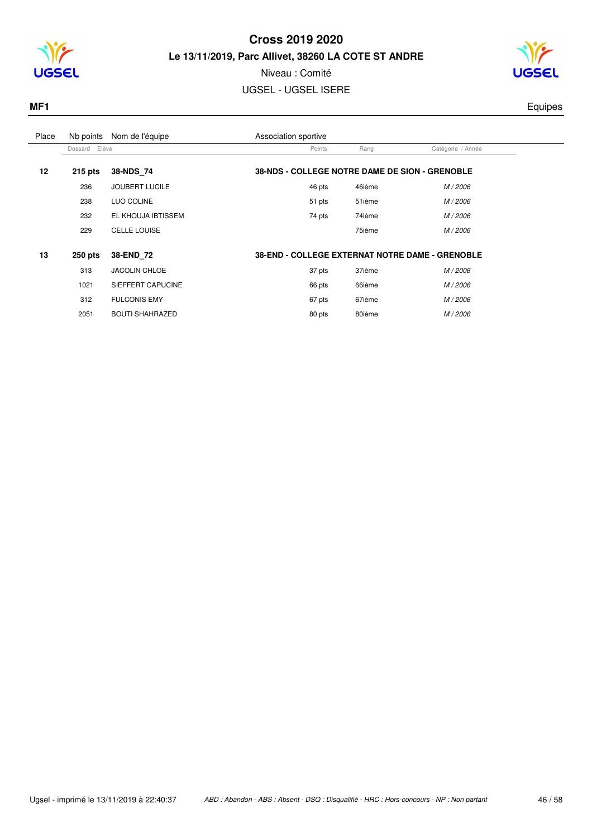



## Niveau : Comité

UGSEL - UGSEL ISERE

 $\overline{a}$ 

**MF1** Equipes

| Place | Nb points        | Nom de l'équipe        | Association sportive                                   |        |                   |  |
|-------|------------------|------------------------|--------------------------------------------------------|--------|-------------------|--|
|       | Elève<br>Dossard |                        | Points                                                 | Rang   | Catégorie / Année |  |
| 12    | $215$ pts        | 38-NDS 74              | 38-NDS - COLLEGE NOTRE DAME DE SION - GRENOBLE         |        |                   |  |
|       | 236              | <b>JOUBERT LUCILE</b>  | 46 pts                                                 | 46ième | M / 2006          |  |
|       | 238              | LUO COLINE             | 51 pts                                                 | 51ième | M / 2006          |  |
|       | 232              | EL KHOUJA IBTISSEM     | 74 pts                                                 | 74ième | M / 2006          |  |
|       | 229              | CELLE LOUISE           |                                                        | 75ième | M / 2006          |  |
| 13    | $250$ pts        | 38-END 72              | <b>38-END - COLLEGE EXTERNAT NOTRE DAME - GRENOBLE</b> |        |                   |  |
|       | 313              | <b>JACOLIN CHLOE</b>   | 37 pts                                                 | 37ième | M / 2006          |  |
|       | 1021             | SIEFFERT CAPUCINE      | 66 pts                                                 | 66ième | M / 2006          |  |
|       | 312              | <b>FULCONIS EMY</b>    | 67 pts                                                 | 67ième | M / 2006          |  |
|       | 2051             | <b>BOUTI SHAHRAZED</b> | 80 pts                                                 | 80ième | M / 2006          |  |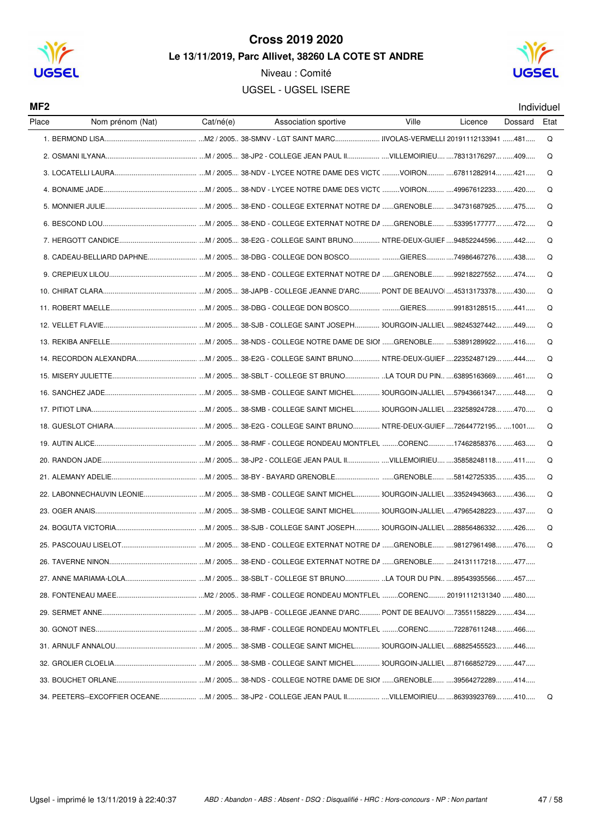

MF<sub>2</sub>

#### **Cross 2019 2020** Le 13/11/2019, Parc Allivet, 38260 LA COTE ST ANDRE

Niveau : Comité

UGSEL - UGSEL ISERE



Individuel

| Place<br>Nom prénom (Nat)                                                                         | Cat/né(e) | Association sportive | Ville | Licence | Dossard | Eta |
|---------------------------------------------------------------------------------------------------|-----------|----------------------|-------|---------|---------|-----|
|                                                                                                   |           |                      |       |         |         | Q   |
|                                                                                                   |           |                      |       |         |         | Q   |
|                                                                                                   |           |                      |       |         |         | Q   |
|                                                                                                   |           |                      |       |         |         | Q   |
|                                                                                                   |           |                      |       |         |         | Q   |
|                                                                                                   |           |                      |       |         |         | Q   |
|                                                                                                   |           |                      |       |         |         | Q   |
|                                                                                                   |           |                      |       |         |         | Q   |
|                                                                                                   |           |                      |       |         |         | Q   |
|                                                                                                   |           |                      |       |         |         | Q   |
|                                                                                                   |           |                      |       |         |         | Q   |
|                                                                                                   |           |                      |       |         |         | Q   |
|                                                                                                   |           |                      |       |         |         | Q   |
|                                                                                                   |           |                      |       |         |         | Q   |
|                                                                                                   |           |                      |       |         |         | Q   |
|                                                                                                   |           |                      |       |         |         | Q   |
|                                                                                                   |           |                      |       |         |         | Q   |
|                                                                                                   |           |                      |       |         |         | Q   |
|                                                                                                   |           |                      |       |         |         | Q   |
|                                                                                                   |           |                      |       |         |         | Q   |
|                                                                                                   |           |                      |       |         |         | Q   |
|                                                                                                   |           |                      |       |         |         | Q   |
|                                                                                                   |           |                      |       |         |         | Q   |
|                                                                                                   |           |                      |       |         |         | Q   |
|                                                                                                   |           |                      |       |         |         | Q   |
|                                                                                                   |           |                      |       |         |         |     |
|                                                                                                   |           |                      |       |         |         |     |
|                                                                                                   |           |                      |       |         |         |     |
|                                                                                                   |           |                      |       |         |         |     |
|                                                                                                   |           |                      |       |         |         |     |
|                                                                                                   |           |                      |       |         |         |     |
|                                                                                                   |           |                      |       |         |         |     |
|                                                                                                   |           |                      |       |         |         |     |
| 34. PEETERS--EXCOFFIER OCEANE M / 2005 38-JP2 - COLLEGE JEAN PAUL II VILLEMOIRIEU 86393923769 410 |           |                      |       |         |         | Q   |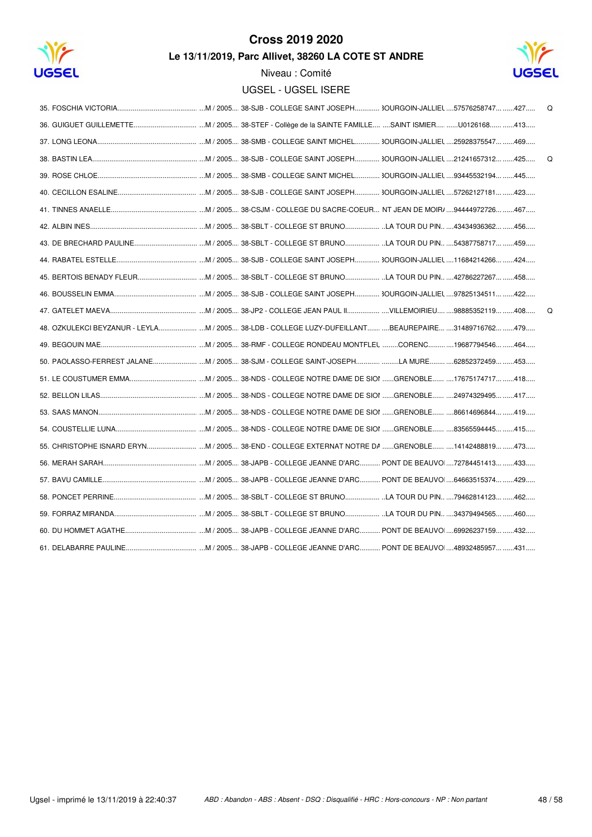



|                                                                                           | Q |
|-------------------------------------------------------------------------------------------|---|
|                                                                                           |   |
|                                                                                           |   |
|                                                                                           | Q |
|                                                                                           |   |
|                                                                                           |   |
|                                                                                           |   |
|                                                                                           |   |
|                                                                                           |   |
|                                                                                           |   |
|                                                                                           |   |
|                                                                                           |   |
|                                                                                           | Q |
|                                                                                           |   |
|                                                                                           |   |
| 50. PAOLASSO-FERREST JALANE M / 2005 38-SJM - COLLEGE SAINT-JOSEPHLA MURE 62852372459 453 |   |
|                                                                                           |   |
|                                                                                           |   |
|                                                                                           |   |
|                                                                                           |   |
|                                                                                           |   |
|                                                                                           |   |
|                                                                                           |   |
|                                                                                           |   |
|                                                                                           |   |
|                                                                                           |   |
|                                                                                           |   |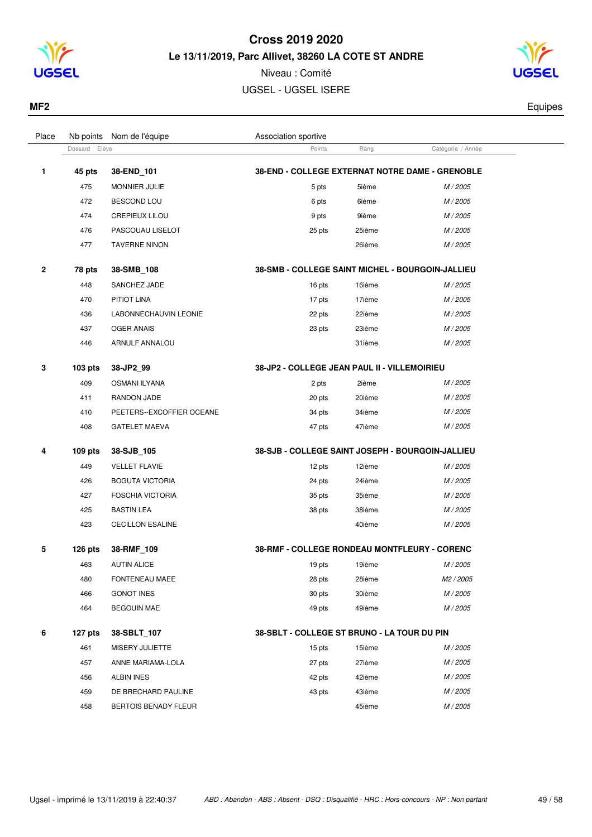



| MF <sub>2</sub> | $\sim$ $\sim$ $\sim$ $\sim$ |
|-----------------|-----------------------------|
|                 |                             |

| Place        | Nb points     | Nom de l'équipe             | Association sportive                             |        |                   |  |
|--------------|---------------|-----------------------------|--------------------------------------------------|--------|-------------------|--|
|              | Dossard Elève |                             | Points                                           | Rang   | Catégorie / Année |  |
| 1            | 45 pts        | 38-END_101                  | 38-END - COLLEGE EXTERNAT NOTRE DAME - GRENOBLE  |        |                   |  |
|              | 475           | <b>MONNIER JULIE</b>        | 5 pts                                            | 5ième  | M / 2005          |  |
|              | 472           | <b>BESCOND LOU</b>          | 6 pts                                            | 6ième  | M / 2005          |  |
|              | 474           | <b>CREPIEUX LILOU</b>       | 9 pts                                            | 9ième  | M / 2005          |  |
|              | 476           | PASCOUAU LISELOT            | 25 pts                                           | 25ième | M / 2005          |  |
|              | 477           | <b>TAVERNE NINON</b>        |                                                  | 26ième | M / 2005          |  |
| $\mathbf{2}$ | 78 pts        | 38-SMB_108                  | 38-SMB - COLLEGE SAINT MICHEL - BOURGOIN-JALLIEU |        |                   |  |
|              | 448           | SANCHEZ JADE                | 16 pts                                           | 16ième | M / 2005          |  |
|              | 470           | PITIOT LINA                 | 17 pts                                           | 17ième | M / 2005          |  |
|              | 436           | LABONNECHAUVIN LEONIE       | 22 pts                                           | 22ième | M / 2005          |  |
|              | 437           | <b>OGER ANAIS</b>           | 23 pts                                           | 23ième | M / 2005          |  |
|              | 446           | ARNULF ANNALOU              |                                                  | 31ième | M / 2005          |  |
| 3            | 103 pts       | 38-JP2_99                   | 38-JP2 - COLLEGE JEAN PAUL II - VILLEMOIRIEU     |        |                   |  |
|              | 409           | <b>OSMANI ILYANA</b>        | 2 pts                                            | 2ième  | M / 2005          |  |
|              | 411           | RANDON JADE                 | 20 pts                                           | 20ième | M / 2005          |  |
|              | 410           | PEETERS--EXCOFFIER OCEANE   | 34 pts                                           | 34ième | M/2005            |  |
|              | 408           | <b>GATELET MAEVA</b>        | 47 pts                                           | 47ième | M/2005            |  |
| 4            | 109 pts       | 38-SJB_105                  | 38-SJB - COLLEGE SAINT JOSEPH - BOURGOIN-JALLIEU |        |                   |  |
|              | 449           | <b>VELLET FLAVIE</b>        | 12 pts                                           | 12ième | M / 2005          |  |
|              | 426           | <b>BOGUTA VICTORIA</b>      | 24 pts                                           | 24ième | M / 2005          |  |
|              | 427           | <b>FOSCHIA VICTORIA</b>     | 35 pts                                           | 35ième | M / 2005          |  |
|              | 425           | <b>BASTIN LEA</b>           | 38 pts                                           | 38ième | M / 2005          |  |
|              | 423           | <b>CECILLON ESALINE</b>     |                                                  | 40ième | M / 2005          |  |
| 5            | $126$ pts     | 38-RMF_109                  | 38-RMF - COLLEGE RONDEAU MONTFLEURY - CORENC     |        |                   |  |
|              | 463           | <b>AUTIN ALICE</b>          | 19 pts                                           | 19ième | M / 2005          |  |
|              | 480           | FONTENEAU MAEE              | 28 pts                                           | 28ième | M2 / 2005         |  |
|              | 466           | <b>GONOT INES</b>           | 30 pts                                           | 30ième | M / 2005          |  |
|              | 464           | <b>BEGOUIN MAE</b>          | 49 pts                                           | 49ième | M / 2005          |  |
| 6            | 127 pts       | 38-SBLT_107                 | 38-SBLT - COLLEGE ST BRUNO - LA TOUR DU PIN      |        |                   |  |
|              | 461           | MISERY JULIETTE             | 15 pts                                           | 15ième | M / 2005          |  |
|              | 457           | ANNE MARIAMA-LOLA           | 27 pts                                           | 27ième | M / 2005          |  |
|              | 456           | ALBIN INES                  | 42 pts                                           | 42ième | M / 2005          |  |
|              | 459           | DE BRECHARD PAULINE         | 43 pts                                           | 43ième | M / 2005          |  |
|              | 458           | <b>BERTOIS BENADY FLEUR</b> |                                                  | 45ième | M / 2005          |  |
|              |               |                             |                                                  |        |                   |  |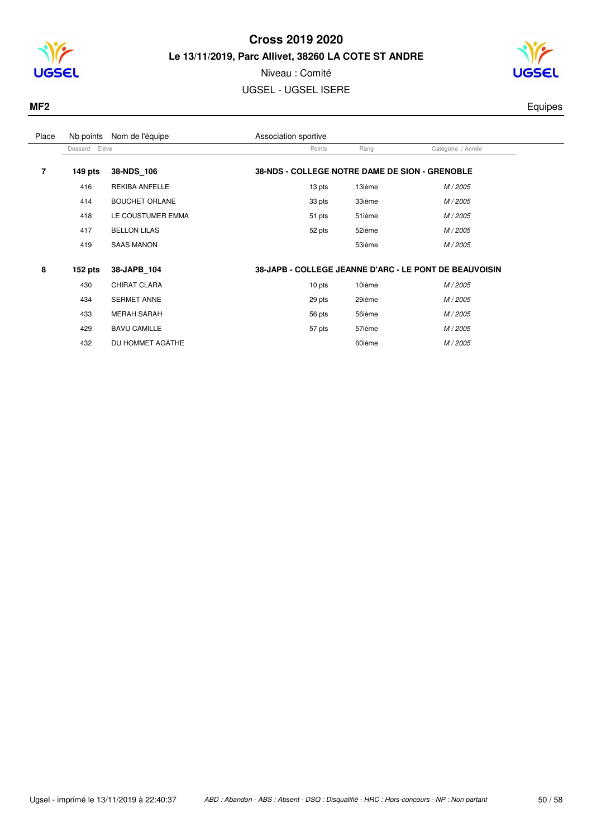



## Niveau : Comité

UGSEL - UGSEL ISERE

**MF2** Equipes

| Place | Nb points     | Nom de l'équipe       | Association sportive                           |        |                                                        |  |  |
|-------|---------------|-----------------------|------------------------------------------------|--------|--------------------------------------------------------|--|--|
|       | Dossard Elève |                       | Points                                         | Rang   | Catégorie / Année                                      |  |  |
| 7     | $149$ pts     | 38-NDS 106            | 38-NDS - COLLEGE NOTRE DAME DE SION - GRENOBLE |        |                                                        |  |  |
|       | 416           | <b>REKIBA ANFELLE</b> | 13 pts                                         | 13ième | M / 2005                                               |  |  |
|       | 414           | <b>BOUCHET ORLANE</b> | 33 pts                                         | 33ième | M / 2005                                               |  |  |
|       | 418           | LE COUSTUMER EMMA     | 51 pts                                         | 51ième | M / 2005                                               |  |  |
|       | 417           | <b>BELLON LILAS</b>   | 52 pts                                         | 52ième | M / 2005                                               |  |  |
|       | 419           | <b>SAAS MANON</b>     |                                                | 53ième | M / 2005                                               |  |  |
| 8     | $152$ pts     | 38-JAPB 104           |                                                |        | 38-JAPB - COLLEGE JEANNE D'ARC - LE PONT DE BEAUVOISIN |  |  |
|       | 430           | CHIRAT CLARA          | 10 pts                                         | 10ième | M / 2005                                               |  |  |
|       | 434           | <b>SERMET ANNE</b>    | 29 pts                                         | 29ième | M / 2005                                               |  |  |
|       | 433           | <b>MERAH SARAH</b>    | 56 pts                                         | 56ième | M / 2005                                               |  |  |
|       | 429           | <b>BAVU CAMILLE</b>   | 57 pts                                         | 57ième | M / 2005                                               |  |  |
|       | 432           | DU HOMMET AGATHE      |                                                | 60ième | M / 2005                                               |  |  |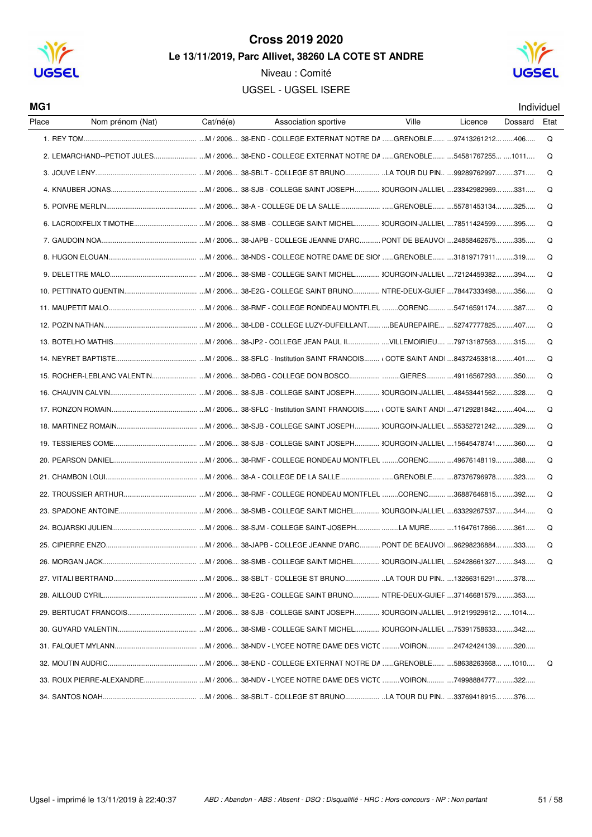

Nom prénom (Nat)

MG<sub>1</sub>

Place

#### Cross 2019 2020 Le 13/11/2019. Parc Allivet. 38260 LA COTE ST ANDRE

Niveau: Comité

UGSEL - UGSEL ISERE

Association sportive

Ville

Licence

Cat/né(e)



Individuel

Etat

Dossard

...... ....M / 2006.... 38-END - COLLEGE EXTERNAT NOTRE DA ......GRENOBLE...... ....97413261212... ......406..... 1 REY TOM  $\Omega$ Q .......... ...M / 2006.... 38-SBLT - COLLEGE ST BRUNO................... ..LA TOUR DU PIN.. ....99289762997... ......371..... 3 JOHNE LENY  $\Omega$  $\Omega$ 5 POIVRE MERLIN  $M/2006$  38-A - COLLEGE DE LA SALLE GRENOBLE 55781453134 325  $\Omega$  $\Omega$  $\Omega$ 8. HUGON ELOUAN...............  $\Omega$  $\Omega$  $\Omega$  $\Omega$ M / 2006 38-I DB - COLLEGE LUZY-DUFFILLANT REAUREPAIRE 52747777825 407 12 POZIN NATHAN  $\Omega$  $\Omega$ 14 NEVRET RAPTISTE  $\Omega$ 15. ROCHER-LEBLANC VALENTIN............................ ...M / 2006.... 38-DBG - COLLEGE DON BOSCO............................GIERES...............49116567293... ......350..... Q 16 CHALIVIN CALVIN .....................................M / 2006.... 38-SJB - COLLEGE SAINT JOSEPH.............. 30URGOIN-JALLIEL ....48453441562... ......328.... ∩ 17. RONZON ROMAIN.. Q Q 19 TESSIERES COME  $\Omega$  $\Omega$ 21. CHAMBON LOUI.  $\Omega$ 22 TROUSSIER ARTHUR **COLLEGE RONDEAU MONTELLING CORENCY SCREAME** 292  $\Omega$  $\Omega$  $\Omega$  $\Omega$  $\Omega$ 28 AILLOUD CYBIL M / 2006 38-F2G - COLLEGE SAINT BRUNO NTRE-DEUX-GUIFF 37146681579 353 30 GUYARD VALENTIN 31 FAI OUFT MYLANN CONTROLLY CHE NOTRE DAME DESINICT VOIRON 24742424139 320

**32 MOLITIN ALIDRIC** ..................................M / 2006.... 38-END - COLLEGE EXTERNAT NOTRE DA ......GRENOBLE............86638263668........1010.... 

 $\cap$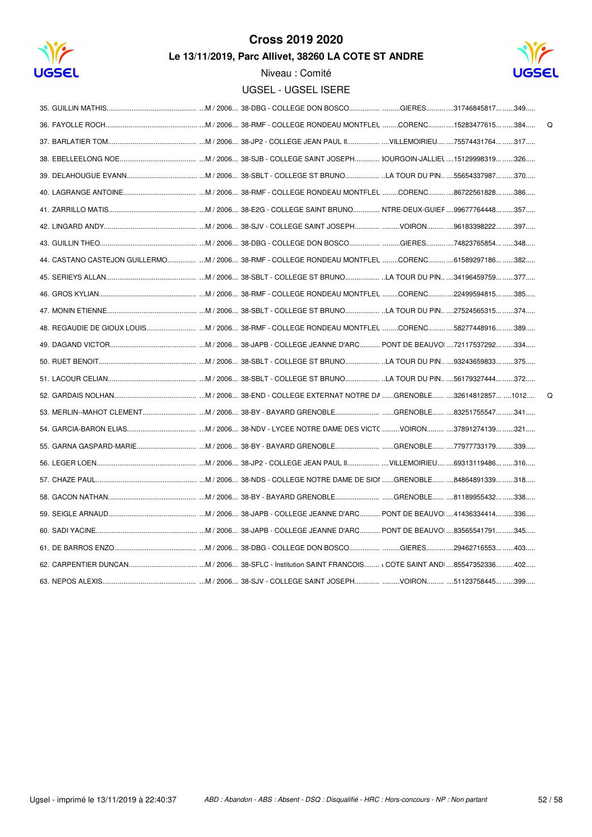



| Q                                                                                              |
|------------------------------------------------------------------------------------------------|
|                                                                                                |
|                                                                                                |
|                                                                                                |
|                                                                                                |
|                                                                                                |
|                                                                                                |
|                                                                                                |
| 44. CASTANO CASTEJON GUILLERMOM / 2006 38-RMF - COLLEGE RONDEAU MONTFLEL CORENC61589297186 382 |
|                                                                                                |
|                                                                                                |
|                                                                                                |
|                                                                                                |
|                                                                                                |
|                                                                                                |
|                                                                                                |
| $\Omega$                                                                                       |
|                                                                                                |
|                                                                                                |
|                                                                                                |
|                                                                                                |
|                                                                                                |
|                                                                                                |
|                                                                                                |
|                                                                                                |
|                                                                                                |
|                                                                                                |
|                                                                                                |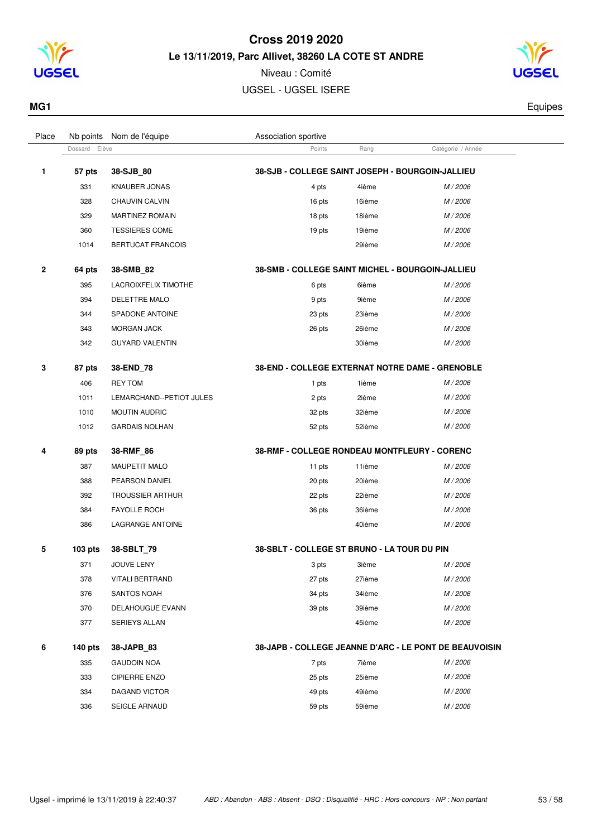

Niveau : Comité UGSEL - UGSEL ISERE



**MG1** Equipes

| Place        | Nb points        | Nom de l'équipe          | Association sportive                                    |        |                                                        |  |
|--------------|------------------|--------------------------|---------------------------------------------------------|--------|--------------------------------------------------------|--|
|              | Elève<br>Dossard |                          | Points                                                  | Rang   | Catégorie / Année                                      |  |
| 1            | 57 pts           | 38-SJB 80                | 38-SJB - COLLEGE SAINT JOSEPH - BOURGOIN-JALLIEU        |        |                                                        |  |
|              | 331              | <b>KNAUBER JONAS</b>     | 4 pts                                                   | 4ième  | M / 2006                                               |  |
|              | 328              | CHAUVIN CALVIN           | 16 pts                                                  | 16ième | M / 2006                                               |  |
|              | 329              | <b>MARTINEZ ROMAIN</b>   | 18 pts                                                  | 18ième | M / 2006                                               |  |
|              | 360              | <b>TESSIERES COME</b>    | 19 pts                                                  | 19ième | M / 2006                                               |  |
|              | 1014             | <b>BERTUCAT FRANCOIS</b> |                                                         | 29ième | M / 2006                                               |  |
| $\mathbf{2}$ | 64 pts           | 38-SMB_82                | <b>38-SMB - COLLEGE SAINT MICHEL - BOURGOIN-JALLIEU</b> |        |                                                        |  |
|              | 395              | LACROIXFELIX TIMOTHE     | 6 pts                                                   | 6ième  | M/2006                                                 |  |
|              | 394              | DELETTRE MALO            | 9 pts                                                   | 9ième  | M / 2006                                               |  |
|              | 344              | SPADONE ANTOINE          | 23 pts                                                  | 23ième | M / 2006                                               |  |
|              | 343              | <b>MORGAN JACK</b>       | 26 pts                                                  | 26ième | M / 2006                                               |  |
|              | 342              | <b>GUYARD VALENTIN</b>   |                                                         | 30ième | M/2006                                                 |  |
| 3            | 87 pts           | 38-END 78                | 38-END - COLLEGE EXTERNAT NOTRE DAME - GRENOBLE         |        |                                                        |  |
|              | 406              | <b>REY TOM</b>           | 1 pts                                                   | 1ième  | M / 2006                                               |  |
|              | 1011             | LEMARCHAND--PETIOT JULES | 2 pts                                                   | 2ième  | M / 2006                                               |  |
|              | 1010             | <b>MOUTIN AUDRIC</b>     | 32 pts                                                  | 32ième | M / 2006                                               |  |
|              | 1012             | <b>GARDAIS NOLHAN</b>    | 52 pts                                                  | 52ième | $M/2006$                                               |  |
| 4            | 89 pts           | 38-RMF_86                | 38-RMF - COLLEGE RONDEAU MONTFLEURY - CORENC            |        |                                                        |  |
|              | 387              | MAUPETIT MALO            | 11 pts                                                  | 11ième | M / 2006                                               |  |
|              | 388              | PEARSON DANIEL           | 20 pts                                                  | 20ième | M / 2006                                               |  |
|              | 392              | <b>TROUSSIER ARTHUR</b>  | 22 pts                                                  | 22ième | M / 2006                                               |  |
|              | 384              | <b>FAYOLLE ROCH</b>      | 36 pts                                                  | 36ième | M / 2006                                               |  |
|              | 386              | LAGRANGE ANTOINE         |                                                         | 40ième | M / 2006                                               |  |
| 5            | $103$ pts        | 38-SBLT_79               | 38-SBLT - COLLEGE ST BRUNO - LA TOUR DU PIN             |        |                                                        |  |
|              | 371              | JOUVE LENY               | 3 pts                                                   | 3ième  | M / 2006                                               |  |
|              | 378              | <b>VITALI BERTRAND</b>   | 27 pts                                                  | 27ième | M / 2006                                               |  |
|              | 376              | SANTOS NOAH              | 34 pts                                                  | 34ième | M / 2006                                               |  |
|              | 370              | DELAHOUGUE EVANN         | 39 pts                                                  | 39ième | M / 2006                                               |  |
|              | 377              | <b>SERIEYS ALLAN</b>     |                                                         | 45ième | M / 2006                                               |  |
| 6            | <b>140 pts</b>   | 38-JAPB_83               |                                                         |        | 38-JAPB - COLLEGE JEANNE D'ARC - LE PONT DE BEAUVOISIN |  |
|              | 335              | <b>GAUDOIN NOA</b>       | 7 pts                                                   | 7ième  | M / 2006                                               |  |
|              | 333              | <b>CIPIERRE ENZO</b>     | 25 pts                                                  | 25ième | M / 2006                                               |  |
|              | 334              | <b>DAGAND VICTOR</b>     | 49 pts                                                  | 49ième | M / 2006                                               |  |
|              | 336              | SEIGLE ARNAUD            | 59 pts                                                  | 59ième | M / 2006                                               |  |
|              |                  |                          |                                                         |        |                                                        |  |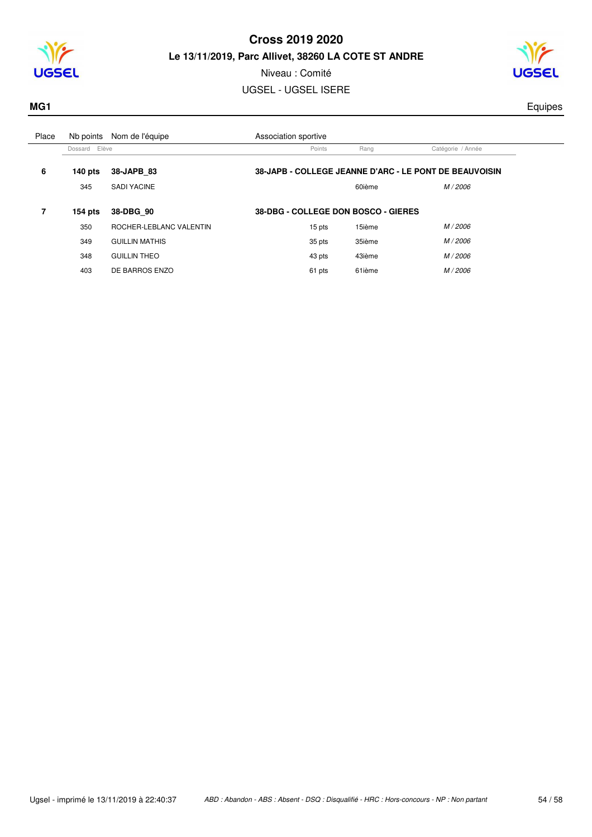



## Niveau : Comité UGSEL - UGSEL ISERE

**MG1** Equipes

| Place | Nb points     | Nom de l'équipe         | Association sportive                |        |                                                        |  |
|-------|---------------|-------------------------|-------------------------------------|--------|--------------------------------------------------------|--|
|       | Dossard Elève |                         | Points                              | Rang   | Catégorie / Année                                      |  |
| 6     | 140 $pts$     | 38-JAPB 83              |                                     |        | 38-JAPB - COLLEGE JEANNE D'ARC - LE PONT DE BEAUVOISIN |  |
|       | 345           | <b>SADI YACINE</b>      |                                     | 60ième | M / 2006                                               |  |
| 7     | $154$ pts     | 38-DBG 90               | 38-DBG - COLLEGE DON BOSCO - GIERES |        |                                                        |  |
|       | 350           | ROCHER-LEBLANC VALENTIN | 15 pts                              | 15ième | M / 2006                                               |  |
|       | 349           | <b>GUILLIN MATHIS</b>   | 35 pts                              | 35ième | M / 2006                                               |  |
|       | 348           | <b>GUILLIN THEO</b>     | 43 pts                              | 43ième | M / 2006                                               |  |
|       | 403           | DE BARROS ENZO          | 61 pts                              | 61ième | M / 2006                                               |  |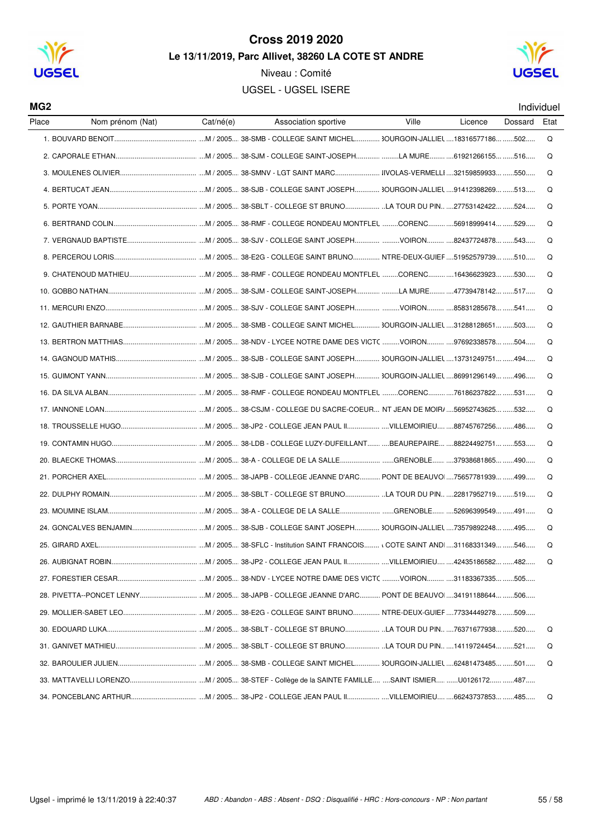

Niveau : Comité **UGSEL - UGSEL ISERE** 



#### MG<sub>2</sub>

Individuel

| Place | Nom prénom (Nat) | Cat/né(e) | Association sportive | Ville | Licence | Dossard | Etat |
|-------|------------------|-----------|----------------------|-------|---------|---------|------|
|       |                  |           |                      |       |         |         | Q    |
|       |                  |           |                      |       |         |         | Q    |
|       |                  |           |                      |       |         |         | Q    |
|       |                  |           |                      |       |         |         | Q    |
|       |                  |           |                      |       |         |         | Q    |
|       |                  |           |                      |       |         |         | Q    |
|       |                  |           |                      |       |         |         | Q    |
|       |                  |           |                      |       |         |         | Q    |
|       |                  |           |                      |       |         |         | Q    |
|       |                  |           |                      |       |         |         | Q    |
|       |                  |           |                      |       |         |         | Q    |
|       |                  |           |                      |       |         |         | Q    |
|       |                  |           |                      |       |         |         | Q    |
|       |                  |           |                      |       |         |         | Q    |
|       |                  |           |                      |       |         |         | Q    |
|       |                  |           |                      |       |         |         | Q    |
|       |                  |           |                      |       |         |         | Q    |
|       |                  |           |                      |       |         |         | Q    |
|       |                  |           |                      |       |         |         | Q    |
|       |                  |           |                      |       |         |         | Q    |
|       |                  |           |                      |       |         |         | Q    |
|       |                  |           |                      |       |         |         | Q    |
|       |                  |           |                      |       |         |         | Q    |
|       |                  |           |                      |       |         |         | Q    |
|       |                  |           |                      |       |         |         | Q    |
|       |                  |           |                      |       |         |         | Q    |
|       |                  |           |                      |       |         |         |      |
|       |                  |           |                      |       |         |         |      |
|       |                  |           |                      |       |         |         |      |
|       |                  |           |                      |       |         |         | Q    |
|       |                  |           |                      |       |         |         | Q    |
|       |                  |           |                      |       |         |         | Q    |
|       |                  |           |                      |       |         |         |      |
|       |                  |           |                      |       |         |         | Q    |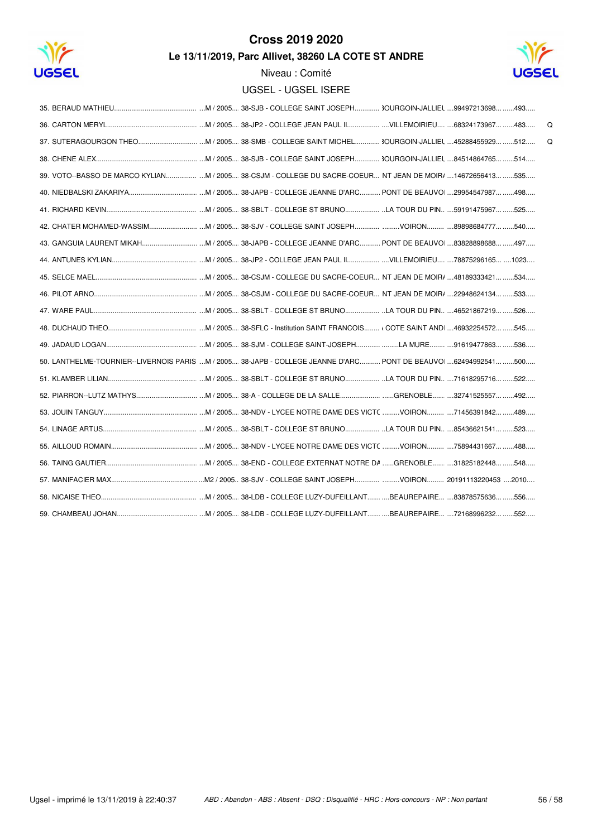



Niveau : Comité

| UGSEL - UGSEL ISERE |
|---------------------|
|---------------------|

|                                                                                                                |  |  |  |  | Q |
|----------------------------------------------------------------------------------------------------------------|--|--|--|--|---|
|                                                                                                                |  |  |  |  | Q |
|                                                                                                                |  |  |  |  |   |
| 39. VOTO--BASSO DE MARCO KYLIAN M / 2005 38-CSJM - COLLEGE DU SACRE-COEUR NT JEAN DE MOIR/ 14672656413 535     |  |  |  |  |   |
|                                                                                                                |  |  |  |  |   |
|                                                                                                                |  |  |  |  |   |
|                                                                                                                |  |  |  |  |   |
|                                                                                                                |  |  |  |  |   |
|                                                                                                                |  |  |  |  |   |
|                                                                                                                |  |  |  |  |   |
|                                                                                                                |  |  |  |  |   |
|                                                                                                                |  |  |  |  |   |
|                                                                                                                |  |  |  |  |   |
|                                                                                                                |  |  |  |  |   |
| 50. LANTHELME-TOURNIER--LIVERNOIS PARIS M / 2005 38-JAPB - COLLEGE JEANNE D'ARC PONT DE BEAUVO 62494992541 500 |  |  |  |  |   |
|                                                                                                                |  |  |  |  |   |
|                                                                                                                |  |  |  |  |   |
|                                                                                                                |  |  |  |  |   |
|                                                                                                                |  |  |  |  |   |
|                                                                                                                |  |  |  |  |   |
|                                                                                                                |  |  |  |  |   |
|                                                                                                                |  |  |  |  |   |
|                                                                                                                |  |  |  |  |   |
|                                                                                                                |  |  |  |  |   |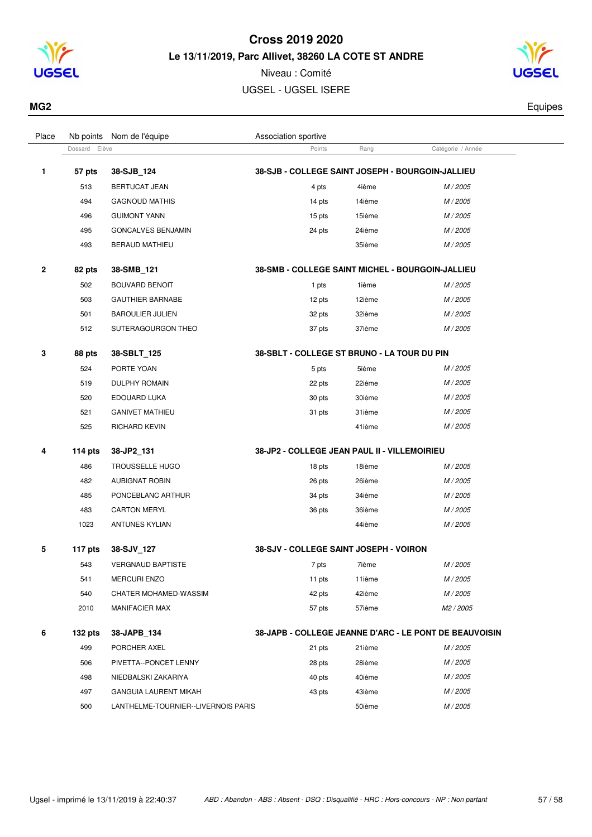



| MG2 | auipes |
|-----|--------|
|     |        |

| Place        |                  | Nb points Nom de l'équipe           | Association sportive                                   |        |                   |  |  |  |  |
|--------------|------------------|-------------------------------------|--------------------------------------------------------|--------|-------------------|--|--|--|--|
|              | Elève<br>Dossard |                                     | Points                                                 | Rang   | Catégorie / Année |  |  |  |  |
| 1            | 57 pts           | 38-SJB 124                          | 38-SJB - COLLEGE SAINT JOSEPH - BOURGOIN-JALLIEU       |        |                   |  |  |  |  |
|              | 513              | <b>BERTUCAT JEAN</b>                | 4 pts                                                  | 4ième  | M / 2005          |  |  |  |  |
|              | 494              | <b>GAGNOUD MATHIS</b>               | 14 pts                                                 | 14ième | M / 2005          |  |  |  |  |
|              | 496              | <b>GUIMONT YANN</b>                 | 15 pts                                                 | 15ième | M / 2005          |  |  |  |  |
|              | 495              | GONCALVES BENJAMIN                  | 24 pts                                                 | 24ième | M / 2005          |  |  |  |  |
|              | 493              | <b>BERAUD MATHIEU</b>               |                                                        | 35ième | M / 2005          |  |  |  |  |
| $\mathbf{2}$ | 82 pts           | 38-SMB_121                          | 38-SMB - COLLEGE SAINT MICHEL - BOURGOIN-JALLIEU       |        |                   |  |  |  |  |
|              | 502              | <b>BOUVARD BENOIT</b>               | 1 pts                                                  | 1ième  | M / 2005          |  |  |  |  |
|              | 503              | <b>GAUTHIER BARNABE</b>             | 12 pts                                                 | 12ième | M / 2005          |  |  |  |  |
|              | 501              | <b>BAROULIER JULIEN</b>             | 32 pts                                                 | 32ième | M / 2005          |  |  |  |  |
|              | 512              | SUTERAGOURGON THEO                  | 37 pts                                                 | 37ième | M / 2005          |  |  |  |  |
| 3            | 88 pts           | 38-SBLT 125                         | 38-SBLT - COLLEGE ST BRUNO - LA TOUR DU PIN            |        |                   |  |  |  |  |
|              | 524              | PORTE YOAN                          | 5 pts                                                  | 5ième  | M / 2005          |  |  |  |  |
|              | 519              | DULPHY ROMAIN                       | 22 pts                                                 | 22ième | M / 2005          |  |  |  |  |
|              | 520              | EDOUARD LUKA                        | 30 pts                                                 | 30ième | M / 2005          |  |  |  |  |
|              | 521              | <b>GANIVET MATHIEU</b>              | 31 pts                                                 | 31ième | M / 2005          |  |  |  |  |
|              | 525              | <b>RICHARD KEVIN</b>                |                                                        | 41ième | M / 2005          |  |  |  |  |
| 4            | 114 pts          | 38-JP2_131                          | 38-JP2 - COLLEGE JEAN PAUL II - VILLEMOIRIEU           |        |                   |  |  |  |  |
|              | 486              | TROUSSELLE HUGO                     | 18 pts                                                 | 18ième | M / 2005          |  |  |  |  |
|              | 482              | <b>AUBIGNAT ROBIN</b>               | 26 pts                                                 | 26ième | M / 2005          |  |  |  |  |
|              | 485              | PONCEBLANC ARTHUR                   | 34 pts                                                 | 34ième | M / 2005          |  |  |  |  |
|              | 483              | <b>CARTON MERYL</b>                 | 36 pts                                                 | 36ième | M / 2005          |  |  |  |  |
|              | 1023             | <b>ANTUNES KYLIAN</b>               |                                                        | 44ième | M / 2005          |  |  |  |  |
| 5            | 117 pts          | 38-SJV_127                          | 38-SJV - COLLEGE SAINT JOSEPH - VOIRON                 |        |                   |  |  |  |  |
|              | 543              | <b>VERGNAUD BAPTISTE</b>            | 7 pts                                                  | 7ième  | M / 2005          |  |  |  |  |
|              | 541              | <b>MERCURI ENZO</b>                 | 11 pts                                                 | 11ième | M / 2005          |  |  |  |  |
|              | 540              | CHATER MOHAMED-WASSIM               | 42 pts                                                 | 42ième | M / 2005          |  |  |  |  |
|              | 2010             | <b>MANIFACIER MAX</b>               | 57 pts                                                 | 57ième | M2 / 2005         |  |  |  |  |
| 6            | $132$ pts        | 38-JAPB_134                         | 38-JAPB - COLLEGE JEANNE D'ARC - LE PONT DE BEAUVOISIN |        |                   |  |  |  |  |
|              | 499              | PORCHER AXEL                        | 21 pts                                                 | 21ième | M / 2005          |  |  |  |  |
|              | 506              | PIVETTA--PONCET LENNY               | 28 pts                                                 | 28ième | M / 2005          |  |  |  |  |
|              | 498              | NIEDBALSKI ZAKARIYA                 | 40 pts                                                 | 40ième | M / 2005          |  |  |  |  |
|              | 497              | <b>GANGUIA LAURENT MIKAH</b>        | 43 pts                                                 | 43ième | M / 2005          |  |  |  |  |
|              | 500              | LANTHELME-TOURNIER--LIVERNOIS PARIS |                                                        | 50ième | M / 2005          |  |  |  |  |
|              |                  |                                     |                                                        |        |                   |  |  |  |  |